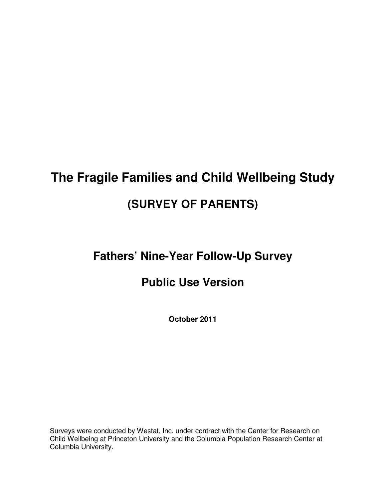# **The Fragile Families and Child Wellbeing Study (SURVEY OF PARENTS)**

# **Fathers' Nine-Year Follow-Up Survey**

# **Public Use Version**

**October 2011** 

Surveys were conducted by Westat, Inc. under contract with the Center for Research on Child Wellbeing at Princeton University and the Columbia Population Research Center at Columbia University.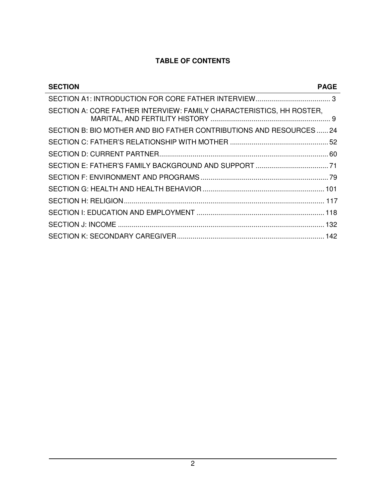# **TABLE OF CONTENTS**

| <b>SECTION</b>                                                       | <b>PAGE</b> |
|----------------------------------------------------------------------|-------------|
|                                                                      |             |
| SECTION A: CORE FATHER INTERVIEW: FAMILY CHARACTERISTICS, HH ROSTER, |             |
| SECTION B: BIO MOTHER AND BIO FATHER CONTRIBUTIONS AND RESOURCES  24 |             |
|                                                                      |             |
|                                                                      |             |
|                                                                      |             |
|                                                                      |             |
|                                                                      |             |
|                                                                      |             |
|                                                                      |             |
|                                                                      |             |
|                                                                      |             |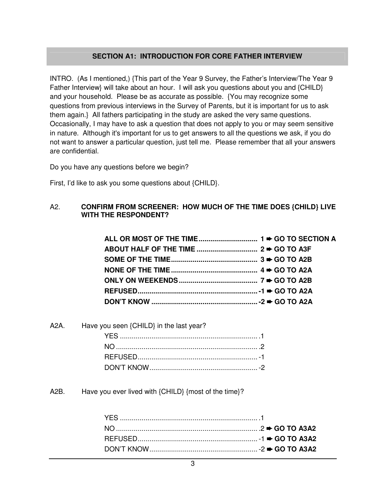# **SECTION A1: INTRODUCTION FOR CORE FATHER INTERVIEW**

INTRO. (As I mentioned,) {This part of the Year 9 Survey, the Father's Interview/The Year 9 Father Interview} will take about an hour. I will ask you questions about you and {CHILD} and your household. Please be as accurate as possible. {You may recognize some questions from previous interviews in the Survey of Parents, but it is important for us to ask them again.} All fathers participating in the study are asked the very same questions. Occasionally, I may have to ask a question that does not apply to you or may seem sensitive in nature. Although it's important for us to get answers to all the questions we ask, if you do not want to answer a particular question, just tell me. Please remember that all your answers are confidential.

Do you have any questions before we begin?

First, I'd like to ask you some questions about {CHILD}.

#### A2. **CONFIRM FROM SCREENER: HOW MUCH OF THE TIME DOES {CHILD} LIVE WITH THE RESPONDENT?**

| A2A. Have you seen {CHILD} in the last year? |  |
|----------------------------------------------|--|
| <u>YES</u>                                   |  |
|                                              |  |
|                                              |  |
|                                              |  |

A2B. Have you ever lived with {CHILD} {most of the time}?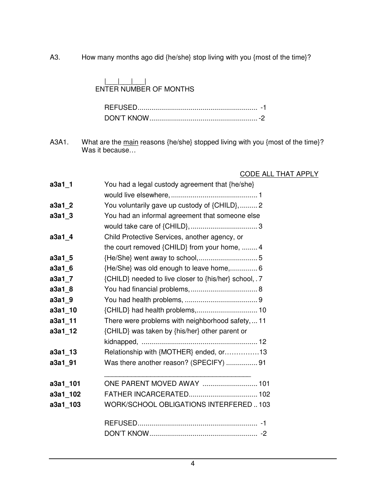A3. How many months ago did {he/she} stop living with you {most of the time}?

#### |\_\_\_|\_\_\_|\_\_\_| ENTER NUMBER OF MONTHS

A3A1. What are the main reasons {he/she} stopped living with you {most of the time}? Was it because…

#### CODE ALL THAT APPLY

| $a3a1_1$ | You had a legal custody agreement that {he/she}       |
|----------|-------------------------------------------------------|
|          |                                                       |
| a3a1_2   | You voluntarily gave up custody of {CHILD},  2        |
| $a3a1_3$ | You had an informal agreement that someone else       |
|          |                                                       |
| a3a1 4   | Child Protective Services, another agency, or         |
|          | the court removed {CHILD} from your home,  4          |
| $a3a1_5$ |                                                       |
| a3a1 6   | {He/She} was old enough to leave home, 6              |
| $a3a1_7$ | {CHILD} needed to live closer to {his/her} school, .7 |
| a3a1 8   |                                                       |
| a3a1_9   |                                                       |
| a3a1_10  |                                                       |
| a3a1_11  | There were problems with neighborhood safety,  11     |
| a3a1_12  | {CHILD} was taken by {his/her} other parent or        |
|          |                                                       |
| a3a1_13  | Relationship with {MOTHER} ended, or13                |
| a3a1_91  | Was there another reason? (SPECIFY)  91               |
| a3a1_101 | ONE PARENT MOVED AWAY  101                            |
| a3a1_102 |                                                       |
| a3a1_103 | WORK/SCHOOL OBLIGATIONS INTERFERED  103               |
|          |                                                       |
|          |                                                       |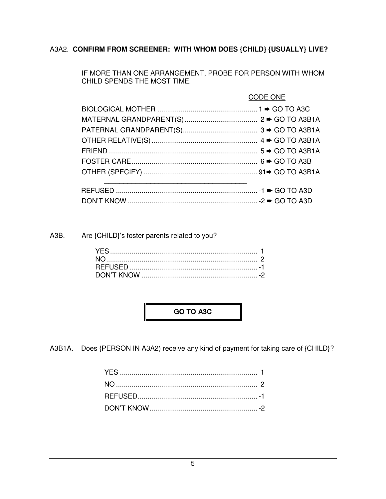# A3A2. CONFIRM FROM SCREENER: WITH WHOM DOES {CHILD} {USUALLY} LIVE?

IF MORE THAN ONE ARRANGEMENT, PROBE FOR PERSON WITH WHOM CHILD SPENDS THE MOST TIME.

| CODE ONE |
|----------|
|          |
|          |
|          |
|          |
|          |
|          |
|          |
|          |
|          |
|          |

A3B. Are {CHILD}'s foster parents related to you?

GO TO A3C

A3B1A. Does {PERSON IN A3A2) receive any kind of payment for taking care of {CHILD}?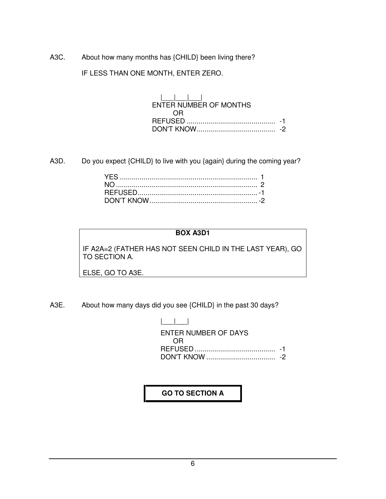A3C. About how many months has {CHILD} been living there?

IF LESS THAN ONE MONTH, ENTER ZERO.

 |\_\_\_|\_\_\_|\_\_\_| ENTER NUMBER OF MONTHS OR REFUSED ............................................. -1 DON'T KNOW ........................................ -2

A3D. Do you expect {CHILD} to live with you {again} during the coming year?

#### **BOX A3D1**

IF A2A=2 (FATHER HAS NOT SEEN CHILD IN THE LAST YEAR), GO TO SECTION A.

ELSE, GO TO A3E.

A3E. About how many days did you see {CHILD} in the past 30 days?

| ENTER NUMBER OF DAYS |  |
|----------------------|--|
| OR.                  |  |
|                      |  |
|                      |  |

**GO TO SECTION A**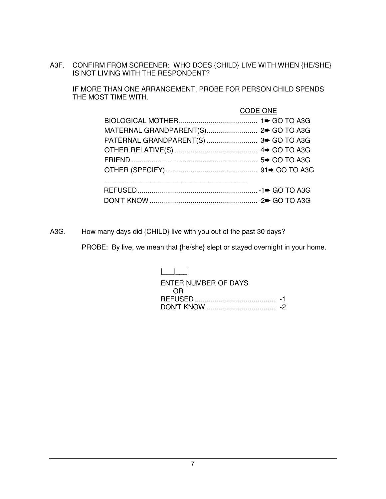A3F. CONFIRM FROM SCREENER: WHO DOES {CHILD} LIVE WITH WHEN {HE/SHE} IS NOT LIVING WITH THE RESPONDENT?

IF MORE THAN ONE ARRANGEMENT, PROBE FOR PERSON CHILD SPENDS THE MOST TIME WITH.

| <b>CODE ONE</b> |
|-----------------|
|                 |
|                 |
|                 |
|                 |
|                 |
|                 |
|                 |
|                 |
|                 |
|                 |

A3G. How many days did {CHILD} live with you out of the past 30 days?

PROBE: By live, we mean that {he/she} slept or stayed overnight in your home.

|  | $\begin{bmatrix} 1 & 1 \\ 1 & 1 \end{bmatrix}$ |
|--|------------------------------------------------|
|  |                                                |
|  |                                                |

| ENTER NUMBER OF DAYS |  |
|----------------------|--|
|                      |  |
|                      |  |
|                      |  |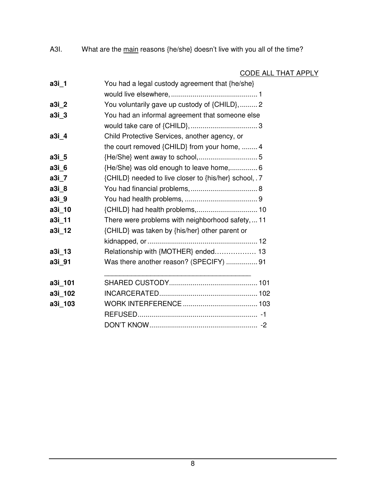A3I. What are the main reasons {he/she} doesn't live with you all of the time?

# CODE ALL THAT APPLY

| a3i 1   | You had a legal custody agreement that {he/she}       |
|---------|-------------------------------------------------------|
|         |                                                       |
| a3i 2   | You voluntarily gave up custody of {CHILD},  2        |
| $a3i_3$ | You had an informal agreement that someone else       |
|         |                                                       |
| a3i 4   | Child Protective Services, another agency, or         |
|         | the court removed {CHILD} from your home,  4          |
| $a3i-5$ |                                                       |
| a3i6    | {He/She} was old enough to leave home, 6              |
| a3i_7   | {CHILD} needed to live closer to {his/her} school, .7 |
| a3i 8   |                                                       |
| a3i_9   |                                                       |
| a3i_10  |                                                       |
| a3i_11  | There were problems with neighborhood safety,  11     |
| a3i_12  | {CHILD} was taken by {his/her} other parent or        |
|         |                                                       |
| a3i_13  | Relationship with {MOTHER} ended 13                   |
| a3i 91  | Was there another reason? (SPECIFY)  91               |
| a3i 101 |                                                       |
| a3i_102 |                                                       |
| a3i_103 |                                                       |
|         |                                                       |
|         |                                                       |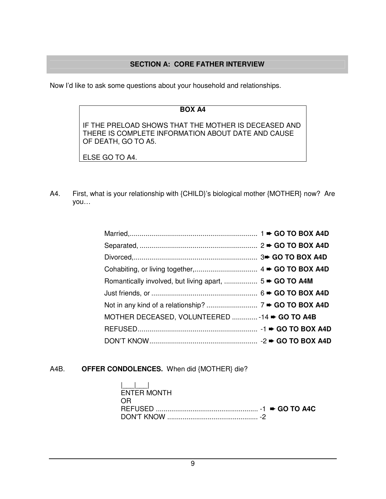# **SECTION A: CORE FATHER INTERVIEW**

Now I'd like to ask some questions about your household and relationships.

#### **BOX A4**

IF THE PRELOAD SHOWS THAT THE MOTHER IS DECEASED AND THERE IS COMPLETE INFORMATION ABOUT DATE AND CAUSE OF DEATH, GO TO A5.

ELSE GO TO A4.

A4. First, what is your relationship with {CHILD}'s biological mother {MOTHER} now? Are you…

| MOTHER DECEASED, VOLUNTEERED -14 → GO TO A4B |  |
|----------------------------------------------|--|
|                                              |  |
|                                              |  |

A4B. **OFFER CONDOLENCES.** When did {MOTHER} die?

| المطاعما    |  |
|-------------|--|
| ENTER MONTH |  |
| OR.         |  |
|             |  |
|             |  |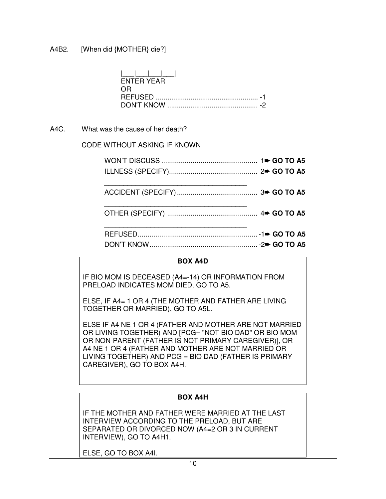A4B2. [When did {MOTHER} die?]

| <b>FNTFR YFAR</b><br>( )R |  |
|---------------------------|--|
|                           |  |

A4C. What was the cause of her death?

CODE WITHOUT ASKING IF KNOWN

#### **BOX A4D**

IF BIO MOM IS DECEASED (A4=-14) OR INFORMATION FROM PRELOAD INDICATES MOM DIED, GO TO A5.

ELSE, IF A4= 1 OR 4 (THE MOTHER AND FATHER ARE LIVING TOGETHER OR MARRIED), GO TO A5L.

ELSE IF A4 NE 1 OR 4 (FATHER AND MOTHER ARE NOT MARRIED OR LIVING TOGETHER) AND [PCG= "NOT BIO DAD" OR BIO MOM OR NON-PARENT (FATHER IS NOT PRIMARY CAREGIVER)], OR A4 NE 1 OR 4 (FATHER AND MOTHER ARE NOT MARRIED OR LIVING TOGETHER) AND PCG = BIO DAD (FATHER IS PRIMARY CAREGIVER), GO TO BOX A4H.

# **BOX A4H**

IF THE MOTHER AND FATHER WERE MARRIED AT THE LAST INTERVIEW ACCORDING TO THE PRELOAD, BUT ARE SEPARATED OR DIVORCED NOW (A4=2 OR 3 IN CURRENT INTERVIEW), GO TO A4H1.

ELSE, GO TO BOX A4I.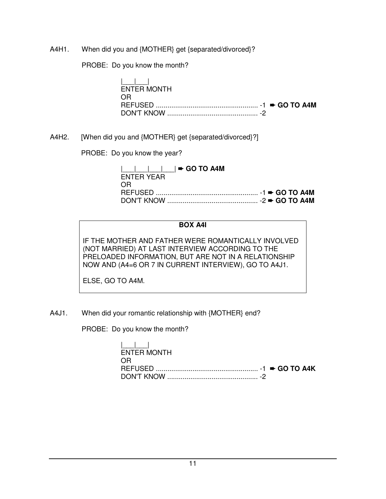A4H1. When did you and {MOTHER} get {separated/divorced}?

PROBE: Do you know the month?

|\_\_\_|\_\_\_| ENTER MONTH OR REFUSED ..................................................... -1 ➨ **GO TO A4M** DON'T KNOW ............................................... -2

A4H2. [When did you and {MOTHER} get {separated/divorced}?]

PROBE: Do you know the year?

| $ $ GO TO A4M |  |
|---------------|--|
| ENTER YEAR    |  |
| OR.           |  |
|               |  |
|               |  |

#### **BOX A4I**

IF THE MOTHER AND FATHER WERE ROMANTICALLY INVOLVED (NOT MARRIED) AT LAST INTERVIEW ACCORDING TO THE PRELOADED INFORMATION, BUT ARE NOT IN A RELATIONSHIP NOW AND (A4=6 OR 7 IN CURRENT INTERVIEW), GO TO A4J1.

ELSE, GO TO A4M.

A4J1. When did your romantic relationship with {MOTHER} end?

PROBE: Do you know the month?

|\_\_\_|\_\_\_| ENTER MONTH OR REFUSED ..................................................... -1 ➨ **GO TO A4K** DON'T KNOW ............................................... -2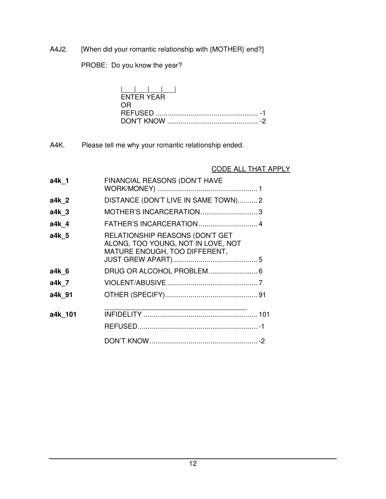A4J2. [When did your romantic relationship with {MOTHER} end?]

PROBE: Do you know the year?

| $ $ __ $ $ __ $ $ __ $ $ __ $ $ __ $ $ |
|----------------------------------------|
| ENTER YEAR                             |
| OR.                                    |
|                                        |
|                                        |

A4K. Please tell me why your romantic relationship ended.

# CODE ALL THAT APPLY

| a4k 6 | DRUG OR ALCOHOL PROBLEM 6                                           |  |
|-------|---------------------------------------------------------------------|--|
|       |                                                                     |  |
|       |                                                                     |  |
|       |                                                                     |  |
| a4k 7 |                                                                     |  |
|       |                                                                     |  |
|       |                                                                     |  |
|       | ALONG, TOO YOUNG, NOT IN LOVE, NOT<br>MATURE ENOUGH, TOO DIFFERENT, |  |
| a4k 5 | RELATIONSHIP REASONS (DON'T GET                                     |  |
| a4k 4 | FATHER'S INCARCERATION 4                                            |  |
| a4k 3 | MOTHER'S INCARCERATION3                                             |  |
| a4k 2 | DISTANCE (DON'T LIVE IN SAME TOWN)2                                 |  |
| a4k 1 | FINANCIAL REASONS (DON'T HAVE                                       |  |
|       |                                                                     |  |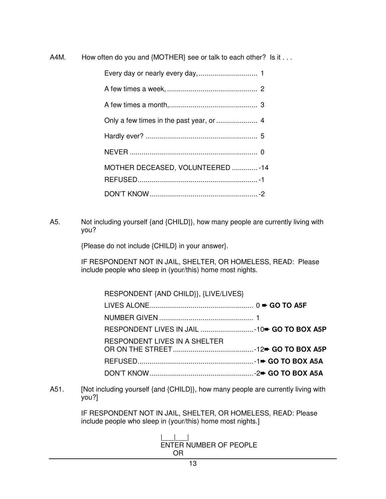A4M. How often do you and {MOTHER} see or talk to each other? Is it . . .

| MOTHER DECEASED, VOLUNTEERED  - 14 |  |
|------------------------------------|--|
|                                    |  |
|                                    |  |

A5. Not including yourself {and {CHILD}}, how many people are currently living with you?

{Please do not include {CHILD} in your answer}.

 IF RESPONDENT NOT IN JAIL, SHELTER, OR HOMELESS, READ: Please include people who sleep in (your/this) home most nights.

| RESPONDENT {AND CHILD}}, {LIVE/LIVES}       |  |
|---------------------------------------------|--|
|                                             |  |
|                                             |  |
| RESPONDENT LIVES IN JAIL 10 ► GO TO BOX A5P |  |
| RESPONDENT LIVES IN A SHELTER               |  |
|                                             |  |
|                                             |  |

A51. [Not including yourself {and {CHILD}}, how many people are currently living with you?]

> IF RESPONDENT NOT IN JAIL, SHELTER, OR HOMELESS, READ: Please include people who sleep in (your/this) home most nights.]

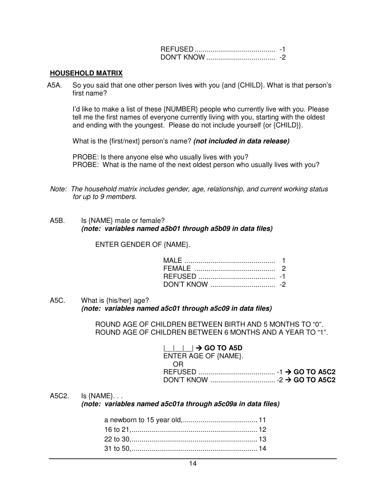#### **HOUSEHOLD MATRIX**

A5A. So you said that one other person lives with you {and {CHILD}. What is that person's first name?

I'd like to make a list of these {NUMBER} people who currently live with you. Please tell me the first names of everyone currently living with you, starting with the oldest and ending with the youngest. Please do not include yourself {or {CHILD}}.

What is the {first/next} person's name? **(not included in data release)**

PROBE: Is there anyone else who usually lives with you? PROBE: What is the name of the next oldest person who usually lives with you?

Note: The household matrix includes gender, age, relationship, and current working status for up to 9 members.

#### A5B. Is {NAME} male or female? **(note: variables named a5b01 through a5b09 in data files)**

ENTER GENDER OF {NAME}.

#### A5C. What is {his/her} age? **(note: variables named a5c01 through a5c09 in data files)**

 ROUND AGE OF CHILDREN BETWEEN BIRTH AND 5 MONTHS TO "0". ROUND AGE OF CHILDREN BETWEEN 6 MONTHS AND A YEAR TO "1".

| $\begin{array}{ c c c }\n\hline\n&\end{array}$ $\begin{array}{ c c }\n\hline\n\end{array}$ $\begin{array}{ c c }\n\hline\n\end{array}$ GO TO A5D |  |
|--------------------------------------------------------------------------------------------------------------------------------------------------|--|
| ENTER AGE OF {NAME}.                                                                                                                             |  |
| OR                                                                                                                                               |  |
|                                                                                                                                                  |  |
|                                                                                                                                                  |  |

A5C2. Is {NAME}. . .

**(note: variables named a5c01a through a5c09a in data files)**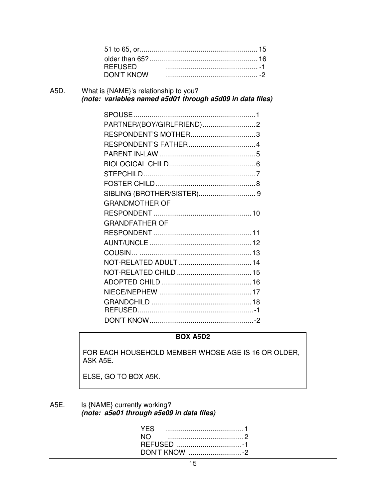| <b>REFUSED</b> |  |
|----------------|--|
| DON'T KNOW     |  |

# What is {NAME}'s relationship to you?<br>(note: variables named a5d01 through a5d09 in data files) A5D.

| PARTNER/(BOY/GIRLFRIEND)2 |  |
|---------------------------|--|
| RESPONDENT'S MOTHER3      |  |
| RESPONDENT'S FATHER4      |  |
|                           |  |
|                           |  |
|                           |  |
|                           |  |
|                           |  |
| <b>GRANDMOTHER OF</b>     |  |
|                           |  |
| <b>GRANDFATHER OF</b>     |  |
|                           |  |
|                           |  |
|                           |  |
|                           |  |
|                           |  |
|                           |  |
|                           |  |
|                           |  |
|                           |  |
|                           |  |

#### **BOX A5D2**

FOR EACH HOUSEHOLD MEMBER WHOSE AGE IS 16 OR OLDER, ASK A5E.

ELSE, GO TO BOX A5K.

#### A5E. Is {NAME} currently working? (note: a5e01 through a5e09 in data files)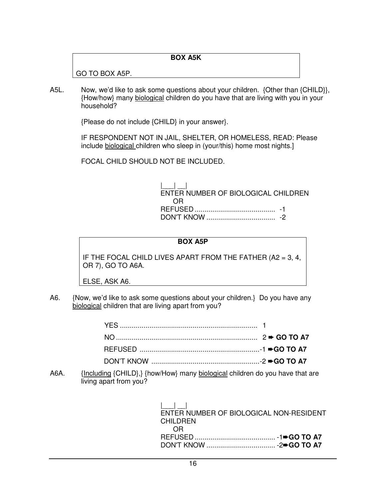# **BOX A5K**

GO TO BOX A5P.

A5L. Now, we'd like to ask some questions about your children. {Other than {CHILD}}, {How/how} many biological children do you have that are living with you in your household?

{Please do not include {CHILD} in your answer}.

 IF RESPONDENT NOT IN JAIL, SHELTER, OR HOMELESS, READ: Please include biological children who sleep in (your/this) home most nights.]

FOCAL CHILD SHOULD NOT BE INCLUDED.

 |\_\_\_| \_\_| ENTER NUMBER OF BIOLOGICAL CHILDREN OR REFUSED ......................................... -1 DON'T KNOW ................................... -2

#### **BOX A5P**

IF THE FOCAL CHILD LIVES APART FROM THE FATHER (A2 = 3, 4, OR 7), GO TO A6A.

ELSE, ASK A6.

A6. {Now, we'd like to ask some questions about your children.} Do you have any biological children that are living apart from you?

A6A. {Including {CHILD},} {how/How} many biological children do you have that are living apart from you?

| ENTER NUMBER OF BIOLOGICAL NON-RESIDENT |  |
|-----------------------------------------|--|
| <b>CHILDREN</b>                         |  |
| OR                                      |  |
|                                         |  |
|                                         |  |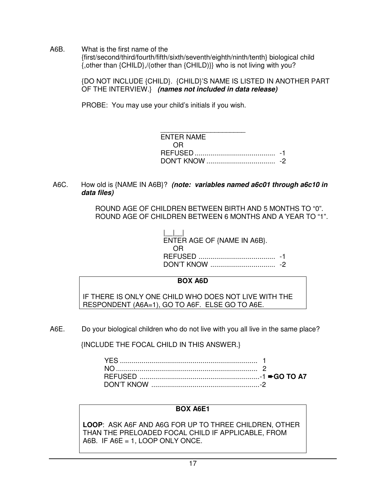A6B. What is the first name of the

{first/second/third/fourth/fifth/sixth/seventh/eighth/ninth/tenth} biological child {,other than {CHILD},/(other than {CHILD)}} who is not living with you?

{DO NOT INCLUDE {CHILD}. {CHILD}'S NAME IS LISTED IN ANOTHER PART OF THE INTERVIEW.} **(names not included in data release)**

PROBE: You may use your child's initials if you wish.

| <b>FNTER NAME</b> |  |
|-------------------|--|
| ⇔⊫                |  |
|                   |  |
|                   |  |

#### A6C. How old is {NAME IN A6B}? **(note: variables named a6c01 through a6c10 in data files)**

 ROUND AGE OF CHILDREN BETWEEN BIRTH AND 5 MONTHS TO "0". ROUND AGE OF CHILDREN BETWEEN 6 MONTHS AND A YEAR TO "1".

| OR) |                             |
|-----|-----------------------------|
|     |                             |
|     | ENTER AGE OF {NAME IN A6B}. |

#### **BOX A6D**

IF THERE IS ONLY ONE CHILD WHO DOES NOT LIVE WITH THE RESPONDENT (A6A=1), GO TO A6F. ELSE GO TO A6E.

A6E. Do your biological children who do not live with you all live in the same place?

{INCLUDE THE FOCAL CHILD IN THIS ANSWER.}

# **BOX A6E1**

**LOOP**: ASK A6F AND A6G FOR UP TO THREE CHILDREN, OTHER THAN THE PRELOADED FOCAL CHILD IF APPLICABLE, FROM A6B. IF  $A6E = 1$ . LOOP ONLY ONCE.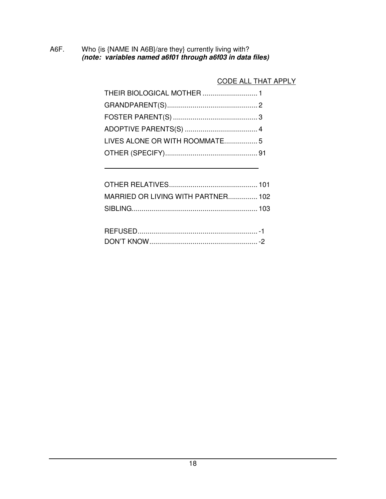A6F. Who {is {NAME IN A6B}/are they} currently living with? **(note: variables named a6f01 through a6f03 in data files)**

# CODE ALL THAT APPLY

| LIVES ALONE OR WITH ROOMMATE5 |  |
|-------------------------------|--|
|                               |  |
|                               |  |

| MARRIED OR LIVING WITH PARTNER 102 |  |
|------------------------------------|--|
|                                    |  |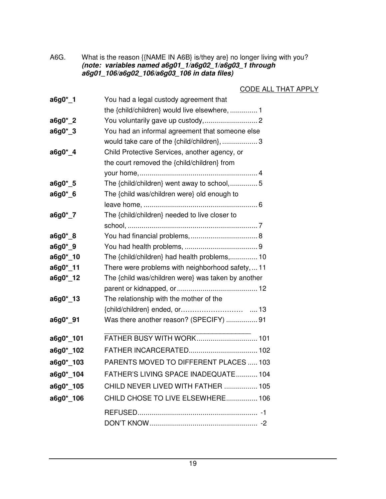A6G. What is the reason {{NAME IN A6B} is/they are} no longer living with you? **(note: variables named a6g01\_1/a6g02\_1/a6g03\_1 through a6g01\_106/a6g02\_106/a6g03\_106 in data files)** 

# CODE ALL THAT APPLY

| a6g0*_1      | You had a legal custody agreement that             |
|--------------|----------------------------------------------------|
|              | the {child/children} would live elsewhere,  1      |
| a6g0*_2      |                                                    |
| a6g0*_3      | You had an informal agreement that someone else    |
|              | would take care of the {child/children},  3        |
| $a6g0^*$ 4   | Child Protective Services, another agency, or      |
|              | the court removed the {child/children} from        |
|              |                                                    |
| a6g0'5       | The {child/children} went away to school,5         |
| a6g0*_6      | The {child was/children were} old enough to        |
|              |                                                    |
| a6g0*_7      | The {child/children} needed to live closer to      |
|              |                                                    |
| $a6g0^*$ $8$ |                                                    |
| a6g0*_9      |                                                    |
| $a6g0^*$ 10  | The {child/children} had health problems, 10       |
| a6g0*_11     | There were problems with neighborhood safety,  11  |
| $a6g0^*$ 12  | The {child was/children were} was taken by another |
|              |                                                    |
| a6g0*_13     | The relationship with the mother of the            |
|              |                                                    |
| a6g0*_91     | Was there another reason? (SPECIFY)  91            |
| a6g0*_101    |                                                    |
| a6g0*_102    | FATHER INCARCERATED 102                            |
| a6g0*_103    | PARENTS MOVED TO DIFFERENT PLACES  103             |
| a6g0*_104    | FATHER'S LIVING SPACE INADEQUATE 104               |
| a6g0*_105    | CHILD NEVER LIVED WITH FATHER  105                 |
| a6g0*_106    | CHILD CHOSE TO LIVE ELSEWHERE 106                  |
|              |                                                    |
|              |                                                    |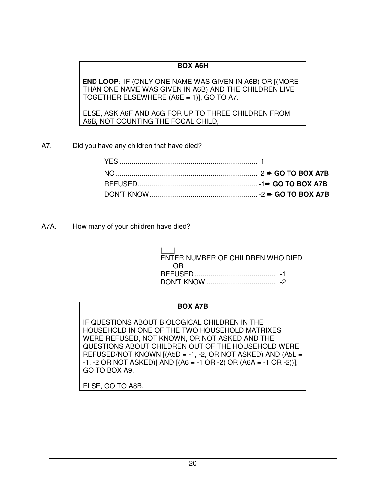# **BOX A6H**

**END LOOP**: IF (ONLY ONE NAME WAS GIVEN IN A6B) OR [(MORE THAN ONE NAME WAS GIVEN IN A6B) AND THE CHILDREN LIVE TOGETHER ELSEWHERE (A6E = 1)], GO TO A7.

ELSE, ASK A6F AND A6G FOR UP TO THREE CHILDREN FROM A6B, NOT COUNTING THE FOCAL CHILD,

A7. Did you have any children that have died?

A7A. How many of your children have died?

 |\_\_\_| ENTER NUMBER OF CHILDREN WHO DIED OR REFUSED ......................................... -1 DON'T KNOW ................................... -2

# **BOX A7B**

IF QUESTIONS ABOUT BIOLOGICAL CHILDREN IN THE HOUSEHOLD IN ONE OF THE TWO HOUSEHOLD MATRIXES WERE REFUSED, NOT KNOWN, OR NOT ASKED AND THE QUESTIONS ABOUT CHILDREN OUT OF THE HOUSEHOLD WERE REFUSED/NOT KNOWN  $[(A5D = -1, -2, OR NOT ASKED) AND (A5L =$  $-1$ ,  $-2$  OR NOT ASKED)] AND  $[(A6 = -1 \text{ OR } -2) \text{ OR } (A6A = -1 \text{ OR } -2)]$ GO TO BOX A9.

ELSE, GO TO A8B.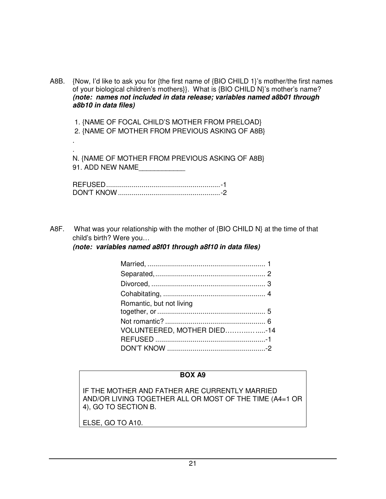A8B. {Now, I'd like to ask you for {the first name of {BIO CHILD 1}'s mother/the first names of your biological children's mothers}}. What is {BIO CHILD N}'s mother's name? **(note: names not included in data release; variables named a8b01 through a8b10 in data files)** 

 1. {NAME OF FOCAL CHILD'S MOTHER FROM PRELOAD} 2. {NAME OF MOTHER FROM PREVIOUS ASKING OF A8B}

. N. {NAME OF MOTHER FROM PREVIOUS ASKING OF A8B} 91. ADD NEW NAME\_\_\_\_\_\_\_\_\_\_\_\_

.

A8F. What was your relationship with the mother of {BIO CHILD N} at the time of that child's birth? Were you…

#### **(note: variables named a8f01 through a8f10 in data files)**

| Romantic, but not living   |  |
|----------------------------|--|
|                            |  |
|                            |  |
| VOLUNTEERED, MOTHER DIED14 |  |
|                            |  |
|                            |  |

#### **BOX A9**

IF THE MOTHER AND FATHER ARE CURRENTLY MARRIED AND/OR LIVING TOGETHER ALL OR MOST OF THE TIME (A4=1 OR 4), GO TO SECTION B.

ELSE, GO TO A10.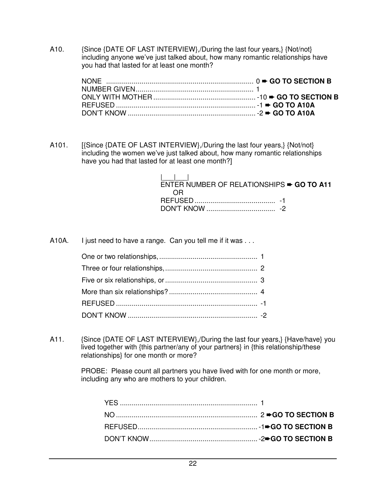A10. {Since {DATE OF LAST INTERVIEW},/During the last four years,} {Not/not} including anyone we've just talked about, how many romantic relationships have you had that lasted for at least one month?

A101. [{Since {DATE OF LAST INTERVIEW},/During the last four years,} {Not/not} including the women we've just talked about, how many romantic relationships have you had that lasted for at least one month?]

| ENTER NUMBER OF RELATIONSHIPS $\rightarrow$ GO TO A11 |  |
|-------------------------------------------------------|--|
| REFUSED 41<br>DON'T KNOW 2                            |  |

A10A. I just need to have a range. Can you tell me if it was . . .

A11. {Since {DATE OF LAST INTERVIEW},/During the last four years,} {Have/have} you lived together with {this partner/any of your partners} in {this relationship/these relationships} for one month or more?

> PROBE: Please count all partners you have lived with for one month or more, including any who are mothers to your children.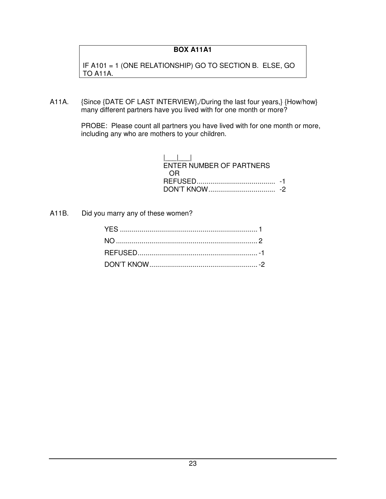# **BOX A11A1**

IF A101 = 1 (ONE RELATIONSHIP) GO TO SECTION B. ELSE, GO TO A11A.

A11A. {Since {DATE OF LAST INTERVIEW},/During the last four years,} {How/how} many different partners have you lived with for one month or more?

> PROBE: Please count all partners you have lived with for one month or more, including any who are mothers to your children.

> > $\Box$ ENTER NUMBER OF PARTNERS OR REFUSED ........................................ -1 DON'T KNOW .................................. -2

A11B. Did you marry any of these women?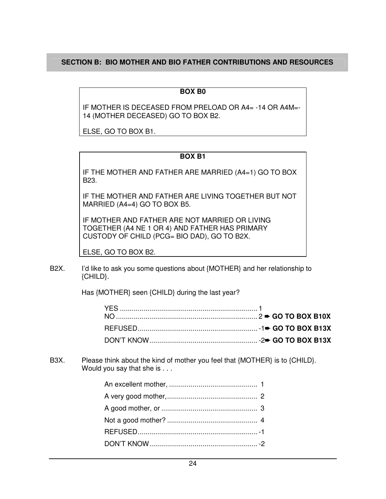# **SECTION B: BIO MOTHER AND BIO FATHER CONTRIBUTIONS AND RESOURCES**

#### **BOX B0**

IF MOTHER IS DECEASED FROM PRELOAD OR A4= -14 OR A4M=- 14 (MOTHER DECEASED) GO TO BOX B2.

ELSE, GO TO BOX B1.

#### **BOX B1**

IF THE MOTHER AND FATHER ARE MARRIED (A4=1) GO TO BOX B23.

IF THE MOTHER AND FATHER ARE LIVING TOGETHER BUT NOT MARRIED (A4=4) GO TO BOX B5.

IF MOTHER AND FATHER ARE NOT MARRIED OR LIVING TOGETHER (A4 NE 1 OR 4) AND FATHER HAS PRIMARY CUSTODY OF CHILD (PCG= BIO DAD), GO TO B2X.

ELSE, GO TO BOX B2.

B2X. I'd like to ask you some questions about {MOTHER} and her relationship to {CHILD}.

Has {MOTHER} seen {CHILD} during the last year?

B3X. Please think about the kind of mother you feel that {MOTHER} is to {CHILD}. Would you say that she is . . .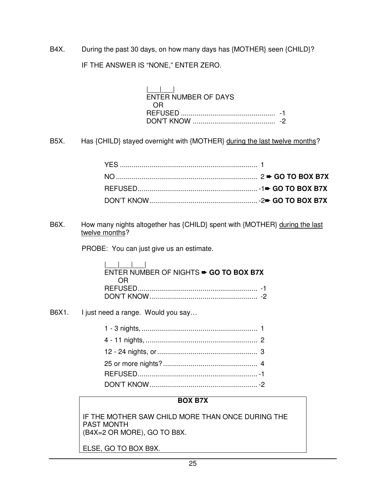B4X. During the past 30 days, on how many days has {MOTHER} seen {CHILD}? IF THE ANSWER IS "NONE," ENTER ZERO.

| $\mathbf{1}$ , $\mathbf{1}$ , $\mathbf{1}$ , $\mathbf{1}$ , $\mathbf{1}$ , $\mathbf{1}$ |  |
|-----------------------------------------------------------------------------------------|--|
| ENTER NUMBER OF DAYS                                                                    |  |
| 0.R                                                                                     |  |
|                                                                                         |  |
|                                                                                         |  |

B5X. Has {CHILD} stayed overnight with {MOTHER} during the last twelve months?

B6X. How many nights altogether has {CHILD} spent with {MOTHER} during the last twelve months?

PROBE: You can just give us an estimate.

| 1. 1. 1. 1.<br>ENTER NUMBER OF NIGHTS $\rightarrow$ GO TO BOX B7X |  |
|-------------------------------------------------------------------|--|
|                                                                   |  |
|                                                                   |  |

B6X1. I just need a range. Would you say...

# **BOX B7X**

IF THE MOTHER SAW CHILD MORE THAN ONCE DURING THE PAST MONTH

(B4X=2 OR MORE), GO TO B8X.

ELSE, GO TO BOX B9X.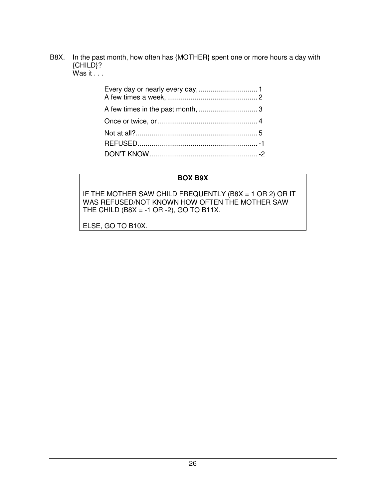B8X. In the past month, how often has {MOTHER} spent one or more hours a day with {CHILD}?

 $W$ as it  $\ldots$ 

# **BOX B9X**

IF THE MOTHER SAW CHILD FREQUENTLY (B8X = 1 OR 2) OR IT WAS REFUSED/NOT KNOWN HOW OFTEN THE MOTHER SAW THE CHILD (B8X = -1 OR -2), GO TO B11X.

ELSE, GO TO B10X.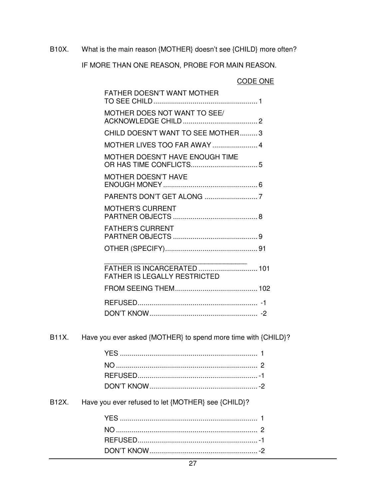B10X. What is the main reason {MOTHER} doesn't see {CHILD} more often?

IF MORE THAN ONE REASON, PROBE FOR MAIN REASON.

# CODE ONE

| <b>FATHER DOESN'T WANT MOTHER</b>      |  |
|----------------------------------------|--|
| MOTHER DOES NOT WANT TO SEE/           |  |
| CHILD DOESN'T WANT TO SEE MOTHER3      |  |
| MOTHER LIVES TOO FAR AWAY  4           |  |
| <b>MOTHER DOESN'T HAVE ENOUGH TIME</b> |  |
| <b>MOTHER DOESN'T HAVE</b>             |  |
|                                        |  |
| <b>MOTHER'S CURRENT</b>                |  |
| <b>FATHER'S CURRENT</b>                |  |
|                                        |  |
|                                        |  |
| <b>FATHER IS LEGALLY RESTRICTED</b>    |  |
|                                        |  |
|                                        |  |
|                                        |  |

# B11X. Have you ever asked {MOTHER} to spend more time with {CHILD}?

B12X. Have you ever refused to let {MOTHER} see {CHILD}?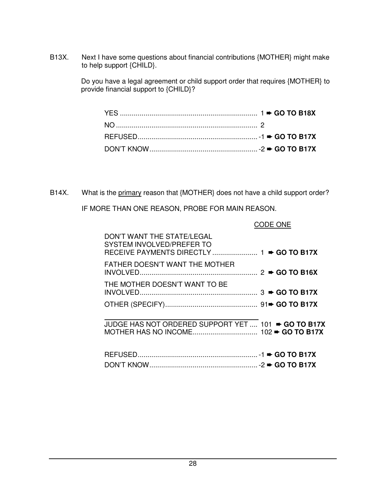B13X. Next I have some questions about financial contributions {MOTHER} might make to help support {CHILD}.

> Do you have a legal agreement or child support order that requires {MOTHER} to provide financial support to {CHILD}?

B14X. What is the primary reason that {MOTHER} does not have a child support order?

IF MORE THAN ONE REASON, PROBE FOR MAIN REASON.

|                                                         | <b>CODE ONE</b> |
|---------------------------------------------------------|-----------------|
| DON'T WANT THE STATE/LEGAL<br>SYSTEM INVOLVED/PREFER TO |                 |
| FATHER DOESN'T WANT THE MOTHER                          |                 |
| THE MOTHER DOESN'T WANT TO BE                           |                 |
|                                                         |                 |
| JUDGE HAS NOT ORDERED SUPPORT YET  101 → GO TO B17X     |                 |
|                                                         |                 |
|                                                         |                 |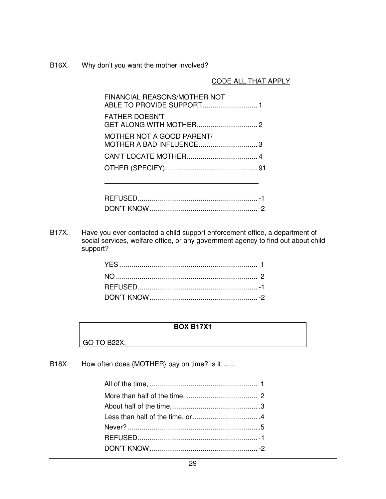B16X. Why don't you want the mother involved?

# CODE ALL THAT APPLY

| FINANCIAL REASONS/MOTHER NOT |  |
|------------------------------|--|
| <b>FATHER DOESN'T</b>        |  |
| MOTHER NOT A GOOD PARENT/    |  |
|                              |  |
|                              |  |
|                              |  |

B17X. Have you ever contacted a child support enforcement office, a department of social services, welfare office, or any government agency to find out about child support?

#### **BOX B17X1**

GO TO B22X.

B18X. How often does {MOTHER} pay on time? Is it……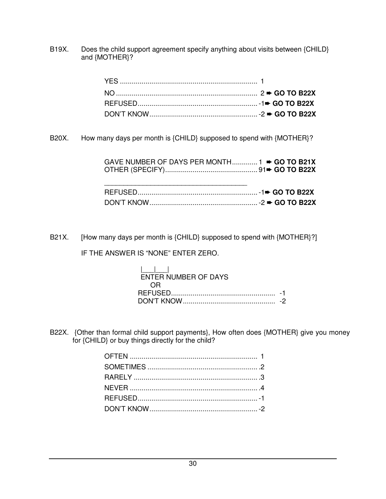B19X. Does the child support agreement specify anything about visits between {CHILD} and {MOTHER}?

B20X. How many days per month is {CHILD} supposed to spend with {MOTHER}?

| GAVE NUMBER OF DAYS PER MONTH 1 $\rightarrow$ GO TO B21X |
|----------------------------------------------------------|
|                                                          |

B21X. [How many days per month is {CHILD} supposed to spend with {MOTHER}?]

IF THE ANSWER IS "NONE" ENTER ZERO.

| .<br>ENTER NUMBER OF DAYS |  |
|---------------------------|--|
| 0 H                       |  |
|                           |  |
|                           |  |

B22X. {Other than formal child support payments}, How often does {MOTHER} give you money for {CHILD} or buy things directly for the child?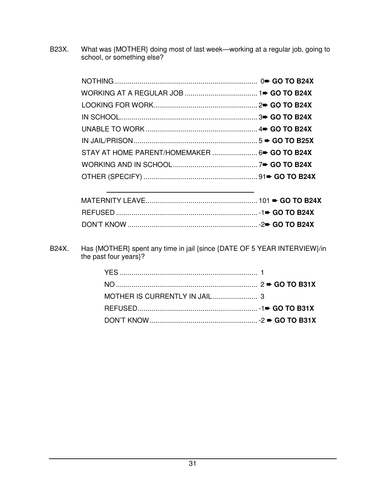B23X. What was {MOTHER} doing most of last week—working at a regular job, going to school, or something else?

| STAY AT HOME PARENT/HOMEMAKER  6→ GO TO B24X |  |
|----------------------------------------------|--|
|                                              |  |
|                                              |  |

B24X. Has {MOTHER} spent any time in jail {since {DATE OF 5 YEAR INTERVIEW}/in the past four years}?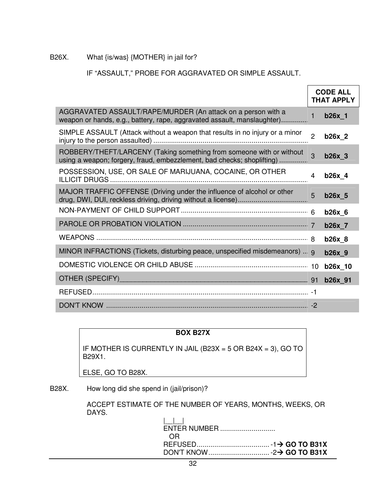B26X. What {is/was} {MOTHER} in jail for?

# IF "ASSAULT," PROBE FOR AGGRAVATED OR SIMPLE ASSAULT.

|                                                                                                                                                |                | <b>CODE ALL</b><br><b>THAT APPLY</b> |
|------------------------------------------------------------------------------------------------------------------------------------------------|----------------|--------------------------------------|
| AGGRAVATED ASSAULT/RAPE/MURDER (An attack on a person with a<br>weapon or hands, e.g., battery, rape, aggravated assault, manslaughter)        | $\mathbf{1}$   | $b26x_1$                             |
| SIMPLE ASSAULT (Attack without a weapon that results in no injury or a minor                                                                   | $\overline{2}$ | b26x 2                               |
| ROBBERY/THEFT/LARCENY (Taking something from someone with or without<br>using a weapon; forgery, fraud, embezzlement, bad checks; shoplifting) | 3              | b26x 3                               |
| POSSESSION, USE, OR SALE OF MARIJUANA, COCAINE, OR OTHER                                                                                       | 4              | b26x 4                               |
| MAJOR TRAFFIC OFFENSE (Driving under the influence of alcohol or other                                                                         | 5              | $b26x_5$                             |
|                                                                                                                                                |                | $b26x$ 6                             |
|                                                                                                                                                |                | $b26x$ $7$                           |
|                                                                                                                                                |                | b26x_8                               |
| MINOR INFRACTIONS (Tickets, disturbing peace, unspecified misdemeanors)  g                                                                     |                | b26x 9                               |
|                                                                                                                                                |                | b26x_10                              |
| OTHER (SPECIFY)                                                                                                                                | 91             | b26x_91                              |
|                                                                                                                                                |                |                                      |
|                                                                                                                                                |                |                                      |

| <b>BOX B27X</b>                                              |                   |
|--------------------------------------------------------------|-------------------|
| IF MOTHER IS CURRENTLY IN JAIL (B23X = 5 OR B24X = 3), GO TO | B29X1.            |
|                                                              | ELSE, GO TO B28X. |
|                                                              |                   |

B28X. How long did she spend in (jail/prison)?

 ACCEPT ESTIMATE OF THE NUMBER OF YEARS, MONTHS, WEEKS, OR DAYS.

| <b>ENTER NUMBER</b> |  |
|---------------------|--|
| - OR                |  |
|                     |  |
|                     |  |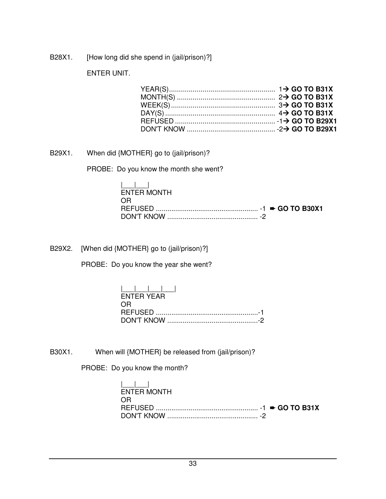B28X1. [How long did she spend in (jail/prison)?]

ENTER UNIT.

B29X1. When did {MOTHER} go to (jail/prison)?

PROBE: Do you know the month she went?

| المساحطا<br><b>ENTER MONTH</b> |  |
|--------------------------------|--|
| OR.                            |  |
|                                |  |
|                                |  |

B29X2. [When did {MOTHER} go to (jail/prison)?]

PROBE: Do you know the year she went?

| $\frac{1}{2}$ $\frac{1}{2}$ $\frac{1}{2}$ $\frac{1}{2}$ $\frac{1}{2}$ $\frac{1}{2}$ $\frac{1}{2}$ $\frac{1}{2}$<br>FNTFR YFAR |
|-------------------------------------------------------------------------------------------------------------------------------|
| OR.                                                                                                                           |
|                                                                                                                               |
|                                                                                                                               |

B30X1. When will {MOTHER} be released from (jail/prison)?

PROBE: Do you know the month?

| الطاطبا<br>ENTER MONTH |  |
|------------------------|--|
| - OR                   |  |
|                        |  |
|                        |  |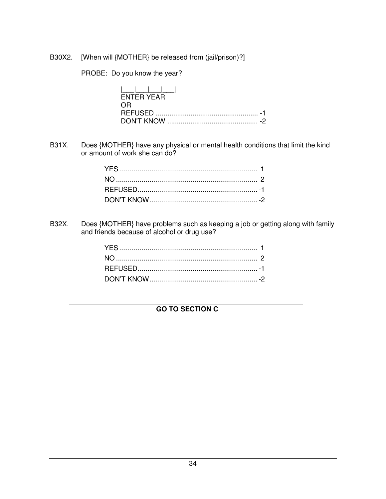B30X2. [When will {MOTHER} be released from (jail/prison)?]

PROBE: Do you know the year?

| المسالم والمسالمين |  |
|--------------------|--|
| <b>FNTFR YFAR</b>  |  |
| 0R.                |  |
|                    |  |
|                    |  |

B31X. Does {MOTHER} have any physical or mental health conditions that limit the kind or amount of work she can do?

B32X. Does {MOTHER} have problems such as keeping a job or getting along with family and friends because of alcohol or drug use?

# **GO TO SECTION C**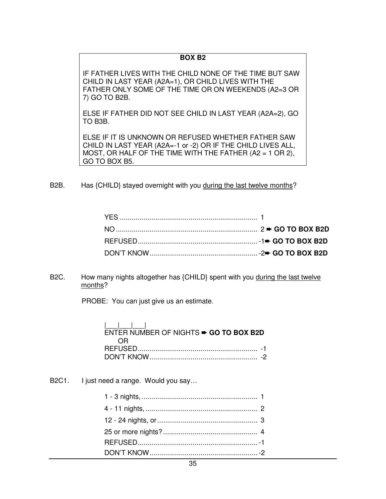#### **BOX B2**

IF FATHER LIVES WITH THE CHILD NONE OF THE TIME BUT SAW CHILD IN LAST YEAR (A2A=1), OR CHILD LIVES WITH THE FATHER ONLY SOME OF THE TIME OR ON WEEKENDS (A2=3 OR 7) GO TO B2B.

ELSE IF FATHER DID NOT SEE CHILD IN LAST YEAR (A2A=2), GO TO B3B.

ELSE IF IT IS UNKNOWN OR REFUSED WHETHER FATHER SAW CHILD IN LAST YEAR (A2A=-1 or -2) OR IF THE CHILD LIVES ALL, MOST, OR HALF OF THE TIME WITH THE FATHER  $(A2 = 1 \text{ OR } 2)$ , GO TO BOX B5.

B2B. Has {CHILD} stayed overnight with you during the last twelve months?

B2C. How many nights altogether has {CHILD} spent with you during the last twelve months?

PROBE: You can just give us an estimate.

| $\mathbf{1}$ $\mathbf{1}$ $\mathbf{1}$ $\mathbf{1}$<br>ENTER NUMBER OF NIGHTS $\rightarrow$ GO TO BOX B2D |  |
|-----------------------------------------------------------------------------------------------------------|--|
|                                                                                                           |  |

B2C1. I just need a range. Would you say...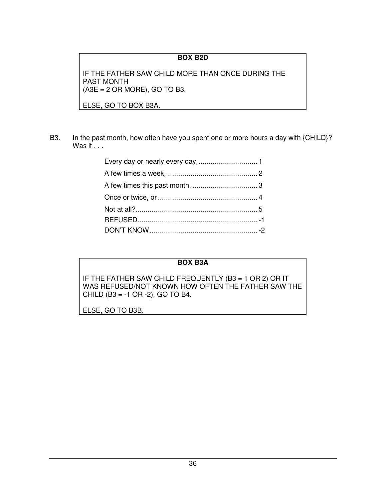# **BOX B2D**

IF THE FATHER SAW CHILD MORE THAN ONCE DURING THE PAST MONTH (A3E = 2 OR MORE), GO TO B3.

B3. In the past month, how often have you spent one or more hours a day with {CHILD}? Was it  $\ldots$ 

# **BOX B3A**

IF THE FATHER SAW CHILD FREQUENTLY (B3 = 1 OR 2) OR IT WAS REFUSED/NOT KNOWN HOW OFTEN THE FATHER SAW THE CHILD (B3 = -1 OR -2), GO TO B4.

ELSE, GO TO B3B.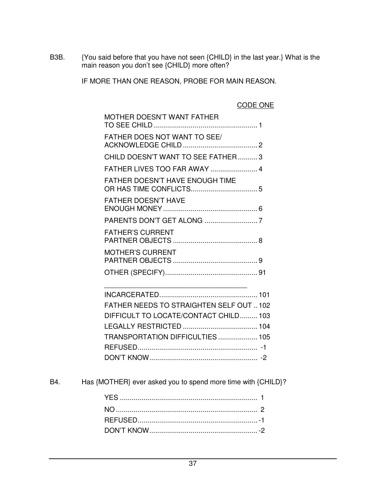B3B. {You said before that you have not seen {CHILD} in the last year.} What is the main reason you don't see {CHILD} more often?

IF MORE THAN ONE REASON, PROBE FOR MAIN REASON.

## CODE ONE

| <b>MOTHER DOESN'T WANT FATHER</b>        |  |
|------------------------------------------|--|
| <b>FATHER DOES NOT WANT TO SEE/</b>      |  |
| CHILD DOESN'T WANT TO SEE FATHER3        |  |
| <b>FATHER LIVES TOO FAR AWAY  4</b>      |  |
| FATHER DOESN'T HAVE ENOUGH TIME          |  |
| <b>FATHER DOESN'T HAVE</b>               |  |
|                                          |  |
| <b>FATHER'S CURRENT</b>                  |  |
| <b>MOTHER'S CURRENT</b>                  |  |
|                                          |  |
|                                          |  |
|                                          |  |
| FATHER NEEDS TO STRAIGHTEN SELF OUT  102 |  |
| DIFFICULT TO LOCATE/CONTACT CHILD 103    |  |
|                                          |  |
| TRANSPORTATION DIFFICULTIES  105         |  |
|                                          |  |
|                                          |  |

B4. Has {MOTHER} ever asked you to spend more time with {CHILD}?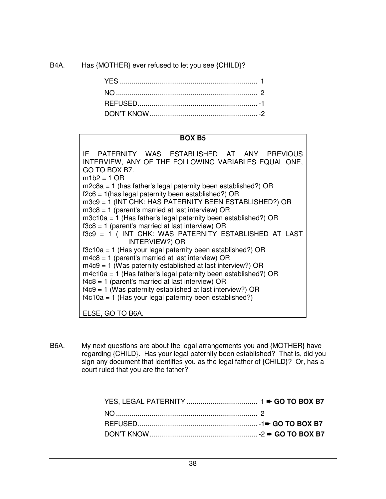B4A. Has {MOTHER} ever refused to let you see {CHILD}?

#### **BOX B5**

IF PATERNITY WAS ESTABLISHED AT ANY PREVIOUS INTERVIEW, ANY OF THE FOLLOWING VARIABLES EQUAL ONE, GO TO BOX B7.  $m1b2 = 1$  OR m2c8a = 1 (has father's legal paternity been established?) OR f2c6 = 1(has legal paternity been established?) OR m3c9 = 1 (INT CHK: HAS PATERNITY BEEN ESTABLISHED?) OR m3c8 = 1 (parent's married at last interview) OR m3c10a = 1 (Has father's legal paternity been established?) OR f3c8 = 1 (parent's married at last interview) OR f3c9 = 1 ( INT CHK: WAS PATERNITY ESTABLISHED AT LAST INTERVIEW?) OR f3c10a = 1 (Has your legal paternity been established?) OR m4c8 = 1 (parent's married at last interview) OR m4c9 = 1 (Was paternity established at last interview?) OR m4c10a = 1 (Has father's legal paternity been established?) OR  $f4c8 = 1$  (parent's married at last interview) OR f4c9 = 1 (Was paternity established at last interview?) OR  $f4c10a = 1$  (Has your legal paternity been established?) ELSE, GO TO B6A.

B6A. My next questions are about the legal arrangements you and {MOTHER} have regarding {CHILD}. Has your legal paternity been established? That is, did you sign any document that identifies you as the legal father of {CHILD}? Or, has a court ruled that you are the father?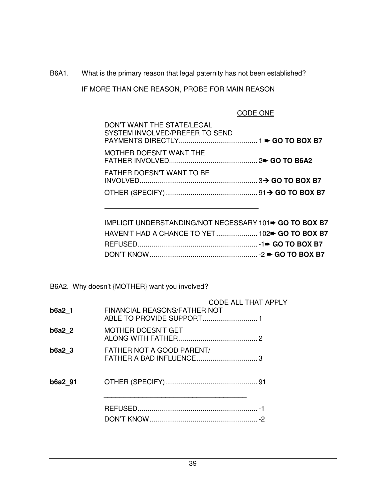B6A1. What is the primary reason that legal paternity has not been established?

IF MORE THAN ONE REASON, PROBE FOR MAIN REASON

# CODE ONE

| DON'T WANT THE STATE/LEGAL<br>SYSTEM INVOLVED/PREFER TO SEND |  |
|--------------------------------------------------------------|--|
| MOTHER DOESN'T WANT THE                                      |  |
| FATHER DOESN'T WANT TO BE                                    |  |
|                                                              |  |

| IMPLICIT UNDERSTANDING/NOT NECESSARY 101➡ GO TO BOX B7 |  |
|--------------------------------------------------------|--|
|                                                        |  |
|                                                        |  |
|                                                        |  |

B6A2. Why doesn't {MOTHER} want you involved?

|                   |                                  | <b>CODE ALL THAT APPLY</b> |
|-------------------|----------------------------------|----------------------------|
| b6a2 1            | FINANCIAL REASONS/FATHER NOT     |                            |
| b6a22             | MOTHER DOESN'T GET               |                            |
| b6a2 <sub>3</sub> | <b>FATHER NOT A GOOD PARENT/</b> |                            |
| b6a2 91           |                                  |                            |
|                   |                                  |                            |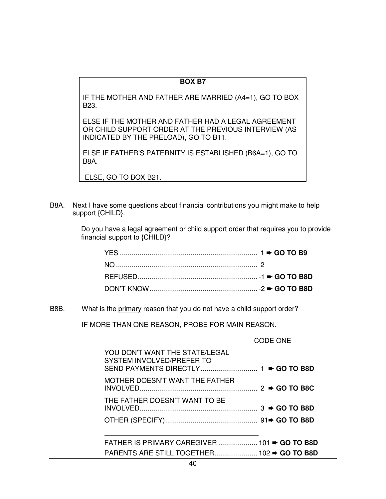#### **BOX B7**

IF THE MOTHER AND FATHER ARE MARRIED (A4=1), GO TO BOX B23.

ELSE IF THE MOTHER AND FATHER HAD A LEGAL AGREEMENT OR CHILD SUPPORT ORDER AT THE PREVIOUS INTERVIEW (AS INDICATED BY THE PRELOAD), GO TO B11.

ELSE IF FATHER'S PATERNITY IS ESTABLISHED (B6A=1), GO TO B8A.

ELSE, GO TO BOX B21.

B8A. Next I have some questions about financial contributions you might make to help support {CHILD}.

> Do you have a legal agreement or child support order that requires you to provide financial support to {CHILD}?

B8B. What is the primary reason that you do not have a child support order?

IF MORE THAN ONE REASON, PROBE FOR MAIN REASON.

#### CODE ONE

| YOU DON'T WANT THE STATE/LEGAL<br>SYSTEM INVOLVED/PREFER TO |  |
|-------------------------------------------------------------|--|
| MOTHER DOESN'T WANT THE FATHER                              |  |
| THE FATHER DOESN'T WANT TO BE                               |  |
|                                                             |  |
| FATHER IS PRIMARY CAREGIVER  101 → GO TO B8D                |  |
|                                                             |  |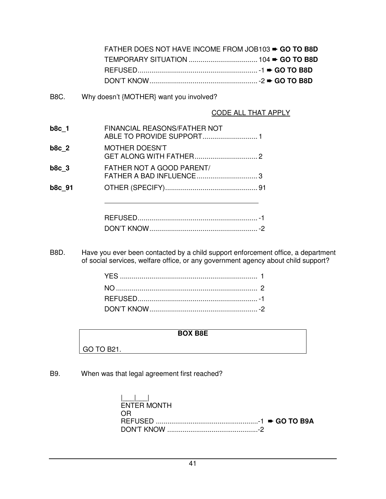|              | FATHER DOES NOT HAVE INCOME FROM JOB103 → GO TO B8D                           |
|--------------|-------------------------------------------------------------------------------|
| <b>B8C.</b>  | Why doesn't {MOTHER} want you involved?                                       |
|              | CODE ALL THAT APPLY                                                           |
| b8c 1        | FINANCIAL REASONS/FATHER NOT                                                  |
| $b8c$ 2      | <b>MOTHER DOESN'T</b>                                                         |
| <b>b8c 3</b> | FATHER NOT A GOOD PARENT/                                                     |
| b8c_91       |                                                                               |
|              |                                                                               |
|              |                                                                               |
|              |                                                                               |
| B8D.         | Have you ever been contacted by a child support enforcement office, a departn |

B8D. Have you ever been contacted by a child support enforcement office, a department of social services, welfare office, or any government agency about child support?

# **BOX B8E**

GO TO B21.

B9. When was that legal agreement first reached?

| المساحط المنا      |  |
|--------------------|--|
| <b>ENTER MONTH</b> |  |
| OR.                |  |
|                    |  |
|                    |  |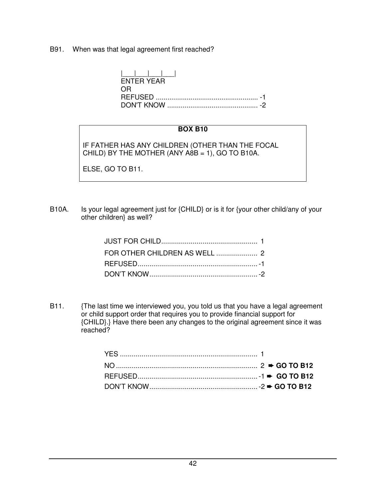B91. When was that legal agreement first reached?

| FNTFR YFAR |
|------------|
| OR.        |
|            |
|            |

#### **BOX B10**

IF FATHER HAS ANY CHILDREN (OTHER THAN THE FOCAL CHILD) BY THE MOTHER (ANY  $A\dot{B}B = 1$ ), GO TO B10A.

ELSE, GO TO B11.

B10A. Is your legal agreement just for {CHILD} or is it for {your other child/any of your other children} as well?

B11. {The last time we interviewed you, you told us that you have a legal agreement or child support order that requires you to provide financial support for {CHILD}.} Have there been any changes to the original agreement since it was reached?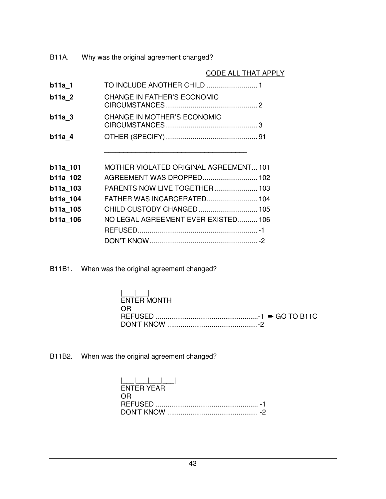B11A. Why was the original agreement changed?

|          | <b>CODE ALL THAT APPLY</b>                   |
|----------|----------------------------------------------|
| b11a 1   |                                              |
| $b11a$ 2 | <b>CHANGE IN FATHER'S ECONOMIC</b>           |
| $b11a$ 3 | <b>CHANGE IN MOTHER'S ECONOMIC</b>           |
| $b11a$ 4 |                                              |
|          |                                              |
| b11a 101 | <b>MOTHER VIOLATED ORIGINAL AGREEMENT101</b> |
| b11a_102 | AGREEMENT WAS DROPPED 102                    |
| b11a 103 | PARENTS NOW LIVE TOGETHER 103                |
| b11a 104 | FATHER WAS INCARCERATED 104                  |
| b11a_105 | CHILD CUSTODY CHANGED 105                    |
| b11a 106 | NO LEGAL AGREEMENT EVER EXISTED 106          |
|          |                                              |
|          |                                              |

B11B1. When was the original agreement changed?

| <b>The Common</b> |  |
|-------------------|--|
| ENTER MONTH       |  |
| OR.               |  |
|                   |  |
|                   |  |

B11B2. When was the original agreement changed?

| <b>FNTER YFAR</b> |  |
|-------------------|--|
| OR.               |  |
|                   |  |
|                   |  |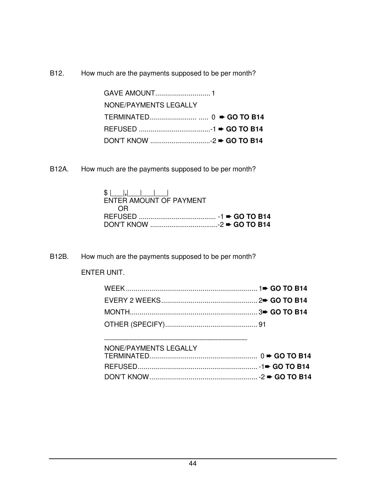B12. How much are the payments supposed to be per month?

| NONE/PAYMENTS LEGALLY |  |
|-----------------------|--|
|                       |  |
|                       |  |
|                       |  |

B12A. How much are the payments supposed to be per month?

| ENTER AMOUNT OF PAYMENT |  |
|-------------------------|--|
| - OR                    |  |
|                         |  |
|                         |  |

B12B. How much are the payments supposed to be per month?

\_\_\_\_\_\_\_\_\_\_\_\_\_\_\_\_\_\_\_\_\_\_\_\_\_\_\_\_\_\_\_\_\_\_\_\_\_

## ENTER UNIT.

| NONE/PAYMENTS LEGALLY |  |
|-----------------------|--|
|                       |  |
|                       |  |
|                       |  |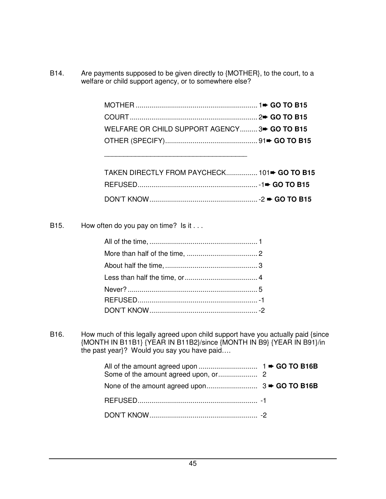B14. Are payments supposed to be given directly to {MOTHER}, to the court, to a welfare or child support agency, or to somewhere else?

| WELFARE OR CHILD SUPPORT AGENCY 3 <sup>+</sup> GO TO B15 |  |
|----------------------------------------------------------|--|
|                                                          |  |

B15. How often do you pay on time? Is it . . .

\_\_\_\_\_\_\_\_\_\_\_\_\_\_\_\_\_\_\_\_\_\_\_\_\_\_\_\_\_\_\_\_\_\_\_\_\_

B16. How much of this legally agreed upon child support have you actually paid {since {MONTH IN B11B1} {YEAR IN B11B2}/since {MONTH IN B9} {YEAR IN B91}/in the past year}? Would you say you have paid….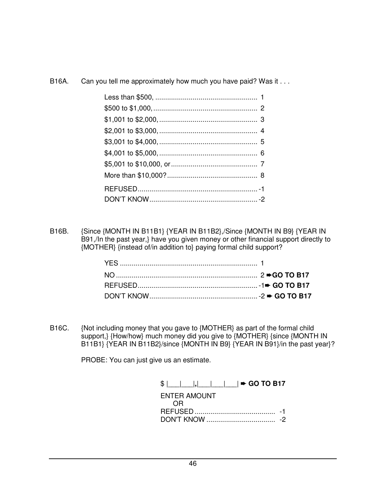B16A. Can you tell me approximately how much you have paid? Was it . . .

B16B. {Since {MONTH IN B11B1} {YEAR IN B11B2},/Since {MONTH IN B9} {YEAR IN B91,/In the past year,} have you given money or other financial support directly to {MOTHER} {instead of/in addition to} paying formal child support?

B16C. {Not including money that you gave to {MOTHER} as part of the formal child support,} {How/how} much money did you give to {MOTHER} {since {MONTH IN B11B1} {YEAR IN B11B2}/since {MONTH IN B9} {YEAR IN B91}/in the past year}?

PROBE: You can just give us an estimate.

 $\frac{1}{2}$   $\frac{1}{2}$   $\frac{1}{2}$   $\frac{1}{2}$   $\frac{1}{2}$   $\frac{1}{2}$   $\frac{1}{2}$   $\frac{1}{2}$   $\frac{1}{2}$  GO TO B17

| ENTER AMOUNT |  |
|--------------|--|
|              |  |
|              |  |
|              |  |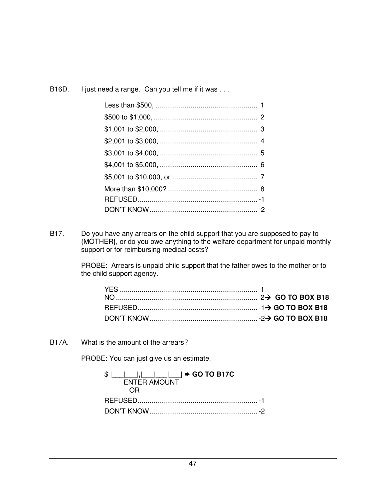B16D. I just need a range. Can you tell me if it was . . .

B17. Do you have any arrears on the child support that you are supposed to pay to {MOTHER}, or do you owe anything to the welfare department for unpaid monthly support or for reimbursing medical costs?

> PROBE: Arrears is unpaid child support that the father owes to the mother or to the child support agency.

B17A. What is the amount of the arrears?

PROBE: You can just give us an estimate.

| $\Box$    $\Box$   $\Box$   $\blacktriangleright$ GO TO B17C |  |
|--------------------------------------------------------------|--|
| ENTER AMOUNT                                                 |  |
|                                                              |  |
|                                                              |  |
|                                                              |  |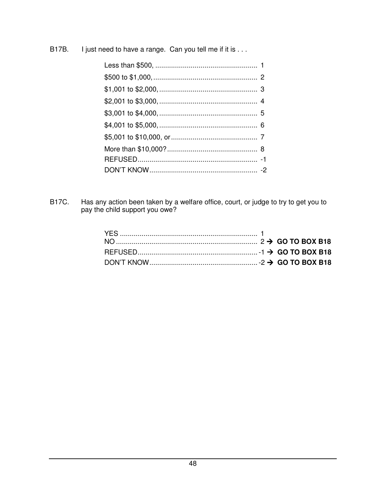B17B. I just need to have a range. Can you tell me if it is . . .

Has any action been taken by a welfare office, court, or judge to try to get you to pay the child support you owe? **B17C.**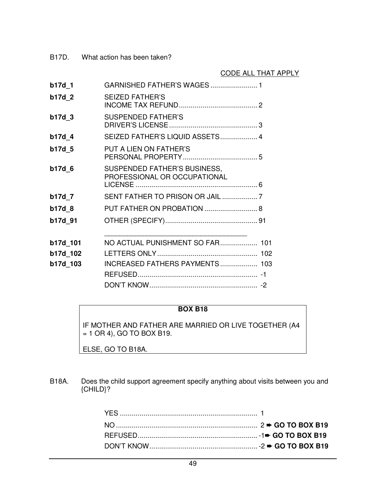B17D. What action has been taken?

## CODE ALL THAT APPLY

| b17d 1   | GARNISHED FATHER'S WAGES 1                                   |
|----------|--------------------------------------------------------------|
| b17d 2   | <b>SEIZED FATHER'S</b>                                       |
| b17d 3   | <b>SUSPENDED FATHER'S</b>                                    |
| b17d_4   | SEIZED FATHER'S LIQUID ASSETS 4                              |
| b17d 5   | PUT A LIEN ON FATHER'S                                       |
| $b17d$ 6 | SUSPENDED FATHER'S BUSINESS,<br>PROFESSIONAL OR OCCUPATIONAL |
| b17d_7   | SENT FATHER TO PRISON OR JAIL 7                              |
| b17d 8   | PUT FATHER ON PROBATION  8                                   |
| b17d 91  |                                                              |
| b17d_101 | NO ACTUAL PUNISHMENT SO FAR 101                              |
| b17d_102 |                                                              |
| b17d_103 | INCREASED FATHERS PAYMENTS 103                               |
|          |                                                              |
|          |                                                              |

## **BOX B18**

IF MOTHER AND FATHER ARE MARRIED OR LIVE TOGETHER (A4  $= 1$  OR 4), GO TO BOX B19.

ELSE, GO TO B18A.

B18A. Does the child support agreement specify anything about visits between you and {CHILD}?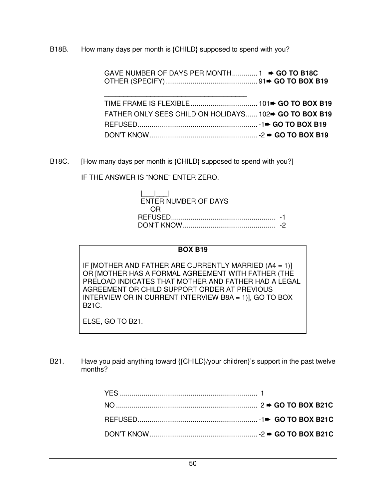B18B. How many days per month is {CHILD} supposed to spend with you?

GAVE NUMBER OF DAYS PER MONTH...............1 **→ GO TO B18C** OTHER (SPECIFY) ............................................... 91➨ **GO TO BOX B19**

| FATHER ONLY SEES CHILD ON HOLIDAYS 102→ GO TO BOX B19 |  |
|-------------------------------------------------------|--|
|                                                       |  |
|                                                       |  |

B18C. [How many days per month is {CHILD} supposed to spend with you?]

IF THE ANSWER IS "NONE" ENTER ZERO.

| $\mathbf{I}$ and $\mathbf{I}$ and $\mathbf{I}$<br>ENTER NUMBER OF DAYS |  |
|------------------------------------------------------------------------|--|
|                                                                        |  |
|                                                                        |  |
|                                                                        |  |

#### **BOX B19**

IF [MOTHER AND FATHER ARE CURRENTLY MARRIED (A4 = 1)] OR [MOTHER HAS A FORMAL AGREEMENT WITH FATHER (THE PRELOAD INDICATES THAT MOTHER AND FATHER HAD A LEGAL AGREEMENT OR CHILD SUPPORT ORDER AT PREVIOUS INTERVIEW OR IN CURRENT INTERVIEW B8A = 1)], GO TO BOX B21C.

ELSE, GO TO B21.

B21. Have you paid anything toward {{CHILD}/your children}'s support in the past twelve months?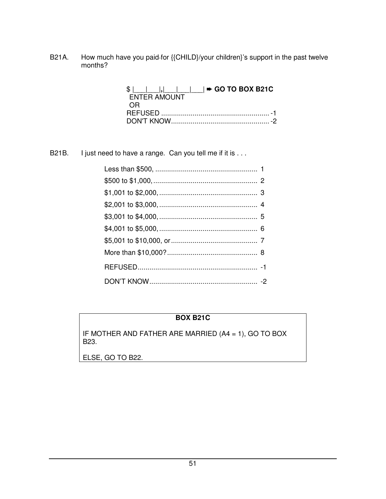B21A. How much have you paid-for {{CHILD}/your children}'s support in the past twelve months?

| $\frac{1}{2}$                         GO TO BOX B21C |
|------------------------------------------------------|
| <b>ENTER AMOUNT</b>                                  |
| OR)                                                  |
| REFUSED                                              |
|                                                      |

B21B. I just need to have a range. Can you tell me if it is . . .

# **BOX B21C**

IF MOTHER AND FATHER ARE MARRIED (A4 = 1), GO TO BOX B23.

ELSE, GO TO B22.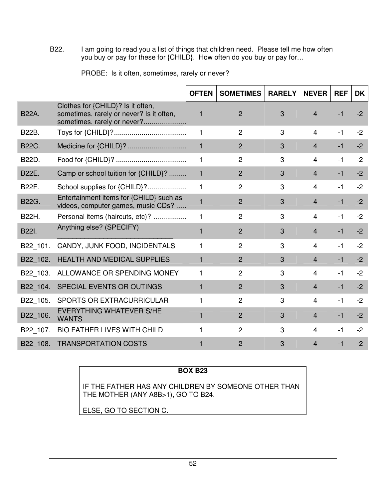B22. I am going to read you a list of things that children need. Please tell me how often you buy or pay for these for {CHILD}. How often do you buy or pay for…

|              |                                                                                                              | <b>OFTEN</b>   | <b>SOMETIMES</b> | <b>RARELY</b> | <b>NEVER</b>   | <b>REF</b> | <b>DK</b> |
|--------------|--------------------------------------------------------------------------------------------------------------|----------------|------------------|---------------|----------------|------------|-----------|
| <b>B22A.</b> | Clothes for {CHILD}? Is it often,<br>sometimes, rarely or never? Is it often,<br>sometimes, rarely or never? | 1              | $\overline{2}$   | 3             | $\overline{4}$ | $-1$       | $-2$      |
| <b>B22B.</b> |                                                                                                              | 1.             | $\overline{c}$   | 3             | 4              | $-1$       | $-2$      |
| <b>B22C.</b> | Medicine for {CHILD}?                                                                                        | $\mathbf{1}$   | $\overline{2}$   | 3             | $\overline{4}$ | $-1$       | $-2$      |
| B22D.        |                                                                                                              | 1              | $\overline{2}$   | 3             | 4              | $-1$       | $-2$      |
| <b>B22E.</b> | Camp or school tuition for {CHILD}?                                                                          | $\mathbf{1}$   | $\overline{2}$   | 3             | $\overline{4}$ | $-1$       | $-2$      |
| <b>B22F.</b> | School supplies for {CHILD}?                                                                                 | 1              | $\overline{2}$   | 3             | 4              | $-1$       | $-2$      |
| B22G.        | Entertainment items for {CHILD} such as<br>videos, computer games, music CDs?                                | $\mathbf{1}$   | $\overline{2}$   | 3             | $\overline{4}$ | $-1$       | $-2$      |
| <b>B22H.</b> | Personal items (haircuts, etc)?                                                                              | 1              | $\overline{2}$   | 3             | $\overline{4}$ | $-1$       | $-2$      |
| <b>B22I.</b> | Anything else? (SPECIFY)                                                                                     | 1              | $\overline{2}$   | 3             | $\overline{4}$ | $-1$       | $-2$      |
| B22 101.     | CANDY, JUNK FOOD, INCIDENTALS                                                                                | 1              | $\overline{c}$   | 3             | 4              | $-1$       | $-2$      |
| B22 102.     | <b>HEALTH AND MEDICAL SUPPLIES</b>                                                                           | 1              | $\overline{2}$   | 3             | $\overline{4}$ | $-1$       | $-2$      |
| B22 103.     | ALLOWANCE OR SPENDING MONEY                                                                                  | 1              | $\overline{2}$   | 3             | 4              | $-1$       | $-2$      |
| B22 104.     | SPECIAL EVENTS OR OUTINGS                                                                                    | $\blacksquare$ | $\overline{2}$   | 3             | $\overline{4}$ | $-1$       | $-2$      |
| B22 105.     | <b>SPORTS OR EXTRACURRICULAR</b>                                                                             | 1              | $\overline{2}$   | 3             | $\overline{4}$ | $-1$       | $-2$      |
| B22_106.     | <b>EVERYTHING WHATEVER S/HE</b><br><b>WANTS</b>                                                              | 1              | $\overline{2}$   | 3             | $\overline{4}$ | $-1$       | $-2$      |
| B22 107.     | <b>BIO FATHER LIVES WITH CHILD</b>                                                                           | 1              | $\overline{2}$   | 3             | 4              | $-1$       | $-2$      |
| B22 108.     | <b>TRANSPORTATION COSTS</b>                                                                                  |                | $\overline{2}$   | 3             | $\overline{4}$ | $-1$       | $-2$      |

PROBE: Is it often, sometimes, rarely or never?

#### **BOX B23**

IF THE FATHER HAS ANY CHILDREN BY SOMEONE OTHER THAN THE MOTHER (ANY A8B>1), GO TO B24.

ELSE, GO TO SECTION C.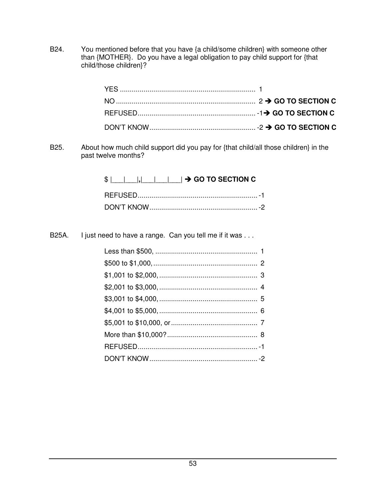B24. You mentioned before that you have {a child/some children} with someone other than {MOTHER}. Do you have a legal obligation to pay child support for {that child/those children}?

B25. About how much child support did you pay for {that child/all those children} in the past twelve months?

| $\frac{1}{2}$ $\frac{1}{2}$ $\frac{1}{2}$ $\frac{1}{2}$ $\frac{1}{2}$ GO TO SECTION C |  |
|---------------------------------------------------------------------------------------|--|
|                                                                                       |  |
|                                                                                       |  |

B25A. I just need to have a range. Can you tell me if it was . . .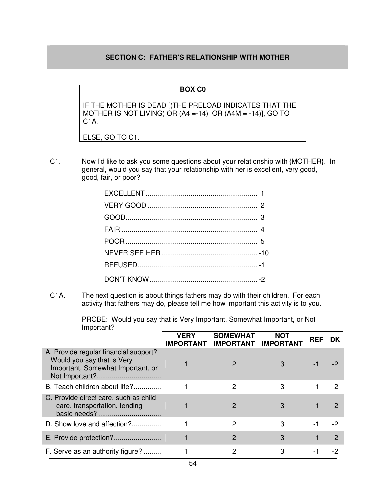#### **SECTION C: FATHER'S RELATIONSHIP WITH MOTHER**

#### **BOX C0**

IF THE MOTHER IS DEAD [(THE PRELOAD INDICATES THAT THE MOTHER IS NOT LIVING) OR  $(A4 = -14)$  OR  $(A4M = -14)$ , GO TO C1A.

ELSE, GO TO C1.

C1. Now I'd like to ask you some questions about your relationship with {MOTHER}. In general, would you say that your relationship with her is excellent, very good, good, fair, or poor?

C1A. The next question is about things fathers may do with their children. For each activity that fathers may do, please tell me how important this activity is to you.

> PROBE: Would you say that is Very Important, Somewhat Important, or Not Important?

|                                                                                                          | <b>VERY</b><br><b>IMPORTANT</b> | <b>SOMEWHAT</b><br><b>IMPORTANT</b> | <b>NOT</b><br><b>IMPORTANT</b> | <b>REF</b> | DK.  |
|----------------------------------------------------------------------------------------------------------|---------------------------------|-------------------------------------|--------------------------------|------------|------|
| A. Provide regular financial support?<br>Would you say that is Very<br>Important, Somewhat Important, or |                                 | 2                                   | 3                              | -1         |      |
| B. Teach children about life?                                                                            |                                 | 2                                   | 3                              | -1         | -2   |
| C. Provide direct care, such as child<br>care, transportation, tending                                   |                                 | 2                                   | 3                              | -1         |      |
| D. Show love and affection?                                                                              |                                 | 2                                   | 3                              | -1         | -2   |
|                                                                                                          |                                 | $\overline{2}$                      | 3                              | $-1$       | $-2$ |
| F. Serve as an authority figure?                                                                         |                                 | 2                                   | 3                              | -1         | -2   |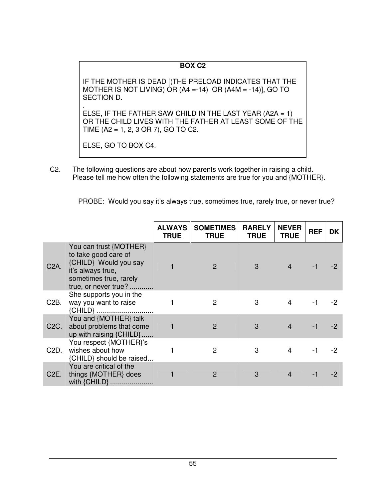# **BOX C2**

IF THE MOTHER IS DEAD [(THE PRELOAD INDICATES THAT THE MOTHER IS NOT LIVING) OR  $(A4 = -14)$  OR  $(A4M = -14)$ ], GO TO SECTION D.

. ELSE, IF THE FATHER SAW CHILD IN THE LAST YEAR (A2A = 1) OR THE CHILD LIVES WITH THE FATHER AT LEAST SOME OF THE TIME (A2 = 1, 2, 3 OR 7), GO TO C2.

ELSE, GO TO BOX C4.

C2. The following questions are about how parents work together in raising a child. Please tell me how often the following statements are true for you and {MOTHER}.

PROBE: Would you say it's always true, sometimes true, rarely true, or never true?

|                   |                                                                                                                                                | <b>ALWAYS</b><br><b>TRUE</b> | <b>SOMETIMES</b><br><b>TRUE</b> | <b>RARELY</b><br><b>TRUE</b> | <b>NEVER</b><br><b>TRUE</b> | <b>REF</b> | <b>DK</b> |
|-------------------|------------------------------------------------------------------------------------------------------------------------------------------------|------------------------------|---------------------------------|------------------------------|-----------------------------|------------|-----------|
| C <sub>2</sub> A. | You can trust {MOTHER}<br>to take good care of<br>{CHILD} Would you say<br>it's always true,<br>sometimes true, rarely<br>true, or never true? |                              | $\mathcal{P}$                   | 3                            |                             |            |           |
| C <sub>2</sub> B. | She supports you in the<br>way you want to raise<br>{CHILD}                                                                                    |                              | 2                               | 3                            | 4                           |            | -2        |
| C <sub>2</sub> C. | You and {MOTHER} talk<br>about problems that come<br>up with raising $\{CHILD\}$                                                               |                              | 2                               | 3                            | $\overline{4}$              | $-1$       | -2        |
| C2D.              | You respect {MOTHER}'s<br>wishes about how<br>{CHILD} should be raised                                                                         |                              | $\mathcal{P}$                   | 3                            | 4                           | -1         | -2        |
| C <sub>2</sub> E. | You are critical of the<br>things {MOTHER} does<br>with {CHILD}                                                                                |                              | 2                               | 3                            | 4                           |            |           |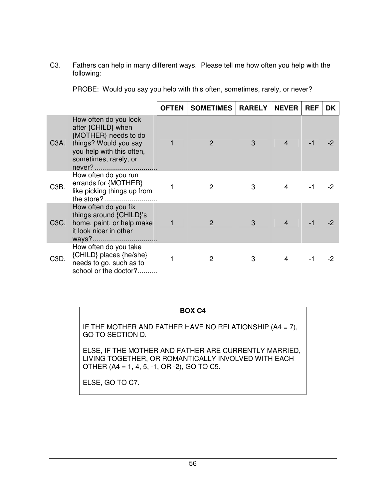C3. Fathers can help in many different ways. Please tell me how often you help with the following:

PROBE: Would you say you help with this often, sometimes, rarely, or never?

|                   |                                                                                                                                                    | <b>OFTEN</b> | <b>SOMETIMES</b> | <b>RARELY</b> | <b>NEVER</b> | <b>REF</b> | <b>DK</b> |
|-------------------|----------------------------------------------------------------------------------------------------------------------------------------------------|--------------|------------------|---------------|--------------|------------|-----------|
| C3A.              | How often do you look<br>after {CHILD} when<br>{MOTHER} needs to do<br>things? Would you say<br>you help with this often,<br>sometimes, rarely, or |              | 2                | 3             |              |            |           |
| C <sub>3</sub> B. | How often do you run<br>errands for {MOTHER}<br>like picking things up from<br>the store?                                                          |              | 2                | 3             |              |            |           |
| C3C.              | How often do you fix<br>things around {CHILD}'s<br>home, paint, or help make<br>it look nicer in other                                             |              | 2                | 3             |              |            |           |
| C3D               | How often do you take<br>{CHILD} places {he/she}<br>needs to go, such as to<br>school or the doctor?                                               |              | 2                | 3             |              |            |           |

**BOX C4**

IF THE MOTHER AND FATHER HAVE NO RELATIONSHIP (A4 = 7), GO TO SECTION D.

ELSE, IF THE MOTHER AND FATHER ARE CURRENTLY MARRIED, LIVING TOGETHER, OR ROMANTICALLY INVOLVED WITH EACH OTHER (A4 = 1, 4, 5, -1, OR -2), GO TO C5.

ELSE, GO TO C7.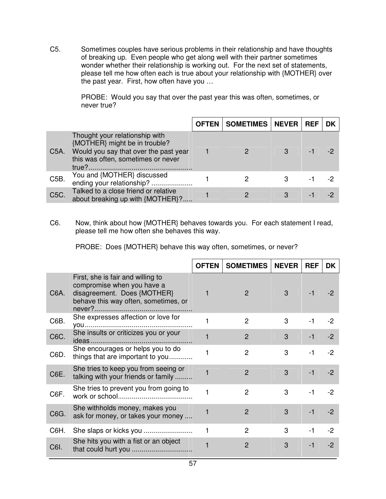C5. Sometimes couples have serious problems in their relationship and have thoughts of breaking up. Even people who get along well with their partner sometimes wonder whether their relationship is working out. For the next set of statements, please tell me how often each is true about your relationship with {MOTHER} over the past year. First, how often have you …

> PROBE: Would you say that over the past year this was often, sometimes, or never true?

|                  |                                                                                                                                                         | <b>OFTEN   SOMETIMES   NEVER   REF</b> |  | <b>DK</b> |
|------------------|---------------------------------------------------------------------------------------------------------------------------------------------------------|----------------------------------------|--|-----------|
| $C5A$ .          | Thought your relationship with<br>{MOTHER} might be in trouble?<br>Would you say that over the past year<br>this was often, sometimes or never<br>true? |                                        |  |           |
| C <sub>5</sub> B | You and {MOTHER} discussed<br>ending your relationship?                                                                                                 |                                        |  |           |
| C <sub>5</sub> C | Talked to a close friend or relative<br>about breaking up with {MOTHER}?                                                                                |                                        |  |           |

C6. Now, think about how {MOTHER} behaves towards you. For each statement I read, please tell me how often she behaves this way.

PROBE: Does {MOTHER} behave this way often, sometimes, or never?

|      |                                                                                                                                        | <b>OFTEN</b> | <b>SOMETIMES</b> | <b>NEVER</b> | <b>REF</b> | DK   |
|------|----------------------------------------------------------------------------------------------------------------------------------------|--------------|------------------|--------------|------------|------|
| C6A. | First, she is fair and willing to<br>compromise when you have a<br>disagreement. Does {MOTHER}<br>behave this way often, sometimes, or |              | 2                | 3            | $-1$       |      |
| C6B. | She expresses affection or love for                                                                                                    |              | 2                | 3            | $-1$       | -2   |
| C6C. | She insults or criticizes you or your                                                                                                  |              | 2                | 3            | $-1$       | $-2$ |
| C6D. | She encourages or helps you to do<br>things that are important to you                                                                  |              | 2                | 3            | $-1$       | -2   |
| C6E. | She tries to keep you from seeing or<br>talking with your friends or family                                                            |              | $\overline{2}$   | 3            | $-1$       | $-2$ |
| C6F. | She tries to prevent you from going to                                                                                                 |              | $\overline{2}$   | 3            | $-1$       | $-2$ |
| C6G. | She withholds money, makes you<br>ask for money, or takes your money                                                                   |              | $\overline{2}$   | 3            | $-1$       | $-2$ |
| C6H. |                                                                                                                                        |              | $\overline{2}$   | 3            | $-1$       | $-2$ |
| C6I. | She hits you with a fist or an object                                                                                                  |              | $\overline{2}$   | 3            | $-1$       | $-2$ |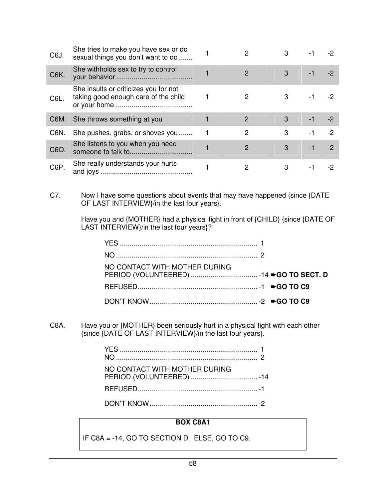| C6J. | She tries to make you have sex or do<br>sexual things you don't want to do    | 2              |   | -1   | -2   |
|------|-------------------------------------------------------------------------------|----------------|---|------|------|
| C6K. | She withholds sex to try to control                                           | $\overline{2}$ | 3 | -1   | -2   |
| C6L. | She insults or criticizes you for not<br>taking good enough care of the child |                |   | -1   |      |
| C6M. | She throws something at you                                                   | $\mathcal{P}$  | 3 |      | $-2$ |
| C6N. | She pushes, grabs, or shoves you                                              | 2              | 3 | $-1$ | $-2$ |
| C6O. | She listens to you when you need                                              | $\mathcal{P}$  | 3 | -1   | $-2$ |
| C6P. | She really understands your hurts                                             | 2              | 3 | - 1  |      |

C7. Now I have some questions about events that may have happened {since {DATE OF LAST INTERVIEW}/in the last four years}.

 Have you and {MOTHER} had a physical fight in front of {CHILD} {since {DATE OF LAST INTERVIEW}/in the last four years}?

| NO CONTACT WITH MOTHER DURING |  |  |
|-------------------------------|--|--|
|                               |  |  |
|                               |  |  |

C8A. Have you or {MOTHER} been seriously hurt in a physical fight with each other {since {DATE OF LAST INTERVIEW}/in the last four years}.

| NO CONTACT WITH MOTHER DURING |  |
|-------------------------------|--|
|                               |  |
|                               |  |

# **BOX C8A1**

IF C8A = -14, GO TO SECTION D. ELSE, GO TO C9.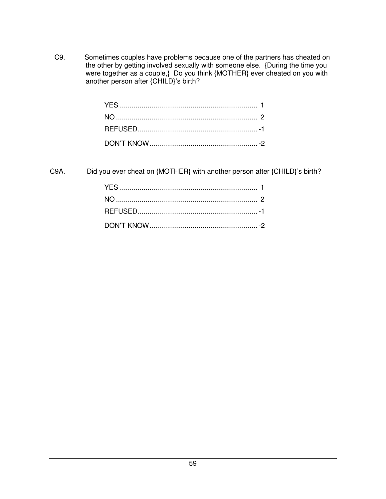C9. Sometimes couples have problems because one of the partners has cheated on the other by getting involved sexually with someone else. {During the time you were together as a couple,} Do you think {MOTHER} ever cheated on you with another person after {CHILD}'s birth?

C9A. Did you ever cheat on {MOTHER} with another person after {CHILD}'s birth?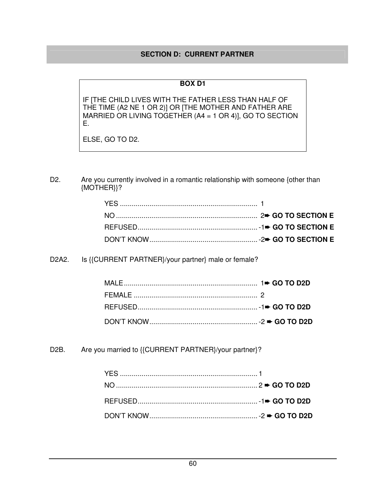## **SECTION D: CURRENT PARTNER**

# **BOX D1**

IF [THE CHILD LIVES WITH THE FATHER LESS THAN HALF OF THE TIME (A2 NE 1 OR 2)] OR [THE MOTHER AND FATHER ARE MARRIED OR LIVING TOGETHER (A4 = 1 OR 4)], GO TO SECTION E.

ELSE, GO TO D2.

D2. Are you currently involved in a romantic relationship with someone {other than {MOTHER}}?

D2A2. Is {{CURRENT PARTNER}/your partner} male or female?

D2B. Are you married to {{CURRENT PARTNER}/your partner}?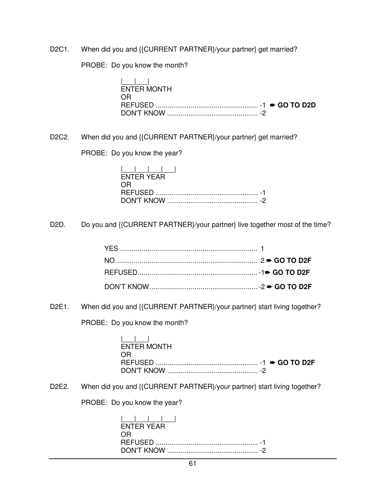D2C1. When did you and {{CURRENT PARTNER}/your partner} get married?

PROBE: Do you know the month?

| المساحما    |  |
|-------------|--|
| ENTER MONTH |  |
| OR.         |  |
|             |  |
|             |  |

D2C2. When did you and {{CURRENT PARTNER}/your partner} get married?

PROBE: Do you know the year?

D2D. Do you and {{CURRENT PARTNER}/your partner} live together most of the time?

D2E1. When did you and {{CURRENT PARTNER}/your partner} start living together?

PROBE: Do you know the month?

 $|1|$ ENTER MONTH OR REFUSED ..................................................... -1 ➨ **GO TO D2F** DON'T KNOW ............................................... -2

D2E2. When did you and {{CURRENT PARTNER}/your partner} start living together?

PROBE: Do you know the year?

| <b>FNTFR YFAR</b> |
|-------------------|
| OR.               |
|                   |
|                   |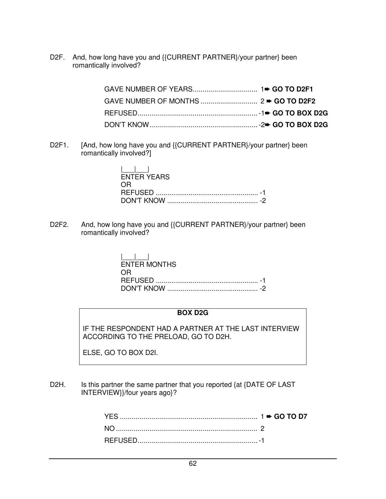D2F. And, how long have you and {{CURRENT PARTNER}/your partner} been romantically involved?

D2F1. [And, how long have you and {{CURRENT PARTNER}/your partner} been romantically involved?]

| <b>FNTFR YFARS</b> |
|--------------------|
|                    |
|                    |
|                    |

D2F2. And, how long have you and {{CURRENT PARTNER}/your partner} been romantically involved?

| $\mathbf{1}$ $\mathbf{1}$ $\mathbf{1}$<br><b>ENTER MONTHS</b> |
|---------------------------------------------------------------|
|                                                               |
|                                                               |

### **BOX D2G**

IF THE RESPONDENT HAD A PARTNER AT THE LAST INTERVIEW ACCORDING TO THE PRELOAD, GO TO D2H.

ELSE, GO TO BOX D2I.

D2H. Is this partner the same partner that you reported {at {DATE OF LAST INTERVIEW}}/four years ago}?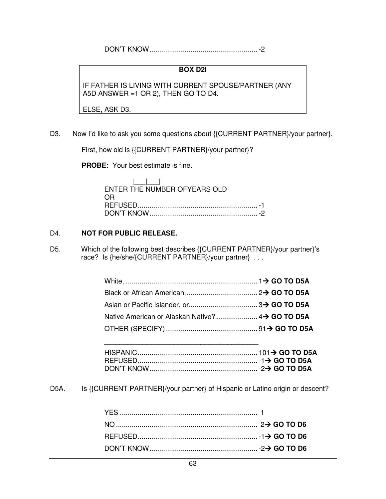DON'T KNOW ....................................................... -2

#### **BOX D2I**

IF FATHER IS LIVING WITH CURRENT SPOUSE/PARTNER (ANY A5D ANSWER =1 OR 2), THEN GO TO D4.

ELSE, ASK D3.

D3. Now I'd like to ask you some questions about {{CURRENT PARTNER}/your partner}.

First, how old is {{CURRENT PARTNER}/your partner}?

**PROBE:** Your best estimate is fine.

| ENTER THE NUMBER OFYEARS OLD |  |
|------------------------------|--|
| OR                           |  |
|                              |  |
|                              |  |

#### D4. **NOT FOR PUBLIC RELEASE.**

D5. Which of the following best describes {{CURRENT PARTNER}/your partner}'s race? Is {he/she/{CURRENT PARTNER}/your partner} . . .

D5A. Is {{CURRENT PARTNER}/your partner} of Hispanic or Latino origin or descent?

 $\overline{\phantom{a}}$  ,  $\overline{\phantom{a}}$  ,  $\overline{\phantom{a}}$  ,  $\overline{\phantom{a}}$  ,  $\overline{\phantom{a}}$  ,  $\overline{\phantom{a}}$  ,  $\overline{\phantom{a}}$  ,  $\overline{\phantom{a}}$  ,  $\overline{\phantom{a}}$  ,  $\overline{\phantom{a}}$  ,  $\overline{\phantom{a}}$  ,  $\overline{\phantom{a}}$  ,  $\overline{\phantom{a}}$  ,  $\overline{\phantom{a}}$  ,  $\overline{\phantom{a}}$  ,  $\overline{\phantom{a}}$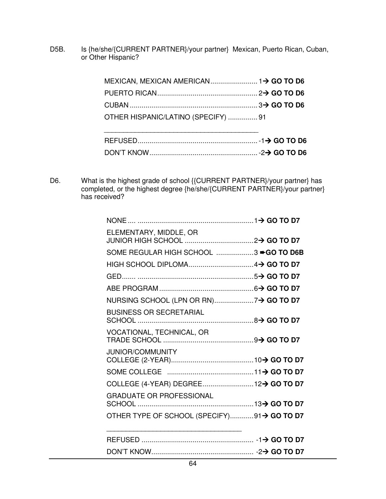D5B. Is {he/she/{CURRENT PARTNER}/your partner} Mexican, Puerto Rican, Cuban, or Other Hispanic?

| OTHER HISPANIC/LATINO (SPECIFY)  91 |  |
|-------------------------------------|--|
|                                     |  |
|                                     |  |
|                                     |  |
|                                     |  |

D6. What is the highest grade of school {{CURRENT PARTNER}/your partner} has completed, or the highest degree {he/she/{CURRENT PARTNER}/your partner} has received?

| ELEMENTARY, MIDDLE, OR                     |  |
|--------------------------------------------|--|
| SOME REGULAR HIGH SCHOOL 3 → GO TO D6B     |  |
|                                            |  |
|                                            |  |
|                                            |  |
|                                            |  |
| <b>BUSINESS OR SECRETARIAL</b>             |  |
| VOCATIONAL, TECHNICAL, OR                  |  |
| <b>JUNIOR/COMMUNITY</b>                    |  |
|                                            |  |
|                                            |  |
| <b>GRADUATE OR PROFESSIONAL</b>            |  |
| OTHER TYPE OF SCHOOL (SPECIFY)91→ GO TO D7 |  |
|                                            |  |
|                                            |  |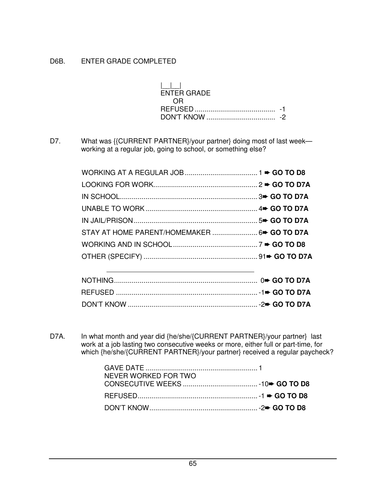## D6B. ENTER GRADE COMPLETED

| $\mathbf{1}$ $\mathbf{1}$ $\mathbf{1}$ |  |
|----------------------------------------|--|
| ENTER GRADE                            |  |
| 0 H                                    |  |
|                                        |  |
|                                        |  |

D7. What was {{CURRENT PARTNER}/your partner} doing most of last week working at a regular job, going to school, or something else?

| STAY AT HOME PARENT/HOMEMAKER  6→ GO TO D7A                                                                      |  |
|------------------------------------------------------------------------------------------------------------------|--|
|                                                                                                                  |  |
|                                                                                                                  |  |
| and the control of the control of the control of the control of the control of the control of the control of the |  |
|                                                                                                                  |  |
|                                                                                                                  |  |

D7A. In what month and year did {he/she/{CURRENT PARTNER}/your partner} last work at a job lasting two consecutive weeks or more, either full or part-time, for which {he/she/{CURRENT PARTNER}/your partner} received a regular paycheck?

| NEVER WORKED FOR TWO |  |
|----------------------|--|
|                      |  |
|                      |  |
|                      |  |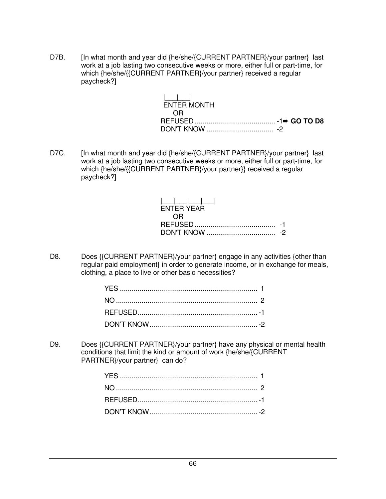D7B. [In what month and year did {he/she/{CURRENT PARTNER}/your partner} last work at a job lasting two consecutive weeks or more, either full or part-time, for which {he/she/{{CURRENT PARTNER}/your partner} received a regular paycheck?]

| <b>ENTER MONTH</b> |  |
|--------------------|--|
| OR.                |  |
|                    |  |
|                    |  |

D7C. [In what month and year did {he/she/{CURRENT PARTNER}/your partner} last work at a job lasting two consecutive weeks or more, either full or part-time, for which {he/she/{{CURRENT PARTNER}/your partner}} received a regular paycheck?]

| <b>ENTER YEAR</b> |  |
|-------------------|--|
| OR)               |  |
|                   |  |
|                   |  |

D8. Does {{CURRENT PARTNER}/your partner} engage in any activities {other than regular paid employment} in order to generate income, or in exchange for meals, clothing, a place to live or other basic necessities?

D9. Does {{CURRENT PARTNER}/your partner} have any physical or mental health conditions that limit the kind or amount of work {he/she/{CURRENT PARTNER}/your partner} can do?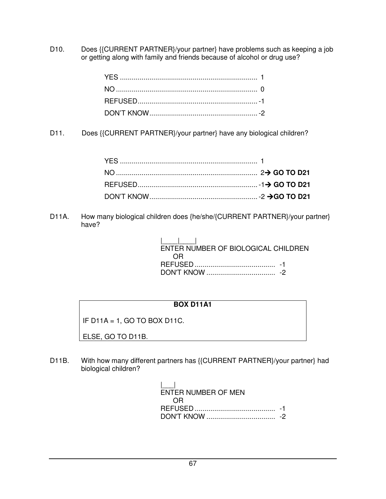D10. Does {{CURRENT PARTNER}/your partner} have problems such as keeping a job or getting along with family and friends because of alcohol or drug use?

D11. Does {{CURRENT PARTNER}/your partner} have any biological children?

D11A. How many biological children does {he/she/{CURRENT PARTNER}/your partner} have?

 |\_\_\_\_|\_\_\_\_| ENTER NUMBER OF BIOLOGICAL CHILDREN OR REFUSED ......................................... -1 DON'T KNOW ................................... -2

# **BOX D11A1**

IF  $D11A = 1$ , GO TO BOX D11C.

ELSE, GO TO D11B.

D11B. With how many different partners has {{CURRENT PARTNER}/your partner} had biological children?

 |\_\_\_| ENTER NUMBER OF MEN OR REFUSED ......................................... -1 DON'T KNOW ................................... -2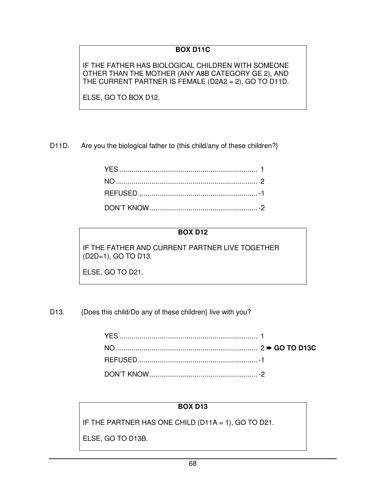# **BOX D11C**

IF THE FATHER HAS BIOLOGICAL CHILDREN WITH SOMEONE OTHER THAN THE MOTHER (ANY A8B CATEGORY GE 2), AND THE CURRENT PARTNER IS FEMALE (D2A2 = 2), GO TO D11D.

ELSE, GO TO BOX D12.

D11D. Are you the biological father to {this child/any of these children?}

## **BOX D12**

IF THE FATHER AND CURRENT PARTNER LIVE TOGETHER (D2D=1), GO TO D13.

ELSE, GO TO D21.

D13. {Does this child/Do any of these children} live with you?

# **BOX D13**

IF THE PARTNER HAS ONE CHILD (D11A = 1), GO TO D21.

ELSE, GO TO D13B.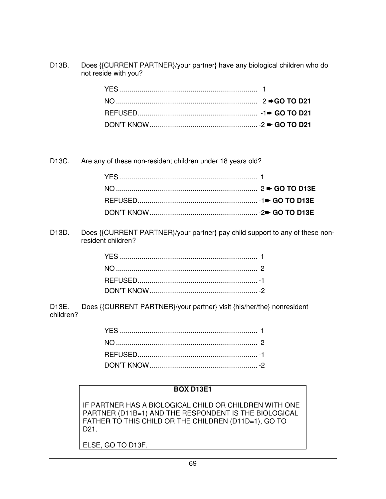D13B. Does {{CURRENT PARTNER}/your partner} have any biological children who do not reside with you?

D13C. Are any of these non-resident children under 18 years old?

D13D. Does {{CURRENT PARTNER}/your partner} pay child support to any of these nonresident children?

D13E. Does {{CURRENT PARTNER}/your partner} visit {his/her/the} nonresident children?

# **BOX D13E1**

IF PARTNER HAS A BIOLOGICAL CHILD OR CHILDREN WITH ONE PARTNER (D11B=1) AND THE RESPONDENT IS THE BIOLOGICAL FATHER TO THIS CHILD OR THE CHILDREN (D11D=1), GO TO D21.

ELSE, GO TO D13F.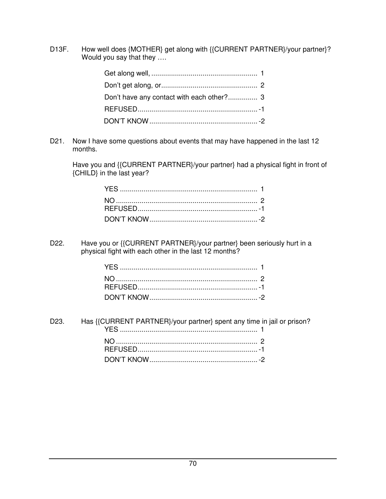D13F. How well does {MOTHER} get along with {{CURRENT PARTNER}/your partner}? Would you say that they ….

D21. Now I have some questions about events that may have happened in the last 12 months.

 Have you and {{CURRENT PARTNER}/your partner} had a physical fight in front of {CHILD} in the last year?

D22. Have you or {{CURRENT PARTNER}/your partner} been seriously hurt in a physical fight with each other in the last 12 months?

| D23. Has {{CURRENT PARTNER}/your partner} spent any time in jail or prison? |  |
|-----------------------------------------------------------------------------|--|
|                                                                             |  |
|                                                                             |  |
|                                                                             |  |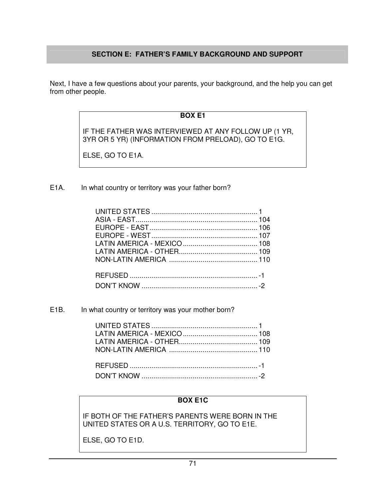## **SECTION E: FATHER'S FAMILY BACKGROUND AND SUPPORT**

Next, I have a few questions about your parents, your background, and the help you can get from other people.

## **BOX E1**

IF THE FATHER WAS INTERVIEWED AT ANY FOLLOW UP (1 YR, 3YR OR 5 YR) (INFORMATION FROM PRELOAD), GO TO E1G.

ELSE, GO TO E1A.

E1A. In what country or territory was your father born?

E1B. In what country or territory was your mother born?

## **BOX E1C**

IF BOTH OF THE FATHER'S PARENTS WERE BORN IN THE UNITED STATES OR A U.S. TERRITORY, GO TO E1E.

ELSE, GO TO E1D.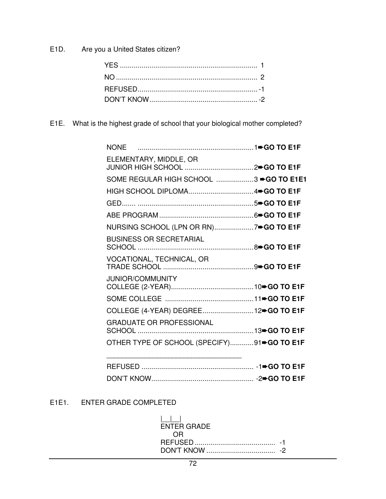E1D. Are you a United States citizen?

E1E. What is the highest grade of school that your biological mother completed?

| ELEMENTARY, MIDDLE, OR                     |  |
|--------------------------------------------|--|
| SOME REGULAR HIGH SCHOOL 3 →GO TO E1E1     |  |
|                                            |  |
|                                            |  |
|                                            |  |
|                                            |  |
| <b>BUSINESS OR SECRETARIAL</b>             |  |
| VOCATIONAL, TECHNICAL, OR                  |  |
| <b>JUNIOR/COMMUNITY</b>                    |  |
|                                            |  |
|                                            |  |
| <b>GRADUATE OR PROFESSIONAL</b>            |  |
| OTHER TYPE OF SCHOOL (SPECIFY)91→GO TO E1F |  |
|                                            |  |

| DON'T KNOW |  |
|------------|--|

# E1E1. ENTER GRADE COMPLETED

 $\frac{1}{\sqrt{2}}$ 

| and the property of the<br>ENTER GRADE |  |
|----------------------------------------|--|
| 0 H                                    |  |
|                                        |  |
|                                        |  |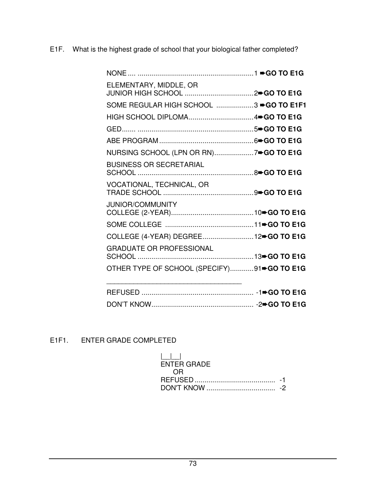E1F. What is the highest grade of school that your biological father completed?

| ELEMENTARY, MIDDLE, OR                     |  |
|--------------------------------------------|--|
| SOME REGULAR HIGH SCHOOL 3 →GO TO E1F1     |  |
|                                            |  |
|                                            |  |
|                                            |  |
| NURSING SCHOOL (LPN OR RN)7→GO TO E1G      |  |
| <b>BUSINESS OR SECRETARIAL</b>             |  |
| VOCATIONAL, TECHNICAL, OR                  |  |
| <b>JUNIOR/COMMUNITY</b>                    |  |
|                                            |  |
| COLLEGE (4-YEAR) DEGREE 12+GO TO E1G       |  |
| <b>GRADUATE OR PROFESSIONAL</b>            |  |
| OTHER TYPE OF SCHOOL (SPECIFY)91→GO TO E1G |  |
|                                            |  |
|                                            |  |

| DON'T KNOW |  |
|------------|--|

# E1F1. ENTER GRADE COMPLETED

| $\mathbf{1}$ $\mathbf{1}$ $\mathbf{1}$<br>ENTER GRADE |  |
|-------------------------------------------------------|--|
| OR.                                                   |  |
|                                                       |  |
|                                                       |  |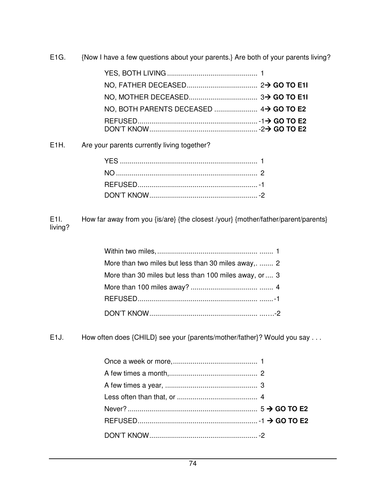E1G. {Now I have a few questions about your parents.} Are both of your parents living?

# E1H. Are your parents currently living together?

E1I. How far away from you {is/are} {the closest /your} {mother/father/parent/parents} living?

| More than two miles but less than 30 miles away,  2    |  |
|--------------------------------------------------------|--|
| More than 30 miles but less than 100 miles away, or  3 |  |
|                                                        |  |
|                                                        |  |
|                                                        |  |

E1J. How often does {CHILD} see your {parents/mother/father}? Would you say . . .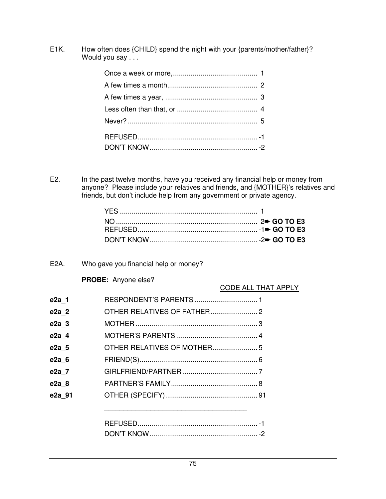E1K. How often does {CHILD} spend the night with your {parents/mother/father}? Would you say . . .

E2. In the past twelve months, have you received any financial help or money from anyone? Please include your relatives and friends, and {MOTHER}'s relatives and friends, but don't include help from any government or private agency.

- E2A. Who gave you financial help or money?
	- **PROBE:** Anyone else?

#### CODE ALL THAT APPLY

| e2a 1  | RESPONDENT'S PARENTS  1     |  |
|--------|-----------------------------|--|
| e2a 2  |                             |  |
| e2a 3  |                             |  |
| e2a 4  |                             |  |
| e2a 5  | OTHER RELATIVES OF MOTHER 5 |  |
| e2a 6  |                             |  |
| e2a 7  |                             |  |
| e2a 8  |                             |  |
| e2a 91 |                             |  |
|        |                             |  |
|        |                             |  |
|        |                             |  |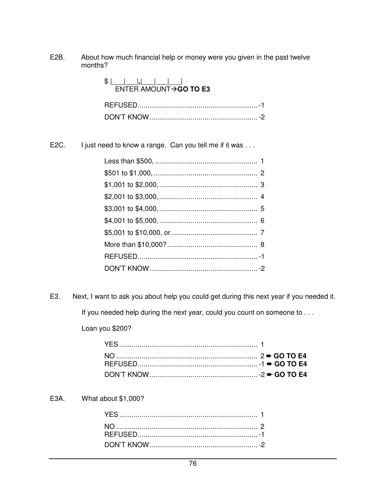$E2B.$ About how much financial help or money were you given in the past twelve months?

| $\frac{1}{2}$ $\frac{1}{2}$ $\frac{1}{2}$ $\frac{1}{2}$ $\frac{1}{2}$ $\frac{1}{2}$ $\frac{1}{2}$ $\frac{1}{2}$ $\frac{1}{2}$ $\frac{1}{2}$ $\frac{1}{2}$ $\frac{1}{2}$ $\frac{1}{2}$ $\frac{1}{2}$ $\frac{1}{2}$ $\frac{1}{2}$ $\frac{1}{2}$ $\frac{1}{2}$ $\frac{1}{2}$ $\frac{1}{2}$ $\frac{1}{2}$ $\frac{1}{2}$<br><b>FNTER AMOUNT <math>\rightarrow</math> GO TO E3</b> |
|------------------------------------------------------------------------------------------------------------------------------------------------------------------------------------------------------------------------------------------------------------------------------------------------------------------------------------------------------------------------------|
|                                                                                                                                                                                                                                                                                                                                                                              |
|                                                                                                                                                                                                                                                                                                                                                                              |

E<sub>2</sub>C. I just need to know a range. Can you tell me if it was . . .

E3. Next, I want to ask you about help you could get during this next year if you needed it.

If you needed help during the next year, could you count on someone to . . .

Loan you \$200?

#### What about \$1,000? E3A.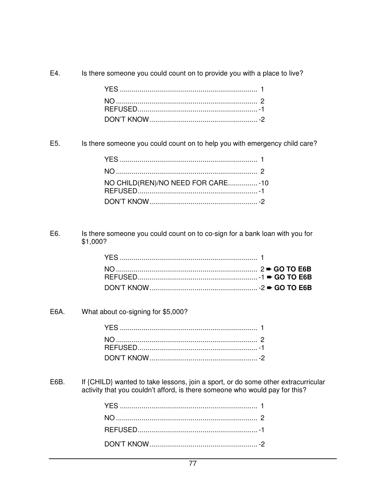E4. Is there someone you could count on to provide you with a place to live?

E<sub>5</sub>. Is there someone you could count on to help you with emergency child care?

| NO CHILD(REN)/NO NEED FOR CARE - 10 |  |
|-------------------------------------|--|
|                                     |  |

E<sub>6</sub>. Is there someone you could count on to co-sign for a bank loan with you for \$1,000?

E6A. What about co-signing for \$5,000?

If {CHILD} wanted to take lessons, join a sport, or do some other extracurricular activity that you couldn't afford, is there someone who would pay for this? E6B.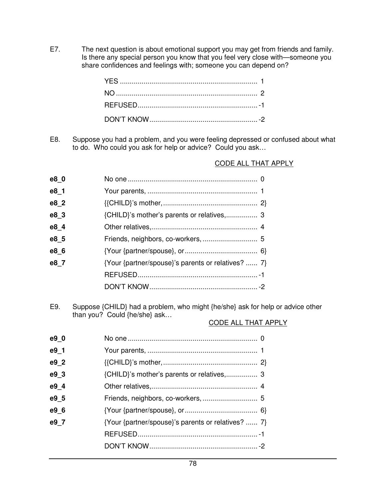E7. The next question is about emotional support you may get from friends and family. Is there any special person you know that you feel very close with—someone you share confidences and feelings with; someone you can depend on?

E8. Suppose you had a problem, and you were feeling depressed or confused about what to do. Who could you ask for help or advice? Could you ask…

## CODE ALL THAT APPLY

| e8 0 |                                                    |  |
|------|----------------------------------------------------|--|
| e8 1 |                                                    |  |
| e8 2 |                                                    |  |
| e8_3 |                                                    |  |
| e8_4 |                                                    |  |
| e8 5 |                                                    |  |
| e8 6 |                                                    |  |
| e8_7 | {Your {partner/spouse}'s parents or relatives?  7} |  |
|      |                                                    |  |
|      |                                                    |  |

E9. Suppose {CHILD} had a problem, who might {he/she} ask for help or advice other than you? Could {he/she} ask...

#### CODE ALL THAT APPLY

| e9 0 |                                                    |  |
|------|----------------------------------------------------|--|
| e9 1 |                                                    |  |
| e9 2 |                                                    |  |
| e9 3 | {CHILD}'s mother's parents or relatives, 3         |  |
| e9 4 |                                                    |  |
| e9 5 |                                                    |  |
| e9 6 |                                                    |  |
| e9 7 | {Your {partner/spouse}'s parents or relatives?  7} |  |
|      |                                                    |  |
|      |                                                    |  |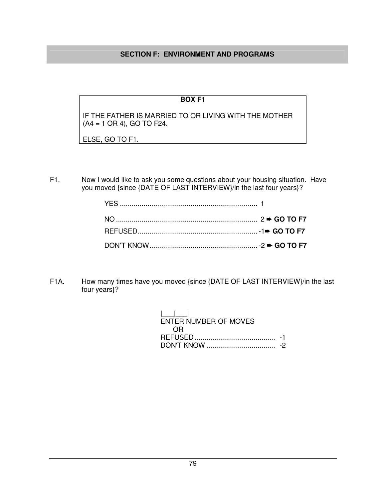## **SECTION F: ENVIRONMENT AND PROGRAMS**

#### **BOX F1**

IF THE FATHER IS MARRIED TO OR LIVING WITH THE MOTHER  $(A4 = 1 \text{ OR } 4),$  GO TO F24.

ELSE, GO TO F1.

F1. Now I would like to ask you some questions about your housing situation. Have you moved {since {DATE OF LAST INTERVIEW}/in the last four years}?

F1A. How many times have you moved {since {DATE OF LAST INTERVIEW}/in the last four years}?

 |\_\_\_|\_\_\_| ENTER NUMBER OF MOVES OR REFUSED ......................................... -1 DON'T KNOW ................................... -2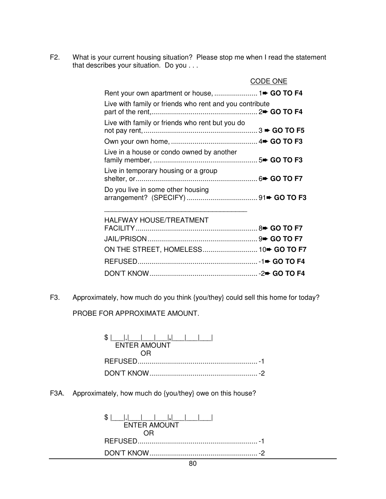F2. What is your current housing situation? Please stop me when I read the statement that describes your situation. Do you . . .

|                                                         | CODE ONE |
|---------------------------------------------------------|----------|
|                                                         |          |
| Live with family or friends who rent and you contribute |          |
| Live with family or friends who rent but you do         |          |
|                                                         |          |
| Live in a house or condo owned by another               |          |
| Live in temporary housing or a group                    |          |
| Do you live in some other housing                       |          |
|                                                         |          |

| <b>HALFWAY HOUSE/TREATMENT</b> |  |
|--------------------------------|--|
|                                |  |
|                                |  |
|                                |  |
|                                |  |

F3. Approximately, how much do you think {you/they} could sell this home for today?

PROBE FOR APPROXIMATE AMOUNT.

\_\_\_\_\_\_\_\_\_\_\_\_\_\_\_\_\_\_\_\_\_\_\_\_\_\_\_\_\_\_\_\_\_\_\_\_\_

| <b>ENTER AMOUNT</b> |
|---------------------|
|                     |
|                     |
|                     |

F3A. Approximately, how much do {you/they} owe on this house?

| ENTER AMOUNT |  |
|--------------|--|
|              |  |
|              |  |
|              |  |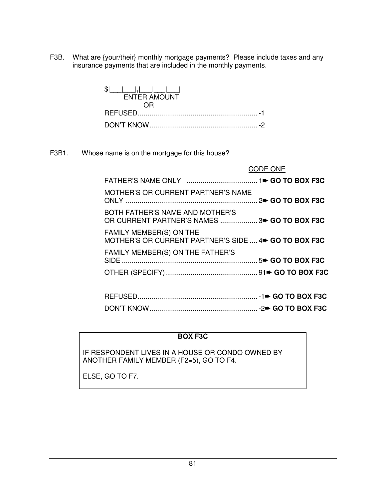F3B. What are {your/their} monthly mortgage payments? Please include taxes and any insurance payments that are included in the monthly payments.

| $  \t\t\t   \t\t\t   \t\t\t  $<br><b>ENTER AMOUNT</b> |  |
|-------------------------------------------------------|--|
|                                                       |  |
|                                                       |  |
|                                                       |  |

F3B1. Whose name is on the mortgage for this house?

|                                                                                              | <b>CODE ONE</b> |
|----------------------------------------------------------------------------------------------|-----------------|
|                                                                                              |                 |
| MOTHER'S OR CURRENT PARTNER'S NAME                                                           |                 |
| BOTH FATHER'S NAME AND MOTHER'S                                                              |                 |
| FAMILY MEMBER(S) ON THE<br>MOTHER'S OR CURRENT PARTNER'S SIDE  4 <sup>th</sup> GO TO BOX F3C |                 |
| FAMILY MEMBER(S) ON THE FATHER'S                                                             |                 |
|                                                                                              |                 |
|                                                                                              |                 |

DON'T KNOW ....................................................... -2➨ **GO TO BOX F3C**

#### **BOX F3C**

IF RESPONDENT LIVES IN A HOUSE OR CONDO OWNED BY ANOTHER FAMILY MEMBER (F2=5), GO TO F4.

ELSE, GO TO F7.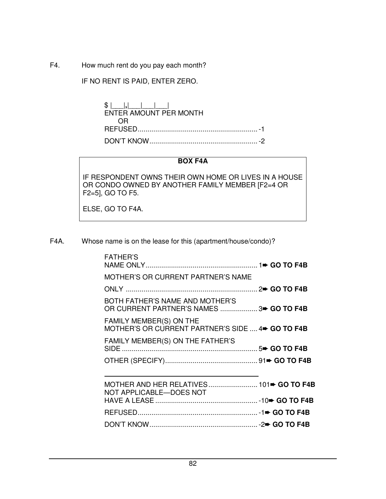F4. How much rent do you pay each month?

IF NO RENT IS PAID, ENTER ZERO.

| ENTER AMOUNT PER MONTH |  |
|------------------------|--|
|                        |  |

#### **BOX F4A**

IF RESPONDENT OWNS THEIR OWN HOME OR LIVES IN A HOUSE OR CONDO OWNED BY ANOTHER FAMILY MEMBER [F2=4 OR F2=5], GO TO F5.

ELSE, GO TO F4A.

F4A. Whose name is on the lease for this (apartment/house/condo)?

| <b>FATHER'S</b>                                                                                 |  |
|-------------------------------------------------------------------------------------------------|--|
| <b>MOTHER'S OR CURRENT PARTNER'S NAME</b>                                                       |  |
| BOTH FATHER'S NAME AND MOTHER'S<br>OR CURRENT PARTNER'S NAMES  3→ GO TO F4B                     |  |
| <b>FAMILY MEMBER(S) ON THE</b><br>MOTHER'S OR CURRENT PARTNER'S SIDE  4 <sup>th</sup> GO TO F4B |  |
| FAMILY MEMBER(S) ON THE FATHER'S                                                                |  |
|                                                                                                 |  |
| NOT APPLICABLE-DOES NOT                                                                         |  |
|                                                                                                 |  |
|                                                                                                 |  |
|                                                                                                 |  |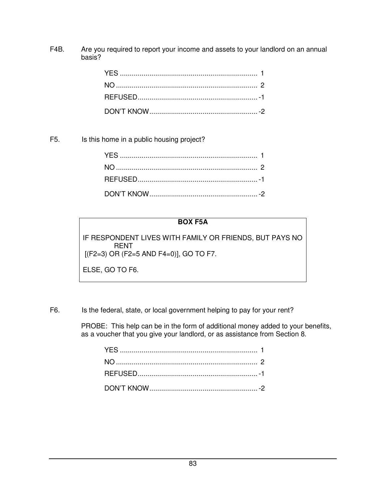F4B. Are you required to report your income and assets to your landlord on an annual basis?

F5. Is this home in a public housing project?

## **BOX F5A**

IF RESPONDENT LIVES WITH FAMILY OR FRIENDS, BUT PAYS NO RENT [(F2=3) OR (F2=5 AND F4=0)], GO TO F7.

ELSE, GO TO F6.

F6. Is the federal, state, or local government helping to pay for your rent?

 PROBE: This help can be in the form of additional money added to your benefits, as a voucher that you give your landlord, or as assistance from Section 8.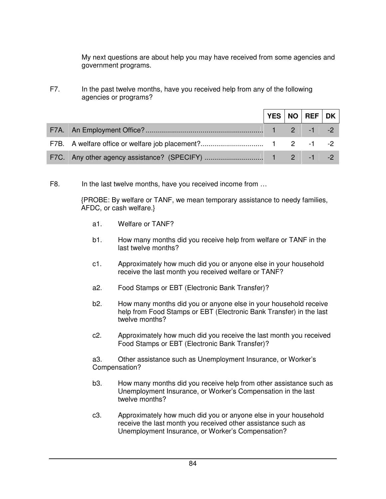My next questions are about help you may have received from some agencies and government programs.

F7. In the past twelve months, have you received help from any of the following agencies or programs?

|  |  | $\vert$ YES $\vert$ NO $\vert$ REF $\vert$ DK $\vert$ |  |
|--|--|-------------------------------------------------------|--|
|  |  |                                                       |  |
|  |  |                                                       |  |
|  |  |                                                       |  |

F8. In the last twelve months, have you received income from ...

{PROBE: By welfare or TANF, we mean temporary assistance to needy families, AFDC, or cash welfare.}

- a1. Welfare or TANF?
- b1. How many months did you receive help from welfare or TANF in the last twelve months?
- c1. Approximately how much did you or anyone else in your household receive the last month you received welfare or TANF?
- a2. Food Stamps or EBT (Electronic Bank Transfer)?
- b2. How many months did you or anyone else in your household receive help from Food Stamps or EBT (Electronic Bank Transfer) in the last twelve months?
- c2. Approximately how much did you receive the last month you received Food Stamps or EBT (Electronic Bank Transfer)?

a3. Other assistance such as Unemployment Insurance, or Worker's Compensation?

- b3. How many months did you receive help from other assistance such as Unemployment Insurance, or Worker's Compensation in the last twelve months?
- c3. Approximately how much did you or anyone else in your household receive the last month you received other assistance such as Unemployment Insurance, or Worker's Compensation?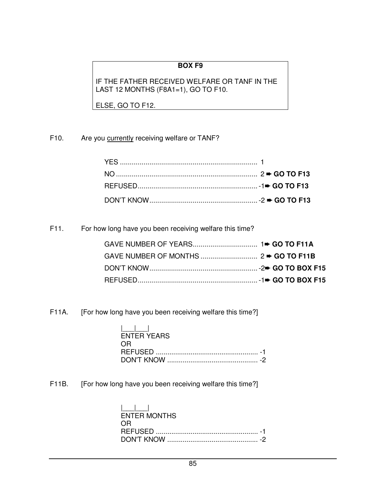## **BOX F9**

IF THE FATHER RECEIVED WELFARE OR TANF IN THE LAST 12 MONTHS (F8A1=1), GO TO F10.

ELSE, GO TO F12.

F10. Are you currently receiving welfare or TANF?

F11. For how long have you been receiving welfare this time?

| GAVE NUMBER OF MONTHS $\ldots$ $\ldots$ $\ldots$ $\ldots$ $\ldots$ $\ldots$ $\ldots$ $\ldots$ $\ldots$ $\ldots$ $\ldots$ $\ldots$ GO TO F11B |  |  |
|----------------------------------------------------------------------------------------------------------------------------------------------|--|--|
|                                                                                                                                              |  |  |
|                                                                                                                                              |  |  |

F11A. [For how long have you been receiving welfare this time?]

| <b>FNTFR YFARS</b> |
|--------------------|
|                    |
|                    |
|                    |

F11B. [For how long have you been receiving welfare this time?]

| $\mathbf{1}$ $\mathbf{1}$ $\mathbf{1}$<br><b>ENTER MONTHS</b> |  |
|---------------------------------------------------------------|--|
| OR.                                                           |  |
|                                                               |  |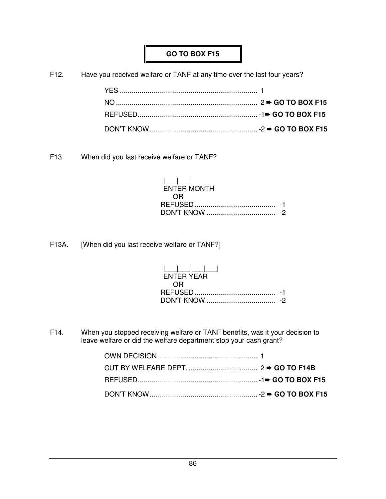# **GO TO BOX F15**

F12. Have you received welfare or TANF at any time over the last four years?

F13. When did you last receive welfare or TANF?

| المطاعما<br><b>ENTER MONTH</b> |  |
|--------------------------------|--|
| OR O                           |  |
|                                |  |
|                                |  |

F13A. [When did you last receive welfare or TANF?]

| <b>FNTFR YFAR</b> |  |
|-------------------|--|
| <b>OR</b>         |  |
|                   |  |
|                   |  |

F14. When you stopped receiving welfare or TANF benefits, was it your decision to leave welfare or did the welfare department stop your cash grant?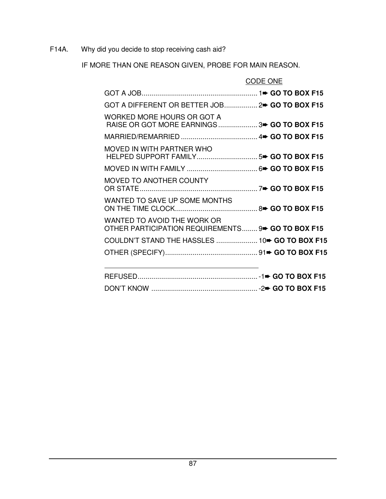F14A. Why did you decide to stop receiving cash aid?

IF MORE THAN ONE REASON GIVEN, PROBE FOR MAIN REASON.

|                                                                                  | <b>CODE ONE</b> |  |
|----------------------------------------------------------------------------------|-----------------|--|
|                                                                                  |                 |  |
| GOT A DIFFERENT OR BETTER JOB 2→ GO TO BOX F15                                   |                 |  |
| WORKED MORE HOURS OR GOT A<br>RAISE OR GOT MORE EARNINGS  3→ GO TO BOX F15       |                 |  |
|                                                                                  |                 |  |
| MOVED IN WITH PARTNER WHO                                                        |                 |  |
|                                                                                  |                 |  |
| MOVED TO ANOTHER COUNTY                                                          |                 |  |
| WANTED TO SAVE UP SOME MONTHS                                                    |                 |  |
| WANTED TO AVOID THE WORK OR<br>OTHER PARTICIPATION REQUIREMENTS 9→ GO TO BOX F15 |                 |  |
| COULDN'T STAND THE HASSLES  10→ GO TO BOX F15                                    |                 |  |
|                                                                                  |                 |  |
|                                                                                  |                 |  |
|                                                                                  |                 |  |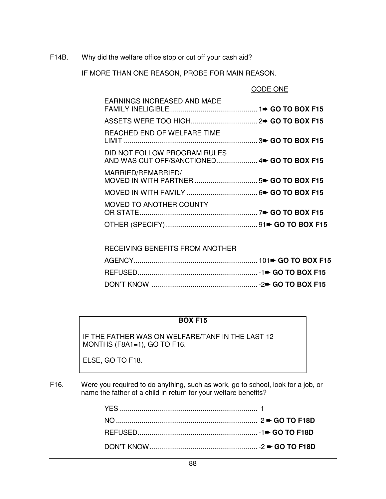F14B. Why did the welfare office stop or cut off your cash aid?

IF MORE THAN ONE REASON, PROBE FOR MAIN REASON.

| CODE ONE |
|----------|
|----------|

| <b>EARNINGS INCREASED AND MADE</b> |  |
|------------------------------------|--|
|                                    |  |
| REACHED END OF WELFARE TIME        |  |
| DID NOT FOLLOW PROGRAM RULES       |  |
| MARRIED/REMARRIED/                 |  |
|                                    |  |
| MOVED TO ANOTHER COUNTY            |  |
|                                    |  |

RECEIVING BENEFITS FROM ANOTHER

#### **BOX F15**

IF THE FATHER WAS ON WELFARE/TANF IN THE LAST 12 MONTHS (F8A1=1), GO TO F16.

ELSE, GO TO F18.

F16. Were you required to do anything, such as work, go to school, look for a job, or name the father of a child in return for your welfare benefits?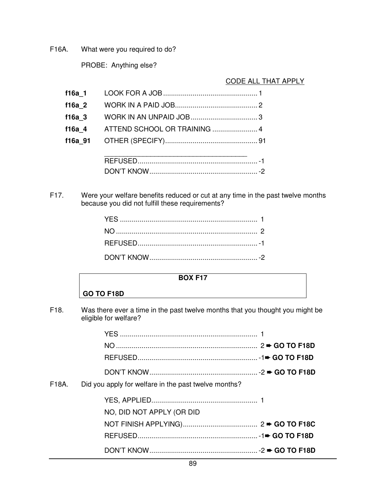F16A. What were you required to do?

PROBE: Anything else?

## CODE ALL THAT APPLY

| f16a 1  |  |
|---------|--|
| f16a 2  |  |
| f16a 3  |  |
| f16a 4  |  |
| f16a 91 |  |
|         |  |
|         |  |

F17. Were your welfare benefits reduced or cut at any time in the past twelve months because you did not fulfill these requirements?

#### **BOX F17**

#### **GO TO F18D**

F18. Was there ever a time in the past twelve months that you thought you might be eligible for welfare?

| F18A. | Did you apply for welfare in the past twelve months? |  |
|-------|------------------------------------------------------|--|
|       |                                                      |  |
|       | NO, DID NOT APPLY (OR DID                            |  |
|       |                                                      |  |
|       |                                                      |  |
|       |                                                      |  |
|       |                                                      |  |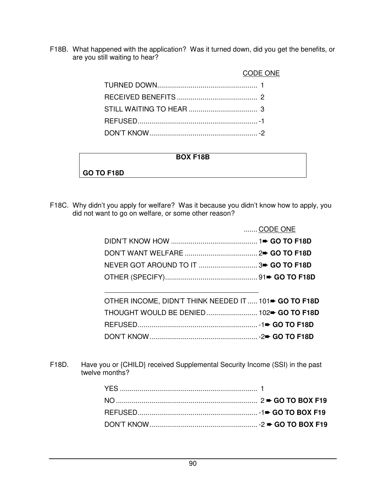F18B. What happened with the application? Was it turned down, did you get the benefits, or are you still waiting to hear?

| CODE ONE |
|----------|
|          |
|          |
|          |
|          |
|          |

#### **BOX F18B**

# **GO TO F18D**

F18C. Why didn't you apply for welfare? Was it because you didn't know how to apply, you did not want to go on welfare, or some other reason?

| CODE ONE |
|----------|
|          |
|          |
|          |
|          |

| OTHER INCOME, DIDN'T THINK NEEDED IT  101→ GO TO F18D |  |
|-------------------------------------------------------|--|
|                                                       |  |
|                                                       |  |
|                                                       |  |

F18D. Have you or {CHILD} received Supplemental Security Income (SSI) in the past twelve months?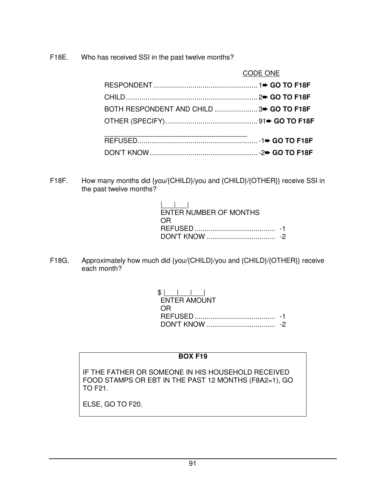F18E. Who has received SSI in the past twelve months?

|                                          | CODE ONE |
|------------------------------------------|----------|
|                                          |          |
|                                          |          |
| BOTH RESPONDENT AND CHILD  3> GO TO F18F |          |
|                                          |          |
|                                          |          |
|                                          |          |
|                                          |          |
|                                          |          |

F18F. How many months did {you/{CHILD}/you and {CHILD}/{OTHER}} receive SSI in the past twelve months?

| ENTER NUMBER OF MONTHS<br>ΩR |  |
|------------------------------|--|
|                              |  |
|                              |  |

F18G. Approximately how much did {you/{CHILD}/you and {CHILD}/{OTHER}} receive each month?

 $$$   $|$   $|$   $|$   $|$   $|$   $|$   $|$   $|$  ENTER AMOUNT **OR** Service Service Service Service Service Service Service Service Service Service Service Service Service Se REFUSED ......................................... -1 DON'T KNOW ................................... -2

#### **BOX F19**

IF THE FATHER OR SOMEONE IN HIS HOUSEHOLD RECEIVED FOOD STAMPS OR EBT IN THE PAST 12 MONTHS (F8A2=1), GO TO F21.

ELSE, GO TO F20.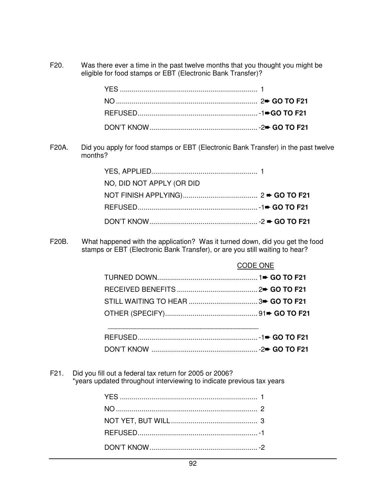F20. Was there ever a time in the past twelve months that you thought you might be eligible for food stamps or EBT (Electronic Bank Transfer)?

F20A. Did you apply for food stamps or EBT (Electronic Bank Transfer) in the past twelve months?

| NO, DID NOT APPLY (OR DID |  |
|---------------------------|--|
|                           |  |
|                           |  |
|                           |  |

F20B. What happened with the application? Was it turned down, did you get the food stamps or EBT (Electronic Bank Transfer), or are you still waiting to hear?

| CODE ONE |
|----------|
|          |
|          |
|          |
|          |
|          |

|            | <sup>1</sup> CO TO F21 = 0.0 TO F21 |
|------------|-------------------------------------|
| DON'T KNOW |                                     |

F21. Did you fill out a federal tax return for 2005 or 2006? \*years updated throughout interviewing to indicate previous tax years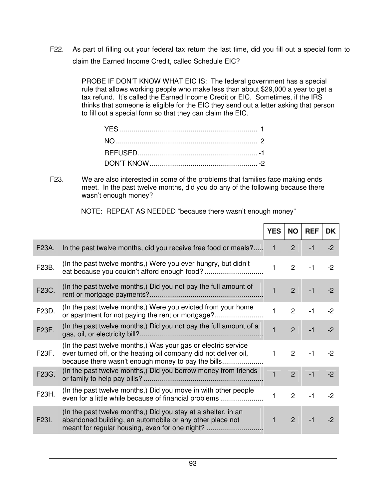F22. As part of filling out your federal tax return the last time, did you fill out a special form to claim the Earned Income Credit, called Schedule EIC?

> PROBE IF DON'T KNOW WHAT EIC IS: The federal government has a special rule that allows working people who make less than about \$29,000 a year to get a tax refund. It's called the Earned Income Credit or EIC. Sometimes, if the IRS thinks that someone is eligible for the EIC they send out a letter asking that person to fill out a special form so that they can claim the EIC.

F23. We are also interested in some of the problems that families face making ends meet. In the past twelve months, did you do any of the following because there wasn't enough money?

NOTE: REPEAT AS NEEDED "because there wasn't enough money"

|       |                                                                                                                                                                                         | <b>YES</b>     | <b>NO</b>      | <b>REF</b> | DK   |
|-------|-----------------------------------------------------------------------------------------------------------------------------------------------------------------------------------------|----------------|----------------|------------|------|
| F23A. | In the past twelve months, did you receive free food or meals?                                                                                                                          | $\overline{1}$ | $\overline{2}$ | $-1$       | $-2$ |
| F23B. | (In the past twelve months,) Were you ever hungry, but didn't                                                                                                                           | $\mathbf{1}$   | $\overline{2}$ | $-1$       | $-2$ |
| F23C. | (In the past twelve months,) Did you not pay the full amount of                                                                                                                         | $\mathbf{1}$   | $\overline{2}$ | $-1$       | $-2$ |
| F23D. | (In the past twelve months,) Were you evicted from your home<br>or apartment for not paying the rent or mortgage?                                                                       | $\mathbf{1}$   | $\overline{2}$ | $-1$       | $-2$ |
| F23E. | (In the past twelve months,) Did you not pay the full amount of a                                                                                                                       | $\blacksquare$ | $\overline{2}$ | $-1$       | $-2$ |
| F23F. | (In the past twelve months,) Was your gas or electric service<br>ever turned off, or the heating oil company did not deliver oil,<br>because there wasn't enough money to pay the bills | $\mathbf{1}$   | $\overline{2}$ | $-1$       | $-2$ |
| F23G. | (In the past twelve months,) Did you borrow money from friends                                                                                                                          | $\mathbf{1}$   | $\overline{2}$ | $-1$       | $-2$ |
| F23H. | (In the past twelve months.) Did you move in with other people<br>even for a little while because of financial problems                                                                 | $\mathbf{1}$   | $\overline{2}$ | $-1$       | $-2$ |
| F23I. | (In the past twelve months,) Did you stay at a shelter, in an<br>abandoned building, an automobile or any other place not<br>meant for regular housing, even for one night?             |                | $\overline{2}$ | $-1$       | $-2$ |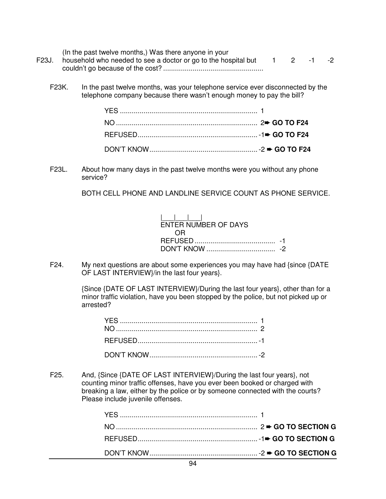F23J. (In the past twelve months,) Was there anyone in your household who needed to see a doctor or go to the hospital but  $\qquad 1 \qquad 2 \qquad -1 \qquad -2$ couldn't go because of the cost? ................................................................

F23K. In the past twelve months, was your telephone service ever disconnected by the telephone company because there wasn't enough money to pay the bill?

F23L. About how many days in the past twelve months were you without any phone service?

BOTH CELL PHONE AND LANDLINE SERVICE COUNT AS PHONE SERVICE.

| ENTER NUMBER OF DAYS |  |
|----------------------|--|
|                      |  |
|                      |  |
|                      |  |

F24. My next questions are about some experiences you may have had {since {DATE OF LAST INTERVIEW}/in the last four years}.

> {Since {DATE OF LAST INTERVIEW}/During the last four years}, other than for a minor traffic violation, have you been stopped by the police, but not picked up or arrested?

F25. And, {Since {DATE OF LAST INTERVIEW}/During the last four years}, not counting minor traffic offenses, have you ever been booked or charged with breaking a law, either by the police or by someone connected with the courts? Please include juvenile offenses.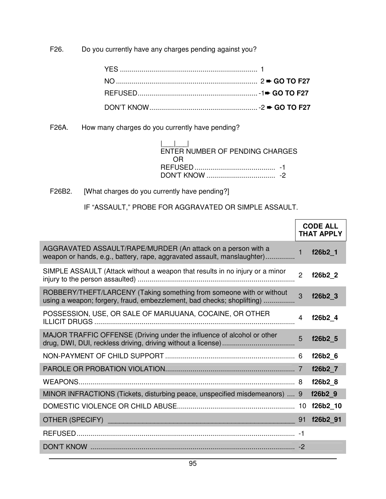F26. Do you currently have any charges pending against you?

F26A. How many charges do you currently have pending?

| ENTER NUMBER OF PENDING CHARGES |  |
|---------------------------------|--|
| OR)                             |  |
|                                 |  |
|                                 |  |

F26B2. [What charges do you currently have pending?]

IF "ASSAULT," PROBE FOR AGGRAVATED OR SIMPLE ASSAULT.

|                                                                                                                                                |                | <b>CODE ALL</b><br><b>THAT APPLY</b> |
|------------------------------------------------------------------------------------------------------------------------------------------------|----------------|--------------------------------------|
| AGGRAVATED ASSAULT/RAPE/MURDER (An attack on a person with a<br>weapon or hands, e.g., battery, rape, aggravated assault, manslaughter)        | 1              | f26b2 1                              |
| SIMPLE ASSAULT (Attack without a weapon that results in no injury or a minor                                                                   | $\overline{2}$ | f26b2 2                              |
| ROBBERY/THEFT/LARCENY (Taking something from someone with or without<br>using a weapon; forgery, fraud, embezzlement, bad checks; shoplifting) | 3              | f26b2_3                              |
| POSSESSION, USE, OR SALE OF MARIJUANA, COCAINE, OR OTHER                                                                                       | 4              | f26b2 4                              |
| MAJOR TRAFFIC OFFENSE (Driving under the influence of alcohol or other                                                                         | 5              | f26b2 5                              |
|                                                                                                                                                |                | f26b2 6                              |
|                                                                                                                                                |                | f26b2 7                              |
|                                                                                                                                                | 8              | f26b2 8                              |
| MINOR INFRACTIONS (Tickets, disturbing peace, unspecified misdemeanors)  9                                                                     |                | f26b2 9                              |
|                                                                                                                                                |                | f26b2 10                             |
|                                                                                                                                                | 91             | f26b2 91                             |
|                                                                                                                                                |                |                                      |
|                                                                                                                                                | $-2$           |                                      |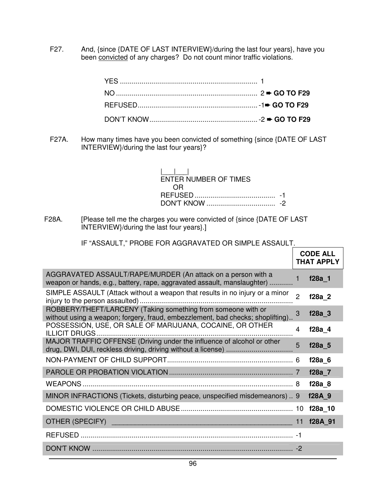F27. And, {since {DATE OF LAST INTERVIEW}/during the last four years}, have you been convicted of any charges? Do not count minor traffic violations.

F27A. How many times have you been convicted of something {since {DATE OF LAST INTERVIEW}/during the last four years}?

| $\mathbf{1}$ and $\mathbf{1}$<br>ENTER NUMBER OF TIMES |  |
|--------------------------------------------------------|--|
| 0 H                                                    |  |
|                                                        |  |
|                                                        |  |

F28A. [Please tell me the charges you were convicted of {since {DATE OF LAST INTERVIEW}/during the last four years}.]

#### IF "ASSAULT," PROBE FOR AGGRAVATED OR SIMPLE ASSAULT.

|                                                                                                                                                |                | <b>CODE ALL</b><br><b>THAT APPLY</b> |
|------------------------------------------------------------------------------------------------------------------------------------------------|----------------|--------------------------------------|
| AGGRAVATED ASSAULT/RAPE/MURDER (An attack on a person with a<br>weapon or hands, e.g., battery, rape, aggravated assault, manslaughter)        |                | $f28a$ 1                             |
| SIMPLE ASSAULT (Attack without a weapon that results in no injury or a minor                                                                   | $\overline{2}$ | $f28a_2$                             |
| ROBBERY/THEFT/LARCENY (Taking something from someone with or<br>without using a weapon; forgery, fraud, embezzlement, bad checks; shoplifting) | 3              | $f28a$ 3                             |
| POSSESSION, USE, OR SALE OF MARIJUANA, COCAINE, OR OTHER<br><b>ILLICIT DRUGS</b>                                                               | 4              | f28a 4                               |
| MAJOR TRAFFIC OFFENSE (Driving under the influence of alcohol or other                                                                         | 5              | f28a 5                               |
|                                                                                                                                                |                | $f28a$ 6                             |
|                                                                                                                                                |                | f28a 7                               |
|                                                                                                                                                |                | $f28a$ $8$                           |
| MINOR INFRACTIONS (Tickets, disturbing peace, unspecified misdemeanors) 9                                                                      |                | f28A 9                               |
|                                                                                                                                                |                | f28a_10                              |
| OTHER (SPECIFY)                                                                                                                                | 11             | f28A 91                              |
|                                                                                                                                                |                |                                      |
|                                                                                                                                                |                |                                      |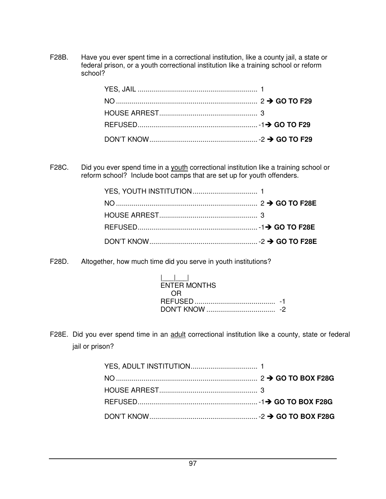F28B. Have you ever spent time in a correctional institution, like a county jail, a state or federal prison, or a youth correctional institution like a training school or reform school?

F28C. Did you ever spend time in a youth correctional institution like a training school or reform school? Include boot camps that are set up for youth offenders.

F28D. Altogether, how much time did you serve in youth institutions?

| $\mathbf{1}$<br><b>ENTER MONTHS</b> |  |
|-------------------------------------|--|
| 0.R                                 |  |
|                                     |  |
|                                     |  |

F28E. Did you ever spend time in an adult correctional institution like a county, state or federal jail or prison?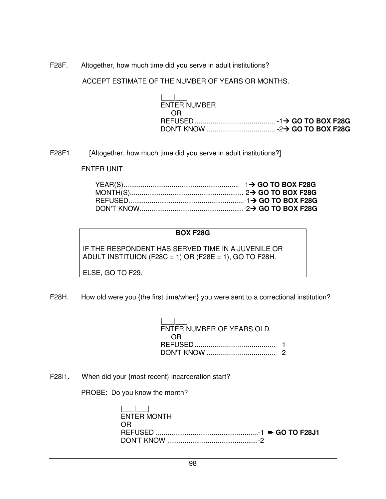F28F. Altogether, how much time did you serve in adult institutions?

ACCEPT ESTIMATE OF THE NUMBER OF YEARS OR MONTHS.

| ENTER NUMBER |  |
|--------------|--|
| OR           |  |
|              |  |
|              |  |

F28F1. [Altogether, how much time did you serve in adult institutions?]

ENTER UNIT.

#### **BOX F28G**

IF THE RESPONDENT HAS SERVED TIME IN A JUVENILE OR ADULT INSTITUION (F28C = 1) OR (F28E = 1), GO TO F28H.

ELSE, GO TO F29.

F28H. How old were you {the first time/when} you were sent to a correctional institution?

 |\_\_\_|\_\_\_| ENTER NUMBER OF YEARS OLD OR REFUSED ......................................... -1 DON'T KNOW ................................... -2

F28I1. When did your {most recent} incarceration start?

PROBE: Do you know the month?

| $\Box$<br><b>ENTER MONTH</b> |  |
|------------------------------|--|
| OR.                          |  |
|                              |  |
|                              |  |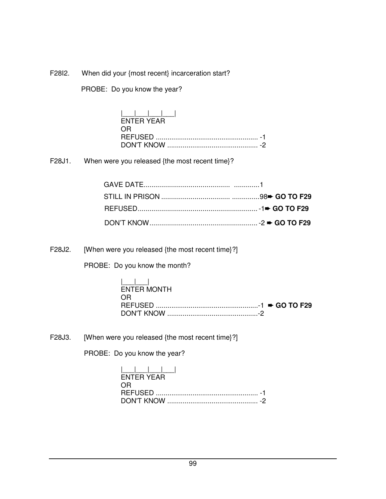F28I2. When did your {most recent} incarceration start?

PROBE: Do you know the year?

| $ $ _ $ $ _ $ $ _ $ $ _ $ $ _ $ $ _ $ $ |
|-----------------------------------------|
| <b>FNTER YEAR</b>                       |
| OR.                                     |
|                                         |
|                                         |

F28J1. When were you released {the most recent time}?

F28J2. [When were you released {the most recent time}?]

PROBE: Do you know the month?

| المساحدات   |  |
|-------------|--|
| ENTER MONTH |  |
| OR.         |  |
|             |  |
|             |  |

F28J3. [When were you released {the most recent time}?]

PROBE: Do you know the year?

| FNTFR YFAR |
|------------|
| - OR       |
|            |
|            |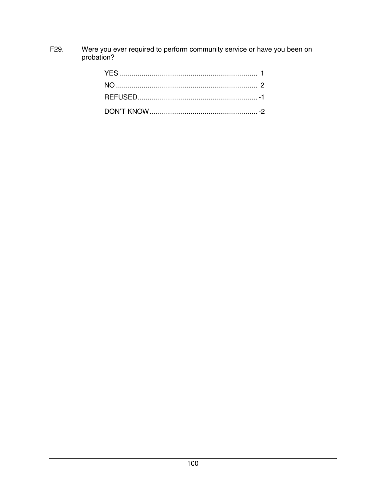# Were you ever required to perform community service or have you been on probation? F<sub>29</sub>.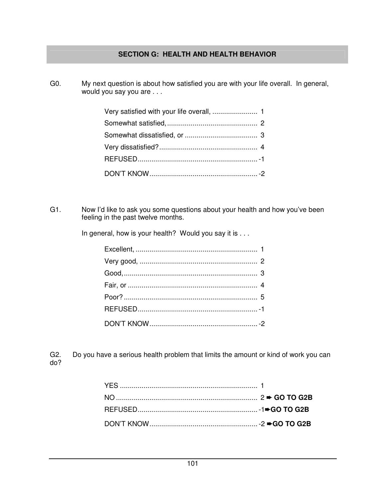#### **SECTION G: HEALTH AND HEALTH BEHAVIOR**

G0. My next question is about how satisfied you are with your life overall. In general, would you say you are . . .

G1. Now I'd like to ask you some questions about your health and how you've been feeling in the past twelve months.

In general, how is your health? Would you say it is . . .

G2. Do you have a serious health problem that limits the amount or kind of work you can do?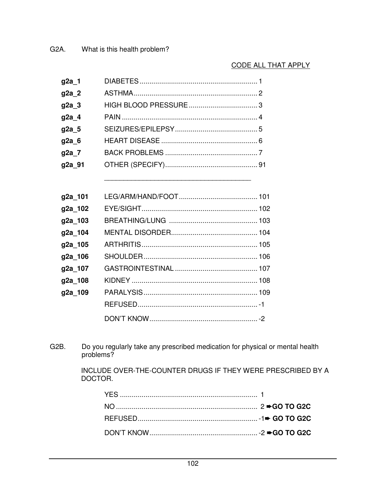# CODE ALL THAT APPLY

| g2a_1   |  |
|---------|--|
| g2a_2   |  |
| g2a_3   |  |
| g2a_4   |  |
| g2a_5   |  |
| g2a_6   |  |
| g2a_7   |  |
| g2a_91  |  |
|         |  |
|         |  |
| g2a_101 |  |
| g2a_102 |  |
| g2a_103 |  |
| g2a_104 |  |
| g2a_105 |  |
| g2a_106 |  |
| g2a_107 |  |
| g2a_108 |  |
| g2a_109 |  |
|         |  |
|         |  |

Do you regularly take any prescribed medication for physical or mental health problems? G<sub>2</sub>B.

> INCLUDE OVER-THE-COUNTER DRUGS IF THEY WERE PRESCRIBED BY A DOCTOR.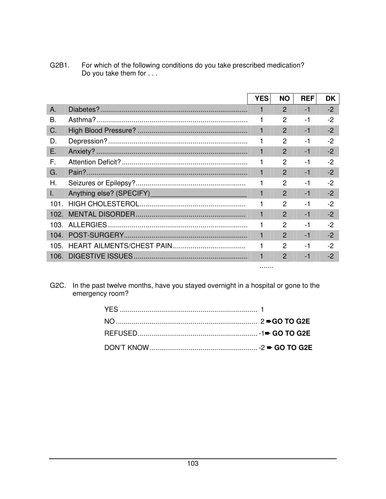| G2B1. | For which of the following conditions do you take prescribed medication? |
|-------|--------------------------------------------------------------------------|
|       | Do you take them for $\dots$                                             |

|              | <b>YES</b>   | <b>NO</b>      | <b>REF</b> | <b>DK</b> |
|--------------|--------------|----------------|------------|-----------|
| Α.           |              | $\mathcal{P}$  | -1         | $-2$      |
| В.           |              | 2              | $-1$       | $-2$      |
| C.           | 1            | $\mathcal{P}$  | $-1$       | $-2$      |
| D.           |              | 2              | -1         | $-2$      |
| Ε.           | 1            | $\mathcal{P}$  | $-1$       | $-2$      |
| F.           |              | 2              | $-1$       | $-2$      |
| G.           | 1            | $\mathcal{P}$  | $-1$       | $-2$      |
| Η.           |              | $\mathcal{P}$  | $-1$       | $-2$      |
| $\mathbf{L}$ | $\mathbf{1}$ | $\mathcal{P}$  | $-1$       | $-2$      |
| $101 -$      |              | $\mathcal{P}$  | $-1$       | $-2$      |
|              | 1            | $\mathcal{P}$  | $-1$       | $-2$      |
| 103.         | 1            | 2              | $-1$       | $-2$      |
|              | $\mathbf{1}$ | $\mathcal{P}$  | $-1$       | $-2$      |
| 105.         |              | $\overline{2}$ | $-1$       | $-2$      |
|              |              | $\mathcal{P}$  | $-1$       | $-2$      |
|              |              |                |            |           |

G2C. In the past twelve months, have you stayed overnight in a hospital or gone to the emergency room?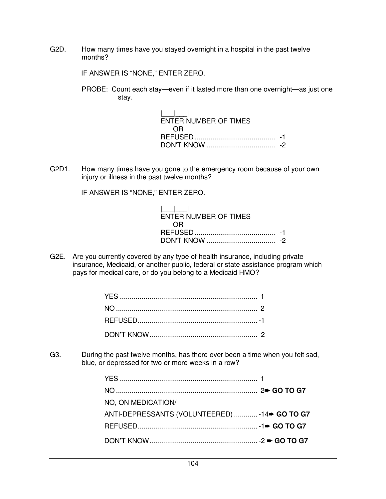G2D. How many times have you stayed overnight in a hospital in the past twelve months?

IF ANSWER IS "NONE," ENTER ZERO.

 PROBE: Count each stay—even if it lasted more than one overnight—as just one stay.

| $\mathbf{1}$ $\mathbf{1}$ $\mathbf{1}$<br>ENTER NUMBER OF TIMES |  |
|-----------------------------------------------------------------|--|
| 0 H                                                             |  |
|                                                                 |  |
|                                                                 |  |

G2D1. How many times have you gone to the emergency room because of your own injury or illness in the past twelve months?

IF ANSWER IS "NONE," ENTER ZERO.

| <b>ENTER NUMBER OF TIMES</b>      |  |
|-----------------------------------|--|
| $\left( \right)$ $\left( \right)$ |  |
|                                   |  |
|                                   |  |

G2E. Are you currently covered by any type of health insurance, including private insurance, Medicaid, or another public, federal or state assistance program which pays for medical care, or do you belong to a Medicaid HMO?

G3. During the past twelve months, has there ever been a time when you felt sad, blue, or depressed for two or more weeks in a row?

| NO, ON MEDICATION/                           |  |
|----------------------------------------------|--|
| ANTI-DEPRESSANTS (VOLUNTEERED)  -14 GO TO G7 |  |
|                                              |  |
|                                              |  |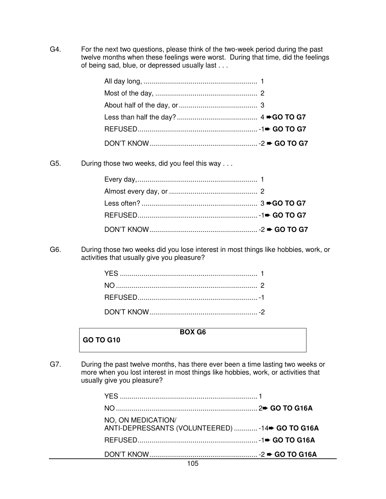G4. For the next two questions, please think of the two-week period during the past twelve months when these feelings were worst. During that time, did the feelings of being sad, blue, or depressed usually last . . .

G5. During those two weeks, did you feel this way . . .

G6. During those two weeks did you lose interest in most things like hobbies, work, or activities that usually give you pleasure?

**BOX G6**

**GO TO G10**

- 
- G7. During the past twelve months, has there ever been a time lasting two weeks or more when you lost interest in most things like hobbies, work, or activities that usually give you pleasure?

| NO, ON MEDICATION/<br>ANTI-DEPRESSANTS (VOLUNTEERED)  -14 GO TO G16A |  |
|----------------------------------------------------------------------|--|
|                                                                      |  |
|                                                                      |  |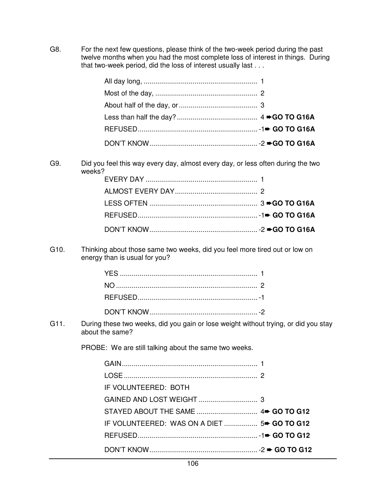G8. For the next few questions, please think of the two-week period during the past twelve months when you had the most complete loss of interest in things. During that two-week period, did the loss of interest usually last . . .

G9. Did you feel this way every day, almost every day, or less often during the two weeks?

G10. Thinking about those same two weeks, did you feel more tired out or low on energy than is usual for you?

G11. During these two weeks, did you gain or lose weight without trying, or did you stay about the same?

PROBE: We are still talking about the same two weeks.

| IF VOLUNTEERED: BOTH                        |  |
|---------------------------------------------|--|
|                                             |  |
|                                             |  |
| IF VOLUNTEERED: WAS ON A DIET  5→ GO TO G12 |  |
|                                             |  |
|                                             |  |
|                                             |  |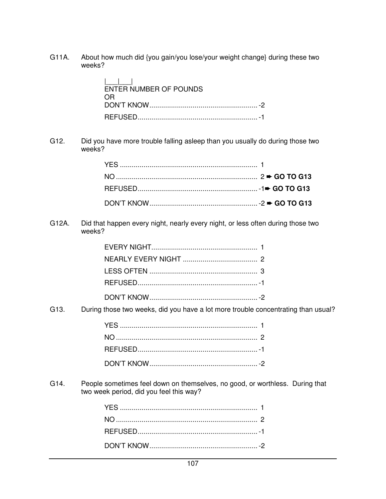G11A. About how much did {you gain/you lose/your weight change} during these two weeks?

| $\mathbf{1}$ and $\mathbf{1}$<br>ENTER NUMBER OF POUNDS<br>ΩR |  |
|---------------------------------------------------------------|--|
|                                                               |  |
|                                                               |  |

G12. Did you have more trouble falling asleep than you usually do during those two weeks?

G12A. Did that happen every night, nearly every night, or less often during those two weeks?

G13. During those two weeks, did you have a lot more trouble concentrating than usual?

G14. People sometimes feel down on themselves, no good, or worthless. During that two week period, did you feel this way?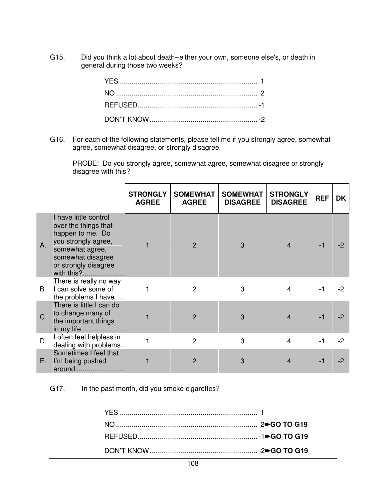G15. Did you think a lot about death--either your own, someone else's, or death in general during those two weeks?

G16. For each of the following statements, please tell me if you strongly agree, somewhat agree, somewhat disagree, or strongly disagree.

 PROBE: Do you strongly agree, somewhat agree, somewhat disagree or strongly disagree with this?

|    |                                                                                                                                                                        | <b>STRONGLY</b><br><b>AGREE</b> | <b>SOMEWHAT</b><br><b>AGREE</b> | <b>SOMEWHAT</b><br><b>DISAGREE</b> | <b>STRONGLY</b><br><b>DISAGREE</b> | <b>REF</b> | <b>DK</b> |
|----|------------------------------------------------------------------------------------------------------------------------------------------------------------------------|---------------------------------|---------------------------------|------------------------------------|------------------------------------|------------|-----------|
| A. | I have little control<br>over the things that<br>happen to me. Do<br>you strongly agree,<br>somewhat agree,<br>somewhat disagree<br>or strongly disagree<br>with this? |                                 | $\mathcal{P}$                   | 3                                  |                                    |            |           |
| В. | There is really no way<br>I can solve some of<br>the problems I have                                                                                                   |                                 | 2                               | 3                                  | 4                                  |            | -2        |
| C. | There is little I can do<br>to change many of<br>the important things<br>in my life                                                                                    |                                 | $\mathcal{P}$                   | 3                                  | 4                                  | -1         | -2        |
| D. | I often feel helpless in<br>dealing with problems                                                                                                                      |                                 | $\overline{2}$                  | 3                                  | 4                                  | $-1$       | $-2$      |
| Е. | Sometimes I feel that<br>I'm being pushed<br>around                                                                                                                    |                                 | $\overline{2}$                  | 3                                  | 4                                  | -1         | -2        |

G17. In the past month, did you smoke cigarettes?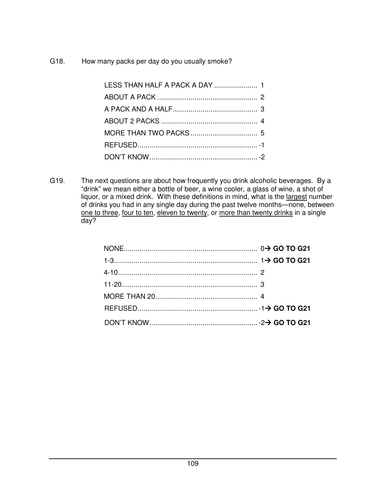G18. How many packs per day do you usually smoke?

| LESS THAN HALF A PACK A DAY  1 |  |
|--------------------------------|--|
|                                |  |
|                                |  |
|                                |  |
|                                |  |
|                                |  |
|                                |  |

G19. The next questions are about how frequently you drink alcoholic beverages. By a "drink" we mean either a bottle of beer, a wine cooler, a glass of wine, a shot of liquor, or a mixed drink. With these definitions in mind, what is the largest number of drinks you had in any single day during the past twelve months—none, between one to three, four to ten, eleven to twenty, or more than twenty drinks in a single day?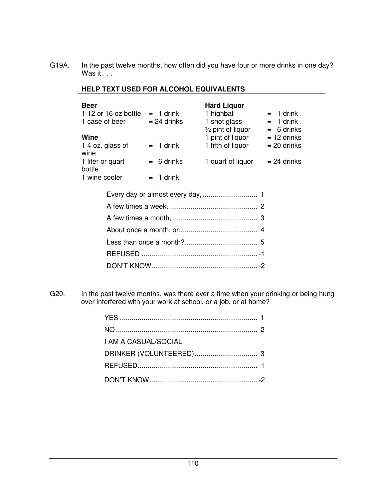G19A. In the past twelve months, how often did you have four or more drinks in one day? Was it  $\ldots$ 

| <b>Beer</b><br>1 12 or 16 oz bottle<br>1 case of beer | $= 1$ drink<br>$= 24$ drinks | <b>Hard Liguor</b><br>1 highball<br>1 shot glass<br>$\frac{1}{2}$ pint of liquor | $= 1$ drink<br>$= 1$ drink<br>$= 6$ drinks |
|-------------------------------------------------------|------------------------------|----------------------------------------------------------------------------------|--------------------------------------------|
| Wine                                                  |                              | 1 pint of liquor                                                                 | $= 12$ drinks                              |
| 1 4 oz. glass of<br>wine                              | $= 1$ drink                  | 1 fifth of liquor                                                                | $= 20$ drinks                              |
| 1 liter or quart<br>bottle                            | $= 6$ drinks                 | 1 quart of liquor                                                                | $= 24$ drinks                              |
| 1 wine cooler                                         | $= 1$ drink                  |                                                                                  |                                            |
|                                                       |                              |                                                                                  |                                            |

### **HELP TEXT USED FOR ALCOHOL EQUIVALENTS**

G20. In the past twelve months, was there ever a time when your drinking or being hung over interfered with your work at school, or a job, or at home?

| I AM A CASUAL/SOCIAL |  |
|----------------------|--|
|                      |  |
|                      |  |
|                      |  |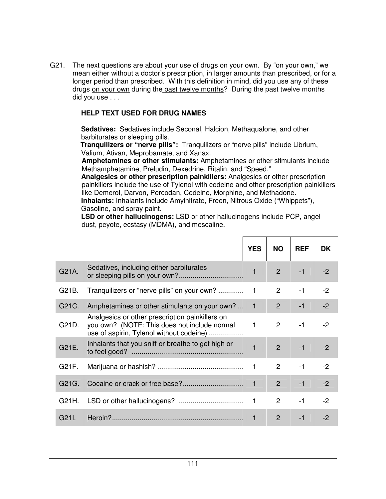G21. The next questions are about your use of drugs on your own. By "on your own," we mean either without a doctor's prescription, in larger amounts than prescribed, or for a longer period than prescribed. With this definition in mind, did you use any of these drugs on your own during the past twelve months? During the past twelve months did you use . . .

### **HELP TEXT USED FOR DRUG NAMES**

**Sedatives:** Sedatives include Seconal, Halcion, Methaqualone, and other barbiturates or sleeping pills.

**Tranquilizers or "nerve pills":** Tranquilizers or "nerve pills" include Librium, Valium, Ativan, Meprobamate, and Xanax.

**Amphetamines or other stimulants:** Amphetamines or other stimulants include Methamphetamine, Preludin, Dexedrine, Ritalin, and "Speed."

**Analgesics or other prescription painkillers:** Analgesics or other prescription painkillers include the use of Tylenol with codeine and other prescription painkillers like Demerol, Darvon, Percodan, Codeine, Morphine, and Methadone. **Inhalants:** Inhalants include Amylnitrate, Freon, Nitrous Oxide ("Whippets"),

#### Gasoline, and spray paint.

**LSD or other hallucinogens:** LSD or other hallucinogens include PCP, angel dust, peyote, ecstasy (MDMA), and mescaline.

|                    |                                                                                                                                               | <b>YES</b>       | <b>NO</b>      | <b>REF</b> | DK   |
|--------------------|-----------------------------------------------------------------------------------------------------------------------------------------------|------------------|----------------|------------|------|
| G21A.              | Sedatives, including either barbiturates                                                                                                      | 1                | 2 <sup>1</sup> | $-1$       | $-2$ |
| G21B.              |                                                                                                                                               |                  | $\overline{2}$ | $-1$       | $-2$ |
| G21C.              | Amphetamines or other stimulants on your own?                                                                                                 | $\blacksquare$ 1 | $2^{\circ}$    | $-1$       | $-2$ |
| G21D.              | Analgesics or other prescription painkillers on<br>you own? (NOTE: This does not include normal 1<br>use of aspirin, Tylenol without codeine) |                  | $2^{\circ}$    | $-1$       | $-2$ |
| G21E.              | Inhalants that you sniff or breathe to get high or                                                                                            |                  | $\overline{2}$ | $-1$       | $-2$ |
| G21F.              |                                                                                                                                               | $\mathbf{1}$     | $\mathbf{2}$   | -1         | $-2$ |
| G21G.              |                                                                                                                                               |                  | $2^{\circ}$    | $-1$       | $-2$ |
| G21H.              |                                                                                                                                               | $\mathbf{1}$     | $\overline{2}$ | $-1$       | $-2$ |
| G <sub>21</sub> I. |                                                                                                                                               |                  | $\mathcal{P}$  | $-1$       | -2   |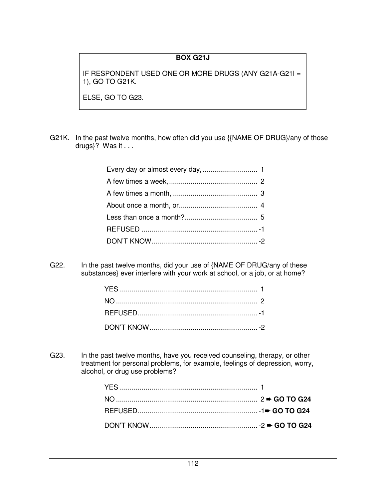## **BOX G21J**

IF RESPONDENT USED ONE OR MORE DRUGS (ANY G21A-G21I = 1), GO TO G21K.

ELSE, GO TO G23.

G21K. In the past twelve months, how often did you use {{NAME OF DRUG}/any of those drugs<sup>2</sup>? Was it . . .

G22. In the past twelve months, did your use of {NAME OF DRUG/any of these substances} ever interfere with your work at school, or a job, or at home?

G23. In the past twelve months, have you received counseling, therapy, or other treatment for personal problems, for example, feelings of depression, worry, alcohol, or drug use problems?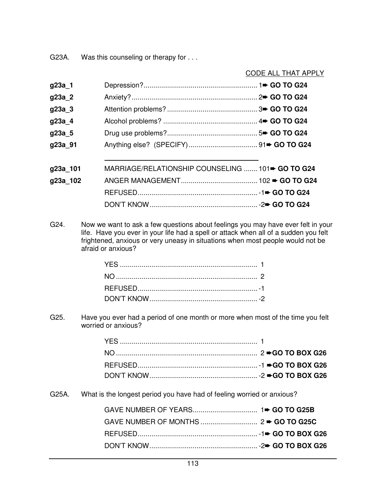G23A. Was this counseling or therapy for . . .

|          |                                                                                                                                                                                              | <b>CODE ALL THAT APPLY</b> |
|----------|----------------------------------------------------------------------------------------------------------------------------------------------------------------------------------------------|----------------------------|
| g23a_1   |                                                                                                                                                                                              |                            |
| g23a_2   |                                                                                                                                                                                              |                            |
| g23a_3   |                                                                                                                                                                                              |                            |
| g23a_4   |                                                                                                                                                                                              |                            |
| g23a_5   |                                                                                                                                                                                              |                            |
| g23a_91  |                                                                                                                                                                                              |                            |
| g23a_101 | MARRIAGE/RELATIONSHIP COUNSELING  101 <sup>+</sup> GO TO G24                                                                                                                                 |                            |
| g23a_102 |                                                                                                                                                                                              |                            |
|          |                                                                                                                                                                                              |                            |
|          |                                                                                                                                                                                              |                            |
|          | life. Have you ever in your life had a spell or attack when all of a sudden you felt<br>frightened, anxious or very uneasy in situations when most people would not be<br>afraid or anxious? |                            |
|          |                                                                                                                                                                                              |                            |
|          |                                                                                                                                                                                              |                            |
|          |                                                                                                                                                                                              |                            |
|          |                                                                                                                                                                                              |                            |
| G25.     | Have you ever had a period of one month or more when most of the time you felt<br>worried or anxious?                                                                                        |                            |
|          |                                                                                                                                                                                              |                            |
|          |                                                                                                                                                                                              |                            |
|          |                                                                                                                                                                                              |                            |
|          |                                                                                                                                                                                              |                            |
| G25A.    | What is the longest period you have had of feeling worried or anxious?                                                                                                                       |                            |
|          |                                                                                                                                                                                              |                            |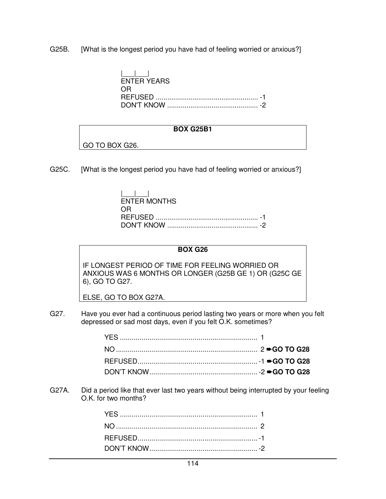G25B. [What is the longest period you have had of feeling worried or anxious?]

|        | $\mathbf{I} = \mathbf{I}$ |  |
|--------|---------------------------|--|
|        | ENTER YEARS               |  |
| ∸⊃⊫≺ ∴ |                           |  |
|        |                           |  |
|        |                           |  |

#### **BOX G25B1**

GO TO BOX G26.

G25C. [What is the longest period you have had of feeling worried or anxious?]

| $\mathbf{1}$ |
|--------------|
| ENTER MONTHS |
|              |
|              |
|              |

### **BOX G26**

IF LONGEST PERIOD OF TIME FOR FEELING WORRIED OR ANXIOUS WAS 6 MONTHS OR LONGER (G25B GE 1) OR (G25C GE 6), GO TO G27.

ELSE, GO TO BOX G27A.

G27. Have you ever had a continuous period lasting two years or more when you felt depressed or sad most days, even if you felt O.K. sometimes?

G27A. Did a period like that ever last two years without being interrupted by your feeling O.K. for two months?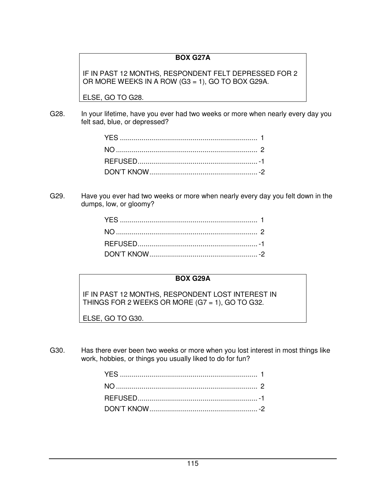# **BOX G27A**

IF IN PAST 12 MONTHS, RESPONDENT FELT DEPRESSED FOR 2 OR MORE WEEKS IN A ROW (G3 = 1), GO TO BOX G29A.

ELSE, GO TO G28.

G28. In your lifetime, have you ever had two weeks or more when nearly every day you felt sad, blue, or depressed?

G29. Have you ever had two weeks or more when nearly every day you felt down in the dumps, low, or gloomy?

#### **BOX G29A**

IF IN PAST 12 MONTHS, RESPONDENT LOST INTEREST IN THINGS FOR 2 WEEKS OR MORE (G7 = 1), GO TO G32.

ELSE, GO TO G30.

G30. Has there ever been two weeks or more when you lost interest in most things like work, hobbies, or things you usually liked to do for fun?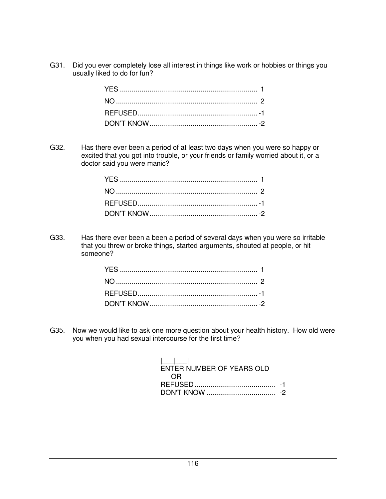G31. Did you ever completely lose all interest in things like work or hobbies or things you usually liked to do for fun?

G32. Has there ever been a period of at least two days when you were so happy or excited that you got into trouble, or your friends or family worried about it, or a doctor said you were manic?

G33. Has there ever been a been a period of several days when you were so irritable that you threw or broke things, started arguments, shouted at people, or hit someone?

G35. Now we would like to ask one more question about your health history. How old were you when you had sexual intercourse for the first time?

| ENTER NUMBER OF YEARS OLD |  |
|---------------------------|--|
|                           |  |
|                           |  |
|                           |  |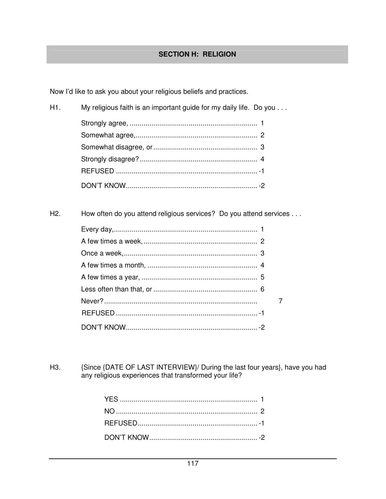# **SECTION H: RELIGION**

Now I'd like to ask you about your religious beliefs and practices.

| H1. | My religious faith is an important guide for my daily life. Do you |  |
|-----|--------------------------------------------------------------------|--|
|     |                                                                    |  |
|     |                                                                    |  |
|     |                                                                    |  |
|     |                                                                    |  |
|     |                                                                    |  |
|     |                                                                    |  |

H<sub>2</sub>. How often do you attend religious services? Do you attend services . . .

{Since {DATE OF LAST INTERVIEW}/ During the last four years}, have you had any religious experiences that transformed your life? H3.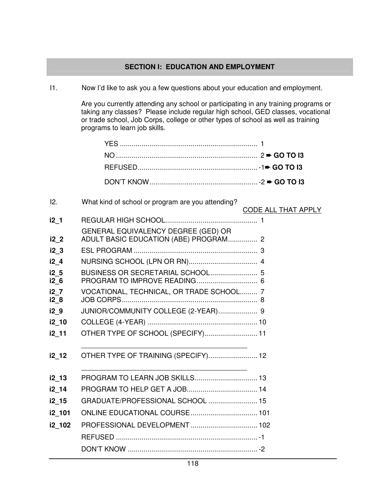#### **SECTION I: EDUCATION AND EMPLOYMENT**

I1. Now I'd like to ask you a few questions about your education and employment.

 Are you currently attending any school or participating in any training programs or taking any classes? Please include regular high school, GED classes, vocational or trade school, Job Corps, college or other types of school as well as training programs to learn job skills.

I2. What kind of school or program are you attending?

#### CODE ALL THAT APPLY

| i2 <sub>1</sub>         |                                                                              |  |
|-------------------------|------------------------------------------------------------------------------|--|
| i2 <sub>2</sub>         | GENERAL EQUIVALENCY DEGREE (GED) OR<br>ADULT BASIC EDUCATION (ABE) PROGRAM 2 |  |
| i2 <sub>3</sub>         |                                                                              |  |
| i2 4                    |                                                                              |  |
| i2 <sub>5</sub><br>i2 6 | BUSINESS OR SECRETARIAL SCHOOL 5<br>PROGRAM TO IMPROVE READING 6             |  |
| i2 7<br>i2 8            | VOCATIONAL, TECHNICAL, OR TRADE SCHOOL 7                                     |  |
| i2 9                    | JUNIOR/COMMUNITY COLLEGE (2-YEAR) 9                                          |  |
| i2 10                   |                                                                              |  |
| i2 11                   | OTHER TYPE OF SCHOOL (SPECIFY) 11                                            |  |
| i2 12                   | OTHER TYPE OF TRAINING (SPECIFY) 12                                          |  |
| i2 13                   | PROGRAM TO LEARN JOB SKILLS 13                                               |  |
| i2_14                   |                                                                              |  |
| i2_15                   | GRADUATE/PROFESSIONAL SCHOOL  15                                             |  |
| i2_101                  | ONLINE EDUCATIONAL COURSE  101                                               |  |
| i2 102                  | PROFESSIONAL DEVELOPMENT  102                                                |  |
|                         |                                                                              |  |
|                         |                                                                              |  |
|                         |                                                                              |  |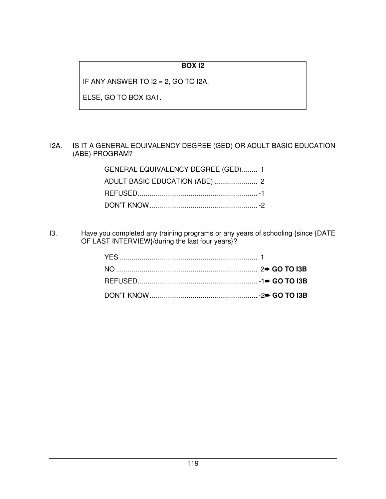# **BOX I2**

IF ANY ANSWER TO  $12 = 2$ , GO TO I2A.

ELSE, GO TO BOX I3A1.

I2A. IS IT A GENERAL EQUIVALENCY DEGREE (GED) OR ADULT BASIC EDUCATION (ABE) PROGRAM?

| GENERAL EQUIVALENCY DEGREE (GED) 1 |  |
|------------------------------------|--|
|                                    |  |
|                                    |  |
|                                    |  |

I3. Have you completed any training programs or any years of schooling {since {DATE OF LAST INTERVIEW}/during the last four years}?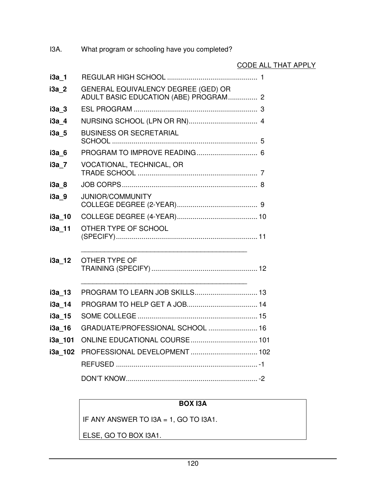| What program or schooling have you completed?                                |
|------------------------------------------------------------------------------|
| <b>CODE ALL THAT APPLY</b>                                                   |
|                                                                              |
| GENERAL EQUIVALENCY DEGREE (GED) OR<br>ADULT BASIC EDUCATION (ABE) PROGRAM 2 |
|                                                                              |
|                                                                              |
| <b>BUSINESS OR SECRETARIAL</b>                                               |
|                                                                              |
| VOCATIONAL, TECHNICAL, OR                                                    |
|                                                                              |
| <b>JUNIOR/COMMUNITY</b>                                                      |
|                                                                              |
| OTHER TYPE OF SCHOOL                                                         |
| OTHER TYPE OF                                                                |
| PROGRAM TO LEARN JOB SKILLS 13                                               |
|                                                                              |
|                                                                              |
| GRADUATE/PROFESSIONAL SCHOOL  16                                             |
|                                                                              |
| i3a 102 PROFESSIONAL DEVELOPMENT  102                                        |
|                                                                              |
|                                                                              |
|                                                                              |

# **BOX I3A**

IF ANY ANSWER TO I3A = 1, GO TO I3A1.

ELSE, GO TO BOX I3A1.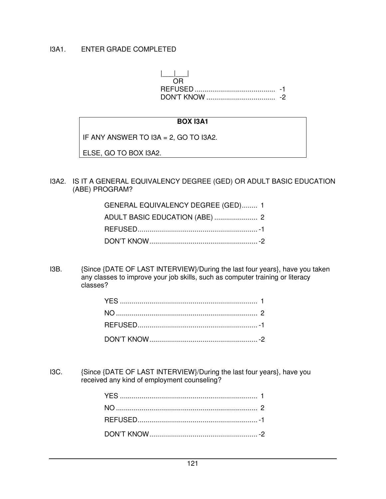### I3A1. ENTER GRADE COMPLETED

 $|_{--}|$  OR REFUSED ......................................... -1 DON'T KNOW ................................... -2

#### **BOX I3A1**

IF ANY ANSWER TO I3A = 2, GO TO I3A2.

ELSE, GO TO BOX I3A2.

I3A2. IS IT A GENERAL EQUIVALENCY DEGREE (GED) OR ADULT BASIC EDUCATION (ABE) PROGRAM?

| GENERAL EQUIVALENCY DEGREE (GED) 1 |  |
|------------------------------------|--|
|                                    |  |
|                                    |  |
|                                    |  |

I3B. {Since {DATE OF LAST INTERVIEW}/During the last four years}, have you taken any classes to improve your job skills, such as computer training or literacy classes?

I3C. {Since {DATE OF LAST INTERVIEW}/During the last four years}, have you received any kind of employment counseling?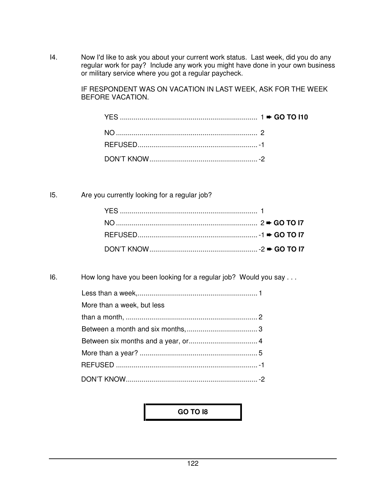I4. Now I'd like to ask you about your current work status. Last week, did you do any regular work for pay? Include any work you might have done in your own business or military service where you got a regular paycheck.

> IF RESPONDENT WAS ON VACATION IN LAST WEEK, ASK FOR THE WEEK BEFORE VACATION.

I5. Are you currently looking for a regular job?

I6. How long have you been looking for a regular job? Would you say . . .

| More than a week, but less |  |
|----------------------------|--|
|                            |  |
|                            |  |
|                            |  |
|                            |  |
|                            |  |
|                            |  |

**GO TO I8**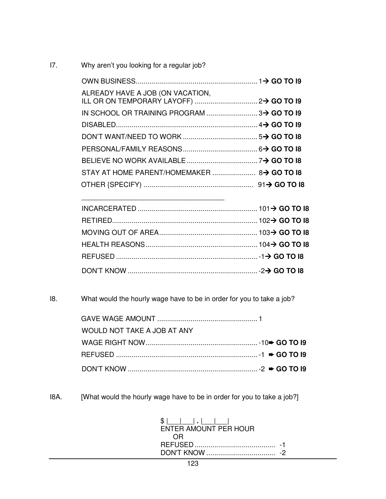I7. Why aren't you looking for a regular job?

\_\_\_\_\_\_\_\_\_\_\_\_\_\_\_\_\_\_\_\_\_\_\_\_\_\_\_\_\_\_\_\_\_\_\_\_\_

| ALREADY HAVE A JOB (ON VACATION,           |  |
|--------------------------------------------|--|
| IN SCHOOL OR TRAINING PROGRAM  3> GO TO I9 |  |
|                                            |  |
|                                            |  |
|                                            |  |
|                                            |  |
|                                            |  |
|                                            |  |
|                                            |  |

I8. What would the hourly wage have to be in order for you to take a job?

| WOULD NOT TAKE A JOB AT ANY |  |
|-----------------------------|--|
|                             |  |
|                             |  |
|                             |  |

I8A. [What would the hourly wage have to be in order for you to take a job?]

 $\frac{1}{2}$   $\frac{1}{2}$   $\frac{1}{2}$   $\frac{1}{2}$   $\frac{1}{2}$   $\frac{1}{2}$   $\frac{1}{2}$   $\frac{1}{2}$   $\frac{1}{2}$   $\frac{1}{2}$   $\frac{1}{2}$   $\frac{1}{2}$   $\frac{1}{2}$   $\frac{1}{2}$   $\frac{1}{2}$   $\frac{1}{2}$   $\frac{1}{2}$   $\frac{1}{2}$   $\frac{1}{2}$   $\frac{1}{2}$   $\frac{1}{2}$   $\frac{1}{2}$  ENTER AMOUNT PER HOUR OR REFUSED ......................................... -1 DON'T KNOW ................................... -2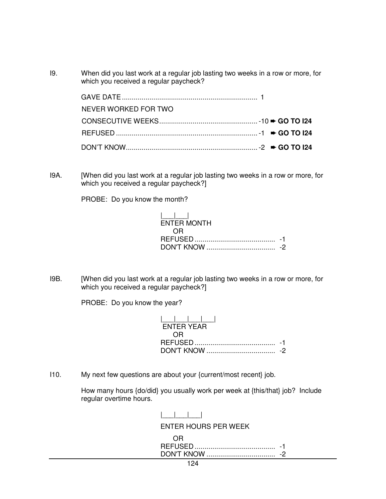I9. When did you last work at a regular job lasting two weeks in a row or more, for which you received a regular paycheck?

| NEVER WORKED FOR TWO |  |  |  |
|----------------------|--|--|--|
|                      |  |  |  |
|                      |  |  |  |
|                      |  |  |  |

I9A. [When did you last work at a regular job lasting two weeks in a row or more, for which you received a regular paycheck?]

PROBE: Do you know the month?

| ENTER MONTH                       |  |
|-----------------------------------|--|
| $\left( \right)$ $\left( \right)$ |  |
|                                   |  |
|                                   |  |

I9B. [When did you last work at a regular job lasting two weeks in a row or more, for which you received a regular paycheck?]

PROBE: Do you know the year?

 |\_\_\_|\_\_\_|\_\_\_|\_\_\_| ENTER YEAR OR REFUSED ......................................... -1 DON'T KNOW ................................... -2

I10. My next few questions are about your {current/most recent} job.

 How many hours {do/did} you usually work per week at {this/that} job? Include regular overtime hours.

|\_\_\_|\_\_\_|\_\_\_|

ENTER HOURS PER WEEK

 OR REFUSED ......................................... -1 DON'T KNOW ................................... -2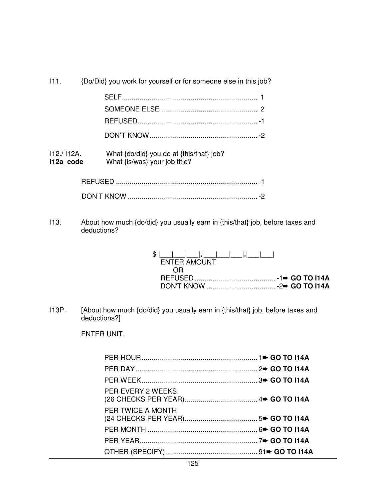I11. {Do/Did} you work for yourself or for someone else in this job?

I12./ I12A. What {do/did} you do at {this/that} job? **i12a\_code** What {is/was} your job title?

I13. About how much {do/did} you usually earn in {this/that} job, before taxes and deductions?

| $S$          |  |
|--------------|--|
| ENTER AMOUNT |  |
| OR)          |  |
|              |  |
|              |  |

I13P. [About how much {do/did} you usually earn in {this/that} job, before taxes and deductions?]

ENTER UNIT.

| <b>PER EVERY 2 WEEKS</b> |  |
|--------------------------|--|
| <b>PER TWICE A MONTH</b> |  |
|                          |  |
|                          |  |
|                          |  |
|                          |  |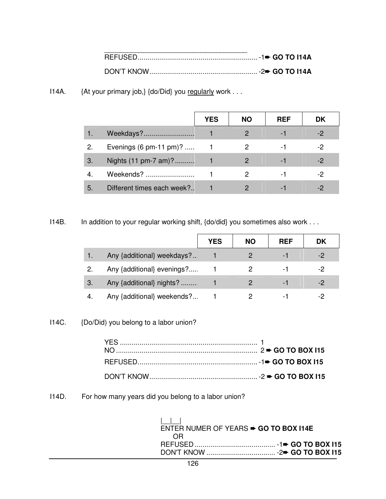I14A. {At your primary job,} {do/Did} you regularly work . . .

|    |                            | YES | <b>NO</b> | <b>REF</b> | <b>DK</b> |
|----|----------------------------|-----|-----------|------------|-----------|
|    | Weekdays?                  |     |           |            |           |
| 2. | Evenings (6 pm-11 pm)?     |     | 2         | - 1        | -2        |
| 3. | Nights (11 pm-7 am)?       |     | 2         | -1         | -2        |
|    | Weekends?                  |     |           |            | -2        |
| 5. | Different times each week? |     |           |            |           |

I14B. In addition to your regular working shift, {do/did} you sometimes also work . . .

|                            | YES | <b>NO</b> | <b>REF</b> | DK |
|----------------------------|-----|-----------|------------|----|
| Any {additional} weekdays? |     |           | - 1        |    |
| Any {additional} evenings? |     |           | -          |    |
| Any {additional} nights?   |     |           | ۰.         |    |
| Any {additional} weekends? |     |           | -          |    |

# I14C. {Do/Did) you belong to a labor union?

I14D. For how many years did you belong to a labor union?

| ENTER NUMER OF YEARS $\rightarrow$ GO TO BOX I14E |  |
|---------------------------------------------------|--|
| OR                                                |  |
|                                                   |  |
|                                                   |  |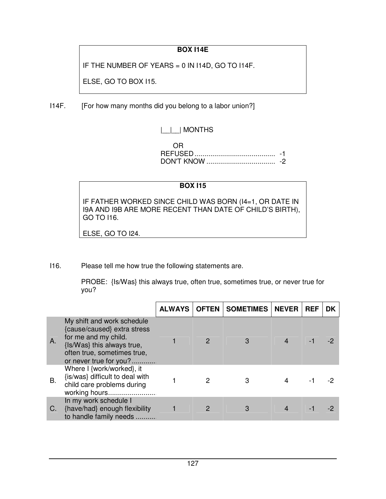# **BOX I14E**

IF THE NUMBER OF YEARS = 0 IN I14D, GO TO I14F.

ELSE, GO TO BOX I15.

I14F. [For how many months did you belong to a labor union?]

|\_\_|\_\_| MONTHS

 OR REFUSED ......................................... -1 DON'T KNOW ................................... -2

# **BOX I15**

IF FATHER WORKED SINCE CHILD WAS BORN (I4=1, OR DATE IN I9A AND I9B ARE MORE RECENT THAN DATE OF CHILD'S BIRTH), GO TO I16.

ELSE, GO TO I24.

I16. Please tell me how true the following statements are.

 PROBE: {Is/Was} this always true, often true, sometimes true, or never true for you?

|    |                                                                                                                                                                          | <b>ALWAYS</b> | <b>OFTEN</b>  | <b>SOMETIMES   NEVER</b> | <b>REF</b> | DK |
|----|--------------------------------------------------------------------------------------------------------------------------------------------------------------------------|---------------|---------------|--------------------------|------------|----|
| A. | My shift and work schedule<br>{cause/caused} extra stress<br>for me and my child.<br>{Is/Was} this always true,<br>often true, sometimes true,<br>or never true for you? |               |               |                          |            |    |
| В. | Where I {work/worked}, it<br>{is/was} difficult to deal with<br>child care problems during<br>working hours                                                              |               |               |                          |            |    |
| C. | In my work schedule I<br>{have/had} enough flexibility<br>to handle family needs                                                                                         |               | $\mathcal{P}$ |                          |            |    |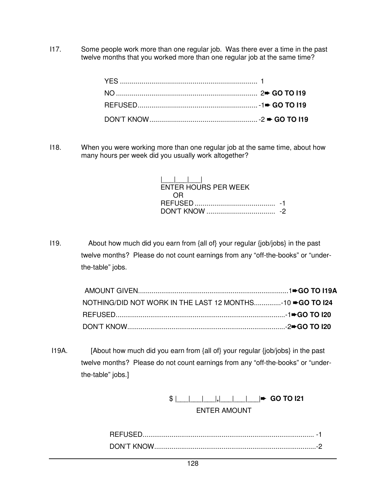I17. Some people work more than one regular job. Was there ever a time in the past twelve months that you worked more than one regular job at the same time?

I18. When you were working more than one regular job at the same time, about how many hours per week did you usually work altogether?

| <b>ENTER HOURS PER WEEK</b> |  |
|-----------------------------|--|
| $\cdot$ ) $\mathsf{H}$      |  |
|                             |  |
|                             |  |

I19. About how much did you earn from {all of} your regular {job/jobs} in the past twelve months? Please do not count earnings from any "off-the-books" or "underthe-table" jobs.

| NOTHING/DID NOT WORK IN THE LAST 12 MONTHS10 <b>⇒GO TO I24</b> |  |
|----------------------------------------------------------------|--|
|                                                                |  |
|                                                                |  |

I19A. [About how much did you earn from  $\{$ all of $\}$  your regular  $\{$ job/jobs $\}$  in the past twelve months? Please do not count earnings from any "off-the-books" or "underthe-table" jobs.]

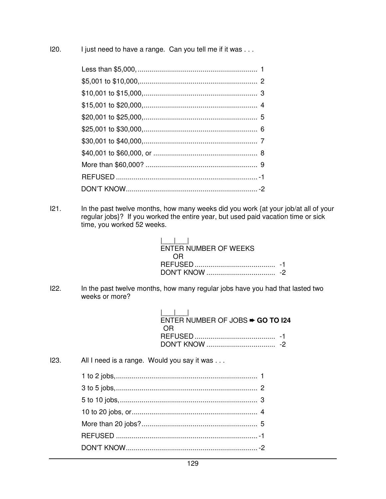I20. I just need to have a range. Can you tell me if it was . . .

I21. In the past twelve months, how many weeks did you work {at your job/at all of your regular jobs}? If you worked the entire year, but used paid vacation time or sick time, you worked 52 weeks.

| <b>ENTER NUMBER OF WEEKS</b> |  |
|------------------------------|--|
| ′)⊢                          |  |
|                              |  |
|                              |  |

I22. In the past twelve months, how many regular jobs have you had that lasted two weeks or more?

| ENTER NUMBER OF JOBS $\rightarrow$ GO TO 124<br>ΩR |  |
|----------------------------------------------------|--|
|                                                    |  |

I23. All I need is a range. Would you say it was . . .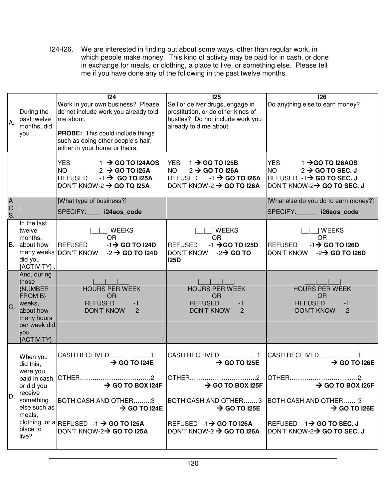I24-I26. We are interested in finding out about some ways, other than regular work, in which people make money. This kind of activity may be paid for in cash, or done in exchange for meals, or clothing, a place to live, or something else. Please tell me if you have done any of the following in the past twelve months.

| A.                                    | During the<br>past twelve<br>months, did<br>you                                                                             | 124<br>Work in your own business? Please<br>do not include work you already told<br>me about.<br><b>PROBE:</b> This could include things<br>such as doing other people's hair,<br>either in your home or theirs. | 125<br>Sell or deliver drugs, engage in<br>prostitution, or do other kinds of<br>hustles? Do not include work you<br>already told me about.                                                                                                | 126<br>Do anything else to earn money?                                                                                                                                                           |
|---------------------------------------|-----------------------------------------------------------------------------------------------------------------------------|------------------------------------------------------------------------------------------------------------------------------------------------------------------------------------------------------------------|--------------------------------------------------------------------------------------------------------------------------------------------------------------------------------------------------------------------------------------------|--------------------------------------------------------------------------------------------------------------------------------------------------------------------------------------------------|
|                                       |                                                                                                                             | <b>YES</b><br>$1 \rightarrow$ GO TO I24AOS<br><b>NO</b><br>$2 \rightarrow$ GO TO I25A<br><b>REFUSED</b><br>$-1 \rightarrow$ GO TO I25A<br>DON'T KNOW-2 $\rightarrow$ GO TO I25A                                  | YES $1 \rightarrow$ GO TO I25B<br><b>NO</b><br>$2 \rightarrow$ GO TO I26A<br><b>REFUSED</b>                                                                                                                                                | <b>YES</b><br>$1 \rightarrow$ GO TO I26AOS<br><b>NO</b><br>$2 \rightarrow$ GO TO SEC. J<br>$-1 \rightarrow$ GO TO I26A REFUSED $-1 \rightarrow$ GO TO SEC. J<br> DON'T KNOW-2→ GO TO SEC. J      |
| $\overline{A}$<br>$\overline{O}$<br>S |                                                                                                                             | [What type of business?]<br>SPECIFY: i24aos code                                                                                                                                                                 |                                                                                                                                                                                                                                            | [What else do you do to earn money?]<br>SPECIFY: 126aos_code                                                                                                                                     |
| B.                                    | In the last<br>twelve<br>months,<br>about how<br>did you<br>{ACTIVITY}.                                                     | <b>WEEKS</b><br><b>OR</b><br>$-1$ $\rightarrow$ GO TO I24D<br><b>REFUSED</b><br>many weeks DON'T KNOW<br>$-2 \rightarrow$ GO TO I24D                                                                             | <b>WEEKS</b><br><b>OR</b><br>$-1$ $\rightarrow$ GO TO I25D<br><b>REFUSED</b><br>$-2 \rightarrow$ GO TO<br><b>DON'T KNOW</b><br><b>I25D</b>                                                                                                 | WEEKS<br><b>OR</b><br>$-1$ $\rightarrow$ GO TO I26D<br><b>REFUSED</b><br>DON'T KNOW -2→ GO TO I26D                                                                                               |
| C.                                    | And, during<br>those<br><b>NUMBER</b><br>FROM B}<br>weeks,<br>about how<br>many hours<br>per week did<br>you<br>{ACTIVITY}. | <b>HOURS PER WEEK</b><br><b>OR</b><br><b>REFUSED</b><br>$-1$<br><b>DON'T KNOW</b><br>$-2$                                                                                                                        | <b>HOURS PER WEEK</b><br><b>OR</b><br><b>REFUSED</b><br>-1<br><b>DON'T KNOW</b><br>$-2$                                                                                                                                                    | <b>HOURS PER WEEK</b><br><b>OR</b><br><b>REFUSED</b><br>$-1$<br><b>DON'T KNOW</b><br>$-2$                                                                                                        |
| D.                                    | When you<br>did this,<br>were you<br>or did you<br>receive<br>something<br>else such as<br>meals,<br>place to<br>live?      | CASH RECEIVED1<br>$\rightarrow$ GO TO I24E<br>$\rightarrow$ GO TO BOX I24F<br>BOTH CASH AND OTHER3<br>$\rightarrow$ GO TO I24E<br>clothing, or a REFUSED -1 $\rightarrow$ GO TO I25A<br>DON'T KNOW-2→ GO TO I25A | CASH RECEIVED1<br>$\rightarrow$ GO TO I25E<br>OTHER2<br>$\rightarrow$ GO TO BOX I25F<br>BOTH CASH AND OTHER3 BOTH CASH AND OTHER 3<br>$\rightarrow$ GO TO I25E<br>$REFUSED -1 \rightarrow GO$ TO I26A<br> DON'T KNOW-2 → <b>GO TO I26A</b> | CASH RECEIVED<br>$\rightarrow$ GO TO I26E<br>$\rightarrow$ GO TO BOX I26F<br>$\rightarrow$ GO TO I26E<br>$ {\sf REFUSED} \> \dashv \to {\sf GO}$ to sec. J<br> DON'T KNOW-2→ <b>GO TO SEC. J</b> |
|                                       |                                                                                                                             |                                                                                                                                                                                                                  |                                                                                                                                                                                                                                            |                                                                                                                                                                                                  |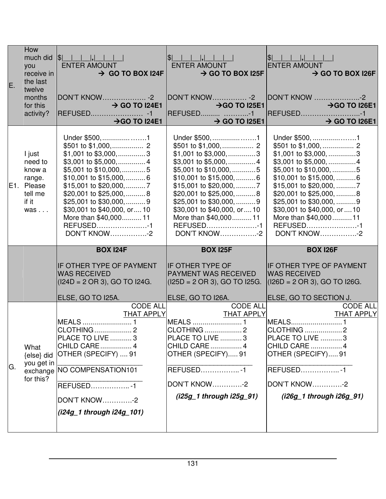| E. | How<br>you<br>receive in $ $<br>the last<br>twelve<br>months<br>for this<br>activity?  | much did $ \$\$                      <br>ENTER AMOUNT<br>$\rightarrow$ GO TO BOX I24F<br>DON'T KNOW2<br>$\rightarrow$ GO TO I24E1                                                                                                                                                | ENTER AMOUNT<br>$\rightarrow$ GO TO BOX I25F<br>DON'T KNOW -2<br>$\rightarrow$ GO TO I25E1                                                                                                                                                                                                                                            | ENTER AMOUNT<br>$\rightarrow$ GO TO BOX I26F<br>DON'T KNOW 2<br>$\rightarrow$ GO TO I26E1                                                                                                                                                                                                                                 |
|----|----------------------------------------------------------------------------------------|----------------------------------------------------------------------------------------------------------------------------------------------------------------------------------------------------------------------------------------------------------------------------------|---------------------------------------------------------------------------------------------------------------------------------------------------------------------------------------------------------------------------------------------------------------------------------------------------------------------------------------|---------------------------------------------------------------------------------------------------------------------------------------------------------------------------------------------------------------------------------------------------------------------------------------------------------------------------|
|    | I just<br>need to<br>know a<br>range.<br>E1. Please<br>tell me<br>if it<br>$was \dots$ | Under \$500, 1<br>\$1,001 to \$3,000,3<br>\$5,001 to \$10,000,5<br>\$10,001 to \$15,000,    6<br>\$15,001 to \$20,000,    7<br>\$20,001 to \$25,000,    8<br>\$25,001 to \$30,000,  9<br>\$30,001 to \$40,000, or 10<br>More than \$40,000 11<br>REFUSED1<br><b>DON'T KNOW-2</b> | Under \$500, 1<br>\$501 to \$1,000, 2<br>$$1,001$ to $$3,000, \dots$ 3<br>\$3,001 to \$5,000,  4<br>\$5,001 to \$10,000, 5<br>\$10,001 to \$15,000,  6<br>\$15,001 to \$20,000, 7<br>\$20,001 to \$25,000,  8<br>\$25,001 to \$30,000,  9<br>\$30,001 to \$40,000, or  10<br>More than \$40,000 11<br>REFUSED1<br><b>DON'T KNOW-2</b> | Under \$500, 1<br>\$501 to \$1,000,  2<br>\$1,001 to \$3,000, 3<br>\$3,001 to \$5,000, 4<br>\$5,001 to \$10,000, 5<br>\$10,001 to \$15,000, 6<br>\$15,001 to \$20,000, 7<br>\$20,001 to \$25,000, 8<br>\$25,001 to \$30,000, 9<br>\$30,001 to \$40,000, or  10<br>More than \$40,00011<br>REFUSED1<br><b>DON'T KNOW-2</b> |
|    |                                                                                        | <b>BOX 124F</b><br><b>IF OTHER TYPE OF PAYMENT</b><br><b>WAS RECEIVED</b><br>$(124D = 2 \text{ OR } 3),$ GO TO 124G.                                                                                                                                                             | <b>BOX 125F</b><br><b>IF OTHER TYPE OF</b><br><b>PAYMENT WAS RECEIVED</b><br>$(125D = 2 \text{ OR } 3),$ GO TO 125G.                                                                                                                                                                                                                  | <b>BOX 126F</b><br><b>IF OTHER TYPE OF PAYMENT</b><br><b>WAS RECEIVED</b><br>$ (126D = 2 \text{ OR } 3),$ GO TO I26G.                                                                                                                                                                                                     |
| G. | What<br>{else} did<br>you get in<br>for this?                                          | ELSE, GO TO I25A.<br><b>CODE ALL</b><br>PLACE TO LIVE  3<br>CHILD CARE 4<br>OTHER (SPECIFY)  91<br>exchange   NO COMPENSATION101<br>REFUSED1<br><b>DON'T KNOW-2</b><br>(i24g_1 through i24g_101)                                                                                 | ELSE, GO TO I26A.<br><b>CODE ALL</b><br><b>CLOTHING</b> 2<br><b>PLACE TO LIVE 3</b><br><b>CHILD CARE  4</b><br>OTHER (SPECIFY) 91<br>REFUSED1<br>DON'T KNOW-2<br>(i25g_1 through i25g_91)                                                                                                                                             | ELSE, GO TO SECTION J.<br>CODE ALL CODE ALL CODE ALL CODE ALL CODE ALL<br>THAT APPLY THAT APPLY THAT APPLY<br>CLOTHING 2<br>PLACE TO LIVE 3<br>CHILD CARE  4<br>OTHER (SPECIFY)91<br>REFUSED1<br>DON'T KNOW-2<br>(i26g_1 through i26g_91)                                                                                 |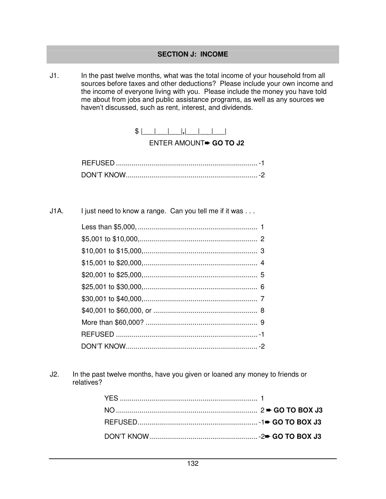#### **SECTION J: INCOME**

J1. In the past twelve months, what was the total income of your household from all sources before taxes and other deductions? Please include your own income and the income of everyone living with you. Please include the money you have told me about from jobs and public assistance programs, as well as any sources we haven't discussed, such as rent, interest, and dividends.



ENTER AMOUNT➨ **GO TO J2**

J1A. I just need to know a range. Can you tell me if it was ...

J2. In the past twelve months, have you given or loaned any money to friends or relatives?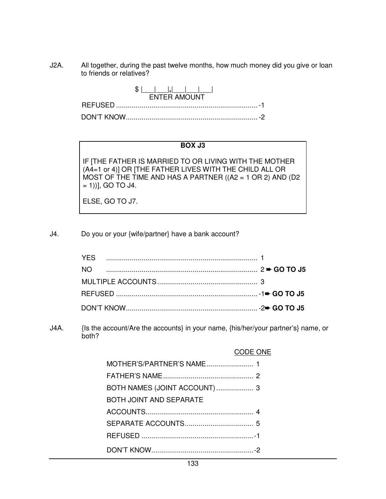J2A. All together, during the past twelve months, how much money did you give or loan to friends or relatives?

| FNTER AMOUNT |  |
|--------------|--|
|              |  |
|              |  |

#### **BOX J3**

IF [THE FATHER IS MARRIED TO OR LIVING WITH THE MOTHER (A4=1 or 4)] OR [THE FATHER LIVES WITH THE CHILD ALL OR MOST OF THE TIME AND HAS A PARTNER  $((A2 = 1 \text{ OR } 2)$  AND  $(D2$  $= 1)$ ], GO TO J4.

ELSE, GO TO J7.

J4. Do you or your {wife/partner} have a bank account?

|  | YES. |  |
|--|------|--|
|  | חוח  |  |
|  |      |  |
|  |      |  |
|  |      |  |

J4A. {Is the account/Are the accounts} in your name, {his/her/your partner's} name, or both?

|                                | CODE ONE |
|--------------------------------|----------|
|                                |          |
|                                |          |
|                                |          |
| <b>BOTH JOINT AND SEPARATE</b> |          |
|                                |          |
|                                |          |
|                                |          |
|                                |          |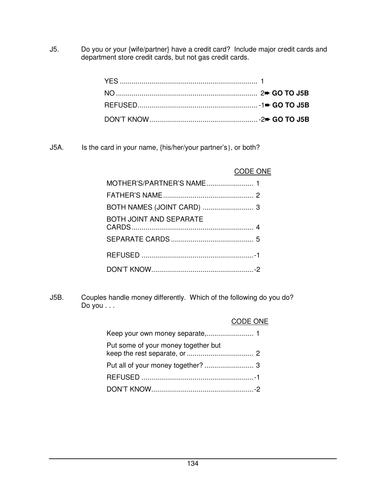J5. Do you or your {wife/partner} have a credit card? Include major credit cards and department store credit cards, but not gas credit cards.

J5A. Is the card in your name, {his/her/your partner's}, or both?

### CODE ONE

| MOTHER'S/PARTNER'S NAME 1      |  |
|--------------------------------|--|
|                                |  |
|                                |  |
| <b>BOTH JOINT AND SEPARATE</b> |  |
|                                |  |
|                                |  |
|                                |  |

J5B. Couples handle money differently. Which of the following do you do? Do you . . .

|                                     | <b>CODE ONE</b> |
|-------------------------------------|-----------------|
|                                     |                 |
| Put some of your money together but |                 |
|                                     |                 |
|                                     |                 |
|                                     |                 |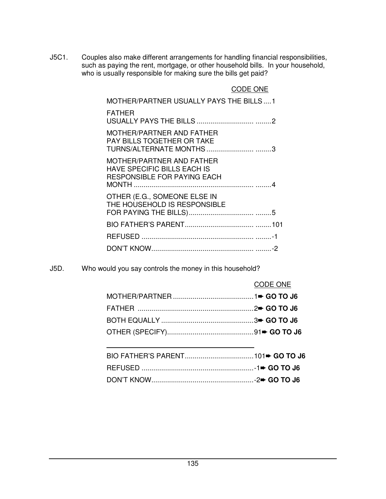J5C1. Couples also make different arrangements for handling financial responsibilities, such as paying the rent, mortgage, or other household bills. In your household, who is usually responsible for making sure the bills get paid?

| CODE ONE                                                                                                     |
|--------------------------------------------------------------------------------------------------------------|
| MOTHER/PARTNER USUALLY PAYS THE BILLS  1                                                                     |
| <b>FATHER</b>                                                                                                |
| <b>MOTHER/PARTNER AND FATHER</b><br><b>PAY BILLS TOGETHER OR TAKE</b>                                        |
| <b>MOTHER/PARTNER AND FATHER</b><br><b>HAVE SPECIFIC BILLS EACH IS</b><br><b>RESPONSIBLE FOR PAYING EACH</b> |
| OTHER (E.G., SOMEONE ELSE IN<br>THE HOUSEHOLD IS RESPONSIBLE                                                 |
|                                                                                                              |
|                                                                                                              |
|                                                                                                              |

J5D. Who would you say controls the money in this household?

|  | CODE ONE |
|--|----------|
|  |          |
|  |          |
|  |          |
|  |          |
|  |          |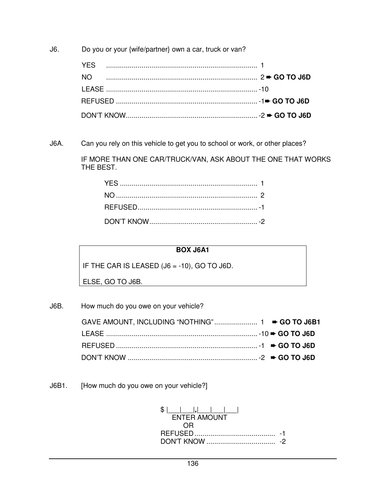J6. Do you or your {wife/partner} own a car, truck or van?

J6A. Can you rely on this vehicle to get you to school or work, or other places?

 IF MORE THAN ONE CAR/TRUCK/VAN, ASK ABOUT THE ONE THAT WORKS THE BEST.

# **BOX J6A1**

IF THE CAR IS LEASED (J6 = -10), GO TO J6D.

ELSE, GO TO J6B.

J6B. How much do you owe on your vehicle?

J6B1. [How much do you owe on your vehicle?]

| SI.                 |  |
|---------------------|--|
| <b>ENTER AMOUNT</b> |  |
| ำ∺                  |  |
|                     |  |
|                     |  |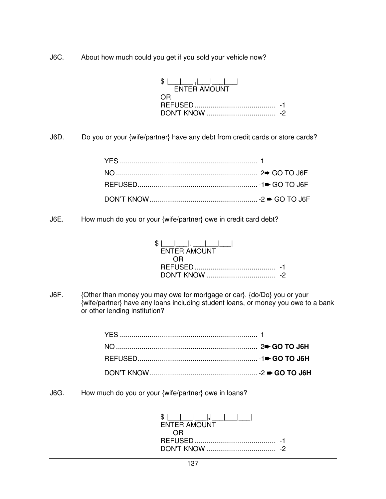J6C. About how much could you get if you sold your vehicle now?

| ১।<br>ENTER AMOUNT |  |
|--------------------|--|
|                    |  |
| .                  |  |
|                    |  |

J6D. Do you or your {wife/partner} have any debt from credit cards or store cards?

J6E. How much do you or your {wife/partner} owe in credit card debt?

| SS I                |  |
|---------------------|--|
| <b>ENTER AMOUNT</b> |  |
| $^{\prime}$ )H      |  |
|                     |  |
|                     |  |

J6F. {Other than money you may owe for mortgage or car}, {do/Do} you or your {wife/partner} have any loans including student loans, or money you owe to a bank or other lending institution?

J6G. How much do you or your {wife/partner} owe in loans?

| <b>ENTER AMOUNT</b> |   |
|---------------------|---|
|                     |   |
|                     | . |
| DON'T KNOW          |   |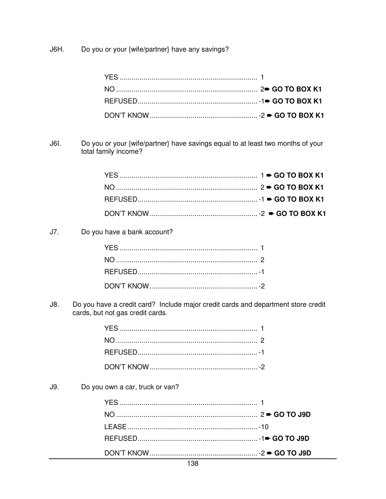Do you or your {wife/partner} have any savings? J6H.

Do you or your {wife/partner} have savings equal to at least two months of your J6I. total family income?

Do you have a bank account?  $J7.$ 

Do you have a credit card? Include major credit cards and department store credit  $J8.$ cards, but not gas credit cards.

Do you own a car, truck or van?  $J9.$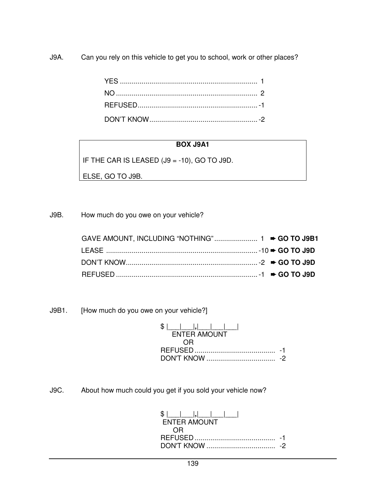J9A. Can you rely on this vehicle to get you to school, work or other places?

# **BOX J9A1**

IF THE CAR IS LEASED (J9 = -10), GO TO J9D.

ELSE, GO TO J9B.

J9B. How much do you owe on your vehicle?

J9B1. [How much do you owe on your vehicle?]

| ১।                  |  |
|---------------------|--|
| <b>ENTER AMOUNT</b> |  |
|                     |  |
| .                   |  |
| DON'T KNOW          |  |

J9C. About how much could you get if you sold your vehicle now?

| <b>ENTER AMOUNT</b> |  |
|---------------------|--|
| ົ∖⊢                 |  |
|                     |  |
|                     |  |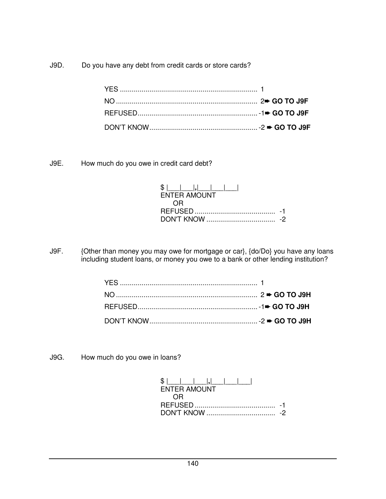J9D. Do you have any debt from credit cards or store cards?

J9E. How much do you owe in credit card debt?

| S I<br><b>ENTER AMOUNT</b> |  |
|----------------------------|--|
|                            |  |
|                            |  |
|                            |  |

J9F. {Other than money you may owe for mortgage or car}, {do/Do} you have any loans including student loans, or money you owe to a bank or other lending institution?

J9G. How much do you owe in loans?

| Œ.                  |  |
|---------------------|--|
| <b>ENTER AMOUNT</b> |  |
|                     |  |
|                     |  |
| DON'T KNOW          |  |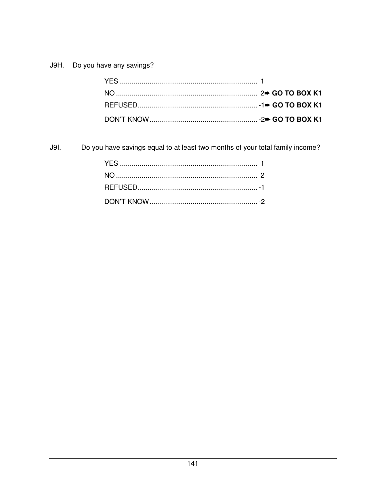J9H. Do you have any savings?

Do you have savings equal to at least two months of your total family income? **J9I.**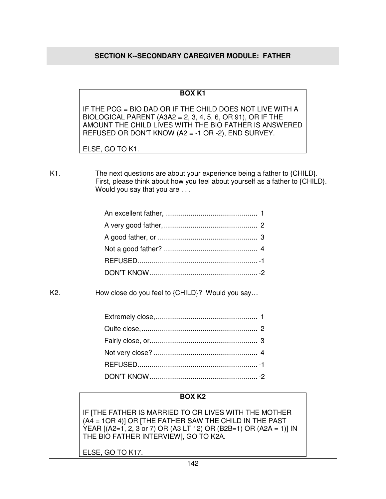### **SECTION K--SECONDARY CAREGIVER MODULE: FATHER**

### **BOX K1**

IF THE PCG = BIO DAD OR IF THE CHILD DOES NOT LIVE WITH A BIOLOGICAL PARENT (A3A2 = 2, 3, 4, 5, 6, OR 91), OR IF THE AMOUNT THE CHILD LIVES WITH THE BIO FATHER IS ANSWERED REFUSED OR DON'T KNOW (A2 = -1 OR -2), END SURVEY.

ELSE, GO TO K1.

K1. The next questions are about your experience being a father to {CHILD}. First, please think about how you feel about yourself as a father to {CHILD}. Would you say that you are . . .

K2. How close do you feel to {CHILD}? Would you say…

### **BOX K2**

IF [THE FATHER IS MARRIED TO OR LIVES WITH THE MOTHER (A4 = 1OR 4)] OR [THE FATHER SAW THE CHILD IN THE PAST YEAR [(A2=1, 2, 3 or 7) OR (A3 LT 12) OR (B2B=1) OR (A2A = 1)] IN THE BIO FATHER INTERVIEW], GO TO K2A.

ELSE, GO TO K17.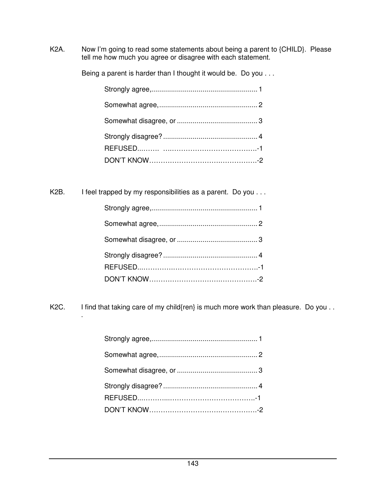K2A. Now I'm going to read some statements about being a parent to {CHILD}. Please tell me how much you agree or disagree with each statement.

Being a parent is harder than I thought it would be. Do you . . .

| K2B. I feel trapped by my responsibilities as a parent. Do you $\dots$ |
|------------------------------------------------------------------------|
|                                                                        |
|                                                                        |
|                                                                        |
|                                                                        |
|                                                                        |
|                                                                        |
|                                                                        |

.

K2C. I find that taking care of my child{ren} is much more work than pleasure. Do you . .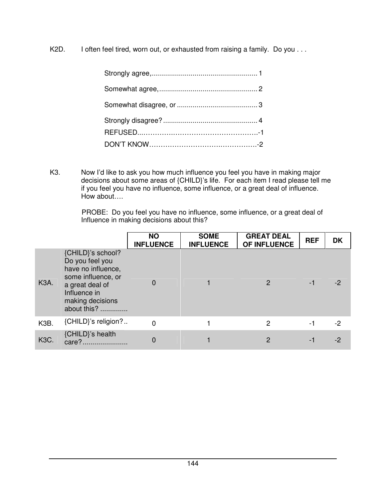K2D. I often feel tired, worn out, or exhausted from raising a family. Do you . . .

K3. Now I'd like to ask you how much influence you feel you have in making major decisions about some areas of {CHILD}'s life. For each item I read please tell me if you feel you have no influence, some influence, or a great deal of influence. How about….

> PROBE: Do you feel you have no influence, some influence, or a great deal of Influence in making decisions about this?

|                   |                                                                                                                                                        | <b>NO</b><br><b>INFLUENCE</b> | <b>SOME</b><br><b>INFLUENCE</b> | <b>GREAT DEAL</b><br>OF INFLUENCE | <b>REF</b> | <b>DK</b> |
|-------------------|--------------------------------------------------------------------------------------------------------------------------------------------------------|-------------------------------|---------------------------------|-----------------------------------|------------|-----------|
| K <sub>3</sub> A. | {CHILD}'s school?<br>Do you feel you<br>have no influence,<br>some influence, or<br>a great deal of<br>Influence in<br>making decisions<br>about this? |                               |                                 | $\mathcal{P}$                     | -1         | -2        |
| K <sub>3</sub> B. | {CHILD}'s religion?                                                                                                                                    | $\Omega$                      |                                 | 2                                 | -1         | -2        |
| <b>K3C.</b>       | {CHILD}'s health<br>care?.                                                                                                                             | 0                             |                                 | 2                                 |            | -2        |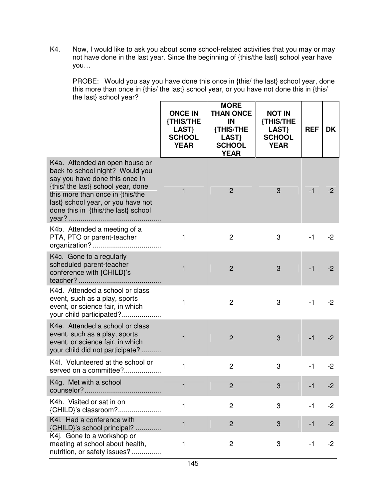K4. Now, I would like to ask you about some school-related activities that you may or may not have done in the last year. Since the beginning of {this/the last} school year have you…

PROBE: Would you say you have done this once in {this/ the last} school year, done this more than once in {this/ the last} school year, or you have not done this in {this/ the last} school year?

|                                                                                                                                                                                                                                                            | <b>ONCE IN</b><br>{THIS/THE<br>LAST}<br><b>SCHOOL</b><br><b>YEAR</b> | <b>MORE</b><br><b>THAN ONCE</b><br>IN<br>{THIS/THE<br>LAST}<br><b>SCHOOL</b><br><b>YEAR</b> | <b>NOT IN</b><br>{THIS/THE<br>LAST}<br><b>SCHOOL</b><br><b>YEAR</b> | <b>REF</b> | <b>DK</b> |
|------------------------------------------------------------------------------------------------------------------------------------------------------------------------------------------------------------------------------------------------------------|----------------------------------------------------------------------|---------------------------------------------------------------------------------------------|---------------------------------------------------------------------|------------|-----------|
| K4a. Attended an open house or<br>back-to-school night? Would you<br>say you have done this once in<br>{this/ the last} school year, done<br>this more than once in {this/the<br>last} school year, or you have not<br>done this in {this/the last} school |                                                                      | $\overline{2}$                                                                              | 3                                                                   | $-1$       | $-2$      |
| K4b. Attended a meeting of a<br>PTA, PTO or parent-teacher                                                                                                                                                                                                 | 1                                                                    | $\overline{2}$                                                                              | 3                                                                   | $-1$       | $-2$      |
| K4c. Gone to a regularly<br>scheduled parent-teacher<br>conference with {CHILD}'s                                                                                                                                                                          | 1                                                                    | $\overline{2}$                                                                              | 3                                                                   | $-1$       | $-2$      |
| K4d. Attended a school or class<br>event, such as a play, sports<br>event, or science fair, in which<br>your child participated?                                                                                                                           | 1                                                                    | $\overline{c}$                                                                              | 3                                                                   | $-1$       | $-2$      |
| K4e. Attended a school or class<br>event, such as a play, sports<br>event, or science fair, in which<br>your child did not participate?                                                                                                                    | 1                                                                    | $\overline{2}$                                                                              | 3                                                                   | $-1$       | $-2$      |
| K4f. Volunteered at the school or<br>served on a committee?                                                                                                                                                                                                | 1                                                                    | $\overline{2}$                                                                              | 3                                                                   | $-1$       | -2        |
| K4a. Met with a school                                                                                                                                                                                                                                     |                                                                      | $\overline{2}$                                                                              | 3                                                                   | $-1$       | $-2$      |
| K4h. Visited or sat in on<br>{CHILD}'s classroom?                                                                                                                                                                                                          | 1                                                                    | $\overline{c}$                                                                              | 3                                                                   | $-1$       | $-2$      |
| K4i. Had a conference with<br>{CHILD}'s school principal?                                                                                                                                                                                                  | 1                                                                    | $\overline{2}$                                                                              | 3                                                                   | $-1$       | $-2$      |
| K4j. Gone to a workshop or<br>meeting at school about health,<br>nutrition, or safety issues?                                                                                                                                                              | 1                                                                    | $\overline{c}$                                                                              | 3                                                                   | $-1$       | $-2$      |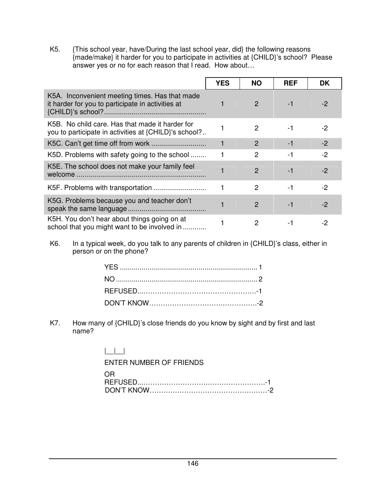K5. {This school year, have/During the last school year, did} the following reasons {made/make} it harder for you to participate in activities at {CHILD}'s school? Please answer yes or no for each reason that I read. How about…

|                                                                                                          | <b>YES</b> | <b>NO</b>      | <b>REF</b> | <b>DK</b> |
|----------------------------------------------------------------------------------------------------------|------------|----------------|------------|-----------|
| K5A. Inconvenient meeting times. Has that made<br>it harder for you to participate in activities at      |            | $\mathcal{P}$  |            | $-2$      |
| K5B. No child care. Has that made it harder for<br>you to participate in activities at {CHILD}'s school? |            | $\mathcal{P}$  | -1         | -2        |
|                                                                                                          |            | $\overline{2}$ | $-1$       | $-2$      |
| K5D. Problems with safety going to the school                                                            |            | 2              | -1         | $-2$      |
| K5E. The school does not make your family feel                                                           |            | $\mathcal{P}$  | $-1$       | $-2$      |
|                                                                                                          |            | 2              | -1         | -2        |
| K5G. Problems because you and teacher don't                                                              |            | $\mathcal{P}$  | $-1$       | $-2$      |
| K5H. You don't hear about things going on at<br>school that you might want to be involved in             |            | 2              |            | $-2$      |

K6. In a typical week, do you talk to any parents of children in {CHILD}'s class, either in person or on the phone?

K7. How many of {CHILD}'s close friends do you know by sight and by first and last name?

## $| \cdot | \cdot |$

ENTER NUMBER OF FRIENDS

#### OR REFUSED...……………………….…………………….-1 DON'T KNOW……………………………………………-2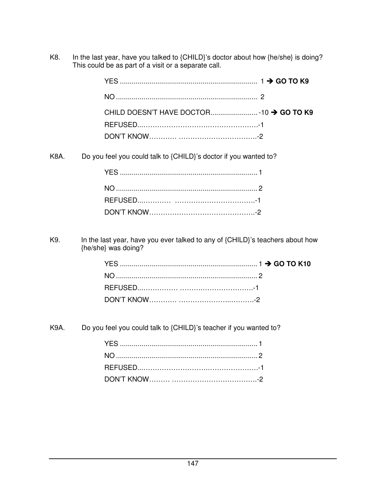K8. In the last year, have you talked to {CHILD}'s doctor about how {he/she} is doing? This could be as part of a visit or a separate call.

|                   | CHILD DOESN'T HAVE DOCTOR - 10 → GO TO K9                                                            |  |
|-------------------|------------------------------------------------------------------------------------------------------|--|
| K <sub>8</sub> A. | Do you feel you could talk to {CHILD}'s doctor if you wanted to?                                     |  |
|                   |                                                                                                      |  |
|                   |                                                                                                      |  |
| K9.               | In the last year, have you ever talked to any of {CHILD}'s teachers about how<br>{he/she} was doing? |  |
|                   |                                                                                                      |  |
|                   |                                                                                                      |  |
|                   |                                                                                                      |  |
| K <sub>9</sub> A. | Do you feel you could talk to {CHILD}'s teacher if you wanted to?                                    |  |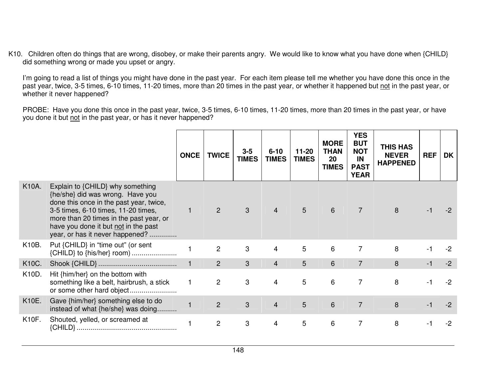K10. Children often do things that are wrong, disobey, or make their parents angry. We would like to know what you have done when {CHILD} did something wrong or made you upset or angry.

I'm going to read a list of things you might have done in the past year. For each item please tell me whether you have done this once in the past year, twice, 3-5 times, 6-10 times, 11-20 times, more than 20 times in the past year, or whether it happened but not in the past year, or whether it never happened?

PROBE: Have you done this once in the past year, twice, 3-5 times, 6-10 times, 11-20 times, more than 20 times in the past year, or have you done it but not in the past year, or has it never happened?

|       |                                                                                                                                                                                                                                                                                | <b>ONCE</b> | <b>TWICE</b>   | $3 - 5$<br><b>TIMES</b> | $6 - 10$<br><b>TIMES</b> | $11 - 20$<br><b>TIMES</b> | <b>MORE</b><br><b>THAN</b><br>20<br><b>TIMES</b> | <b>YES</b><br><b>BUT</b><br><b>NOT</b><br>IN<br><b>PAST</b><br><b>YEAR</b> | <b>THIS HAS</b><br><b>NEVER</b><br><b>HAPPENED</b> | <b>REF</b> | DK.  |
|-------|--------------------------------------------------------------------------------------------------------------------------------------------------------------------------------------------------------------------------------------------------------------------------------|-------------|----------------|-------------------------|--------------------------|---------------------------|--------------------------------------------------|----------------------------------------------------------------------------|----------------------------------------------------|------------|------|
| K10A. | Explain to ${CHILD}$ why something<br>{he/she} did was wrong. Have you<br>done this once in the past year, twice,<br>3-5 times, 6-10 times, 11-20 times,<br>more than 20 times in the past year, or<br>have you done it but not in the past<br>year, or has it never happened? |             | 2              | 3                       | $\overline{4}$           | 5                         | 6                                                | $\overline{7}$                                                             | 8                                                  |            |      |
| K10B. | Put {CHILD} in "time out" (or sent                                                                                                                                                                                                                                             |             | $\overline{2}$ | 3                       | 4                        | 5                         | 6                                                | $\overline{7}$                                                             | 8                                                  |            |      |
| K10C. |                                                                                                                                                                                                                                                                                |             | $\overline{2}$ | 3                       | $\overline{4}$           | 5 <sup>5</sup>            | 6                                                | $\overline{7}$                                                             | 8                                                  | $-1$       | $-2$ |
| K10D. | Hit {him/her} on the bottom with<br>something like a belt, hairbrush, a stick                                                                                                                                                                                                  | 1.          | 2              | 3                       | 4                        | 5                         | 6                                                | $\overline{7}$                                                             | 8                                                  | -1         | $-2$ |
| K10E. | Gave {him/her} something else to do<br>instead of what {he/she} was doing                                                                                                                                                                                                      |             | 2              | $\mathbf{3}$            | $\overline{4}$           | 5                         | 6                                                | $\overline{7}$                                                             | 8                                                  |            | $-2$ |
| K10F. | Shouted, yelled, or screamed at                                                                                                                                                                                                                                                |             | $\overline{c}$ | 3                       | 4                        | 5                         | 6                                                | $\overline{7}$                                                             | 8                                                  |            |      |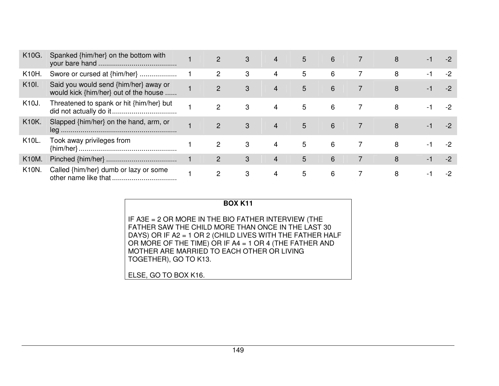| K10G.              | Spanked {him/her} on the bottom with                                           | $\overline{2}$        | 3 | 4 | 5           | 6 | 8 |     |    |
|--------------------|--------------------------------------------------------------------------------|-----------------------|---|---|-------------|---|---|-----|----|
| K10H.              | Swore or cursed at {him/her}                                                   | $\mathbf{2}^{\prime}$ | 3 | 4 | 5           | 6 | 8 | - 1 | -2 |
| K <sub>10</sub> I. | Said you would send {him/her} away or<br>would kick {him/her} out of the house | $\overline{2}$        | 3 | 4 | 5           | 6 | 8 | - 1 |    |
| K <sub>10</sub> J. | Threatened to spank or hit {him/her} but                                       | $\overline{2}$        | 3 | 4 | 5           | 6 | 8 | - 1 |    |
| K10K.              | Slapped {him/her} on the hand, arm, or                                         | $\mathcal{P}$         | 3 | 4 | $5^{\circ}$ | 6 | 8 |     |    |
| K10L.              | Took away privileges from                                                      | $\mathbf{2}^{\circ}$  | 3 |   | 5           | 6 | 8 |     |    |
| <b>K10M.</b>       |                                                                                | 2                     | 3 | 4 | $5^{\circ}$ | 6 | 8 | - 1 |    |
| <b>K10N.</b>       | Called {him/her} dumb or lazy or some                                          | 2                     | 3 | 4 | 5           | 6 | 8 | -1  | -2 |

## **BOX K11**

IF A3E = 2 OR MORE IN THE BIO FATHER INTERVIEW (THE FATHER SAW THE CHILD MORE THAN ONCE IN THE LAST 30 DAYS) OR IF A2 = 1 OR 2 (CHILD LIVES WITH THE FATHER HALF OR MORE OF THE TIME) OR IF A4 = 1 OR 4 (THE FATHER AND MOTHER ARE MARRIED TO EACH OTHER OR LIVING TOGETHER), GO TO K13.

ELSE, GO TO BOX K16.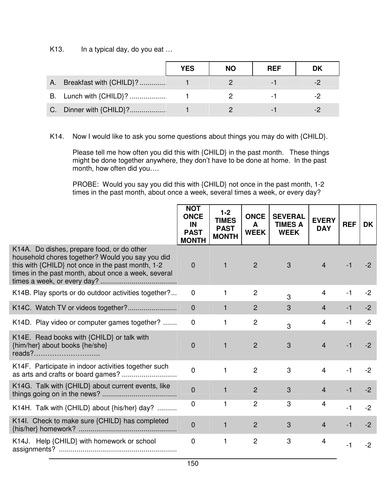K13. In a typical day, do you eat …

|    |                         | YES | <b>NO</b> | <b>REF</b>      | DK |
|----|-------------------------|-----|-----------|-----------------|----|
| A. | Breakfast with {CHILD}? |     |           | $\sim$          |    |
|    | B. Lunch with {CHILD}?  |     |           | - 1             |    |
|    | C. Dinner with {CHILD}? |     |           | $\sim$ 100 $\,$ | -2 |

K14. Now I would like to ask you some questions about things you may do with {CHILD}.

Please tell me how often you did this with {CHILD} in the past month. These things might be done together anywhere, they don't have to be done at home. In the past month, how often did you….

PROBE: Would you say you did this with {CHILD} not once in the past month, 1-2 times in the past month, about once a week, several times a week, or every day?

|                                                                                                                                                                                                                | <b>NOT</b><br><b>ONCE</b><br>IN<br><b>PAST</b><br><b>MONTH</b> | $1 - 2$<br><b>TIMES</b><br><b>PAST</b><br><b>MONTH</b> | <b>ONCE</b><br>A<br><b>WEEK</b> | <b>SEVERAL</b><br><b>TIMES A</b><br><b>WEEK</b> | <b>EVERY</b><br><b>DAY</b> | <b>REF</b> | <b>DK</b> |
|----------------------------------------------------------------------------------------------------------------------------------------------------------------------------------------------------------------|----------------------------------------------------------------|--------------------------------------------------------|---------------------------------|-------------------------------------------------|----------------------------|------------|-----------|
| K14A. Do dishes, prepare food, or do other<br>household chores together? Would you say you did<br>this with $\{CHILD\}$ not once in the past month, 1-2<br>times in the past month, about once a week, several | $\mathbf 0$                                                    | $\mathbf{1}$                                           | 2                               | $\mathbf{3}$                                    | $\overline{4}$             | $-1$       | $-2$      |
| K14B. Play sports or do outdoor activities together?                                                                                                                                                           | $\mathbf 0$                                                    | 1                                                      | $\overline{c}$                  | 3                                               | $\overline{4}$             | $-1$       | $-2$      |
|                                                                                                                                                                                                                | $\overline{0}$                                                 | 1                                                      | 2                               | 3                                               | $\overline{4}$             | $-1$       | $-2$      |
| K14D. Play video or computer games together?                                                                                                                                                                   | $\mathbf 0$                                                    |                                                        | $\overline{c}$                  | 3                                               | 4                          | $-1$       | $-2$      |
| K14E. Read books with {CHILD} or talk with<br>{him/her} about books {he/she}<br>reads?                                                                                                                         | $\mathbf 0$                                                    | $\mathbf{1}$                                           | $\overline{2}$                  | 3                                               | $\overline{4}$             | $-1$       | $-2$      |
| K14F. Participate in indoor activities together such                                                                                                                                                           | $\overline{0}$                                                 | 1                                                      | $\overline{2}$                  | 3                                               | $\overline{4}$             | $-1$       | $-2$      |
| K14G. Talk with {CHILD} about current events, like                                                                                                                                                             | $\overline{0}$                                                 | 1                                                      | 2                               | 3                                               | $\overline{4}$             | $-1$       | $-2$      |
| K14H. Talk with {CHILD} about {his/her} day?                                                                                                                                                                   | 0                                                              |                                                        | $\overline{2}$                  | 3                                               | 4                          | $-1$       | $-2$      |
| K14I. Check to make sure {CHILD} has completed                                                                                                                                                                 | $\overline{0}$                                                 | $\mathbf{1}$                                           | $\overline{2}$                  | 3                                               | $\overline{4}$             | $-1$       | $-2$      |
| K14J. Help {CHILD} with homework or school                                                                                                                                                                     | $\overline{0}$                                                 | 1                                                      | $\overline{2}$                  | 3                                               | 4                          | -1         | $-2$      |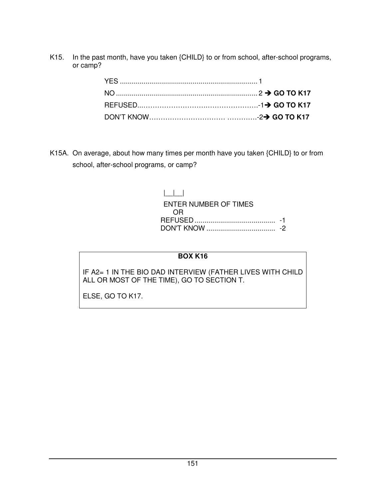K15. In the past month, have you taken {CHILD} to or from school, after-school programs, or camp?

K15A. On average, about how many times per month have you taken {CHILD} to or from school, after-school programs, or camp?

| $\blacksquare$        |  |
|-----------------------|--|
| ENTER NUMBER OF TIMES |  |
| 0.R                   |  |
|                       |  |
|                       |  |

### **BOX K16**

IF A2= 1 IN THE BIO DAD INTERVIEW (FATHER LIVES WITH CHILD ALL OR MOST OF THE TIME), GO TO SECTION T.

ELSE, GO TO K17.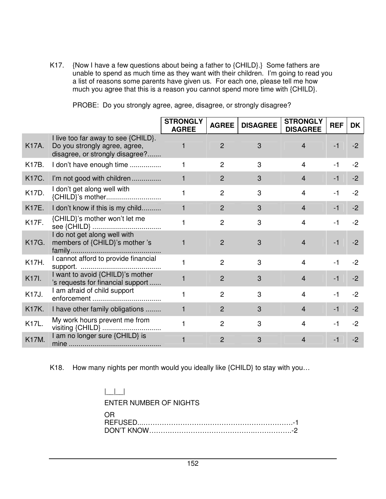K17. {Now I have a few questions about being a father to {CHILD}.} Some fathers are unable to spend as much time as they want with their children. I'm going to read you a list of reasons some parents have given us. For each one, please tell me how much you agree that this is a reason you cannot spend more time with {CHILD}.

|              |                                                                                                         | <b>STRONGLY</b><br><b>AGREE</b> | <b>AGREE</b>   | <b>DISAGREE</b> | <b>STRONGLY</b><br><b>DISAGREE</b> | <b>REF</b> | <b>DK</b> |
|--------------|---------------------------------------------------------------------------------------------------------|---------------------------------|----------------|-----------------|------------------------------------|------------|-----------|
| K17A.        | I live too far away to see {CHILD}.<br>Do you strongly agree, agree,<br>disagree, or strongly disagree? |                                 | $\overline{2}$ | 3               | $\overline{4}$                     | -1         | -2        |
| K17B.        | I don't have enough time                                                                                | 1                               | $\overline{2}$ | 3               | 4                                  | $-1$       | $-2$      |
| <b>K17C.</b> | I'm not good with children                                                                              | $\mathbf{1}$                    | $\overline{2}$ | 3               | $\overline{4}$                     | -1         | $-2$      |
| <b>K17D.</b> | I don't get along well with<br>{CHILD}'s mother                                                         | 1                               | 2              | 3               | $\overline{4}$                     | -1         | $-2$      |
| <b>K17E.</b> | I don't know if this is my child                                                                        | 1                               | $\overline{2}$ | 3               | 4                                  | -1         | $-2$      |
| <b>K17F.</b> | {CHILD}'s mother won't let me                                                                           | 1                               | $\overline{2}$ | 3               | $\overline{4}$                     | $-1$       | $-2$      |
| K17G.        | I do not get along well with<br>members of {CHILD}'s mother 's                                          | 1                               | $\overline{2}$ | 3               | $\overline{4}$                     | $-1$       | $-2$      |
| <b>K17H.</b> | I cannot afford to provide financial                                                                    | 1                               | $\overline{2}$ | 3               | $\overline{\mathbf{4}}$            | $-1$       | $-2$      |
| K17I.        | I want to avoid {CHILD}'s mother<br>'s requests for financial support                                   | $\mathbf{1}$                    | $\overline{2}$ | 3               | $\overline{4}$                     | $-1$       | $-2$      |
| K17J.        | I am afraid of child support                                                                            | 1                               | $\overline{2}$ | 3               | 4                                  | $-1$       | $-2$      |
| <b>K17K.</b> | I have other family obligations                                                                         | $\mathbf{1}$                    | $\overline{2}$ | 3               | $\overline{4}$                     | $-1$       | $-2$      |
| K17L.        | My work hours prevent me from<br>visiting {CHILD}                                                       |                                 | $\overline{2}$ | 3               | $\overline{4}$                     | $-1$       | $-2$      |
| <b>K17M.</b> | I am no longer sure {CHILD} is                                                                          | 1                               | $\overline{2}$ | 3               | $\overline{4}$                     | -1         | $-2$      |

PROBE: Do you strongly agree, agree, disagree, or strongly disagree?

K18. How many nights per month would you ideally like {CHILD} to stay with you…

## |\_\_|\_\_| ENTER NUMBER OF NIGHTS OR REFUSED...……………………….……………………………….-1 DON'T KNOW……………………………………….…………….-2